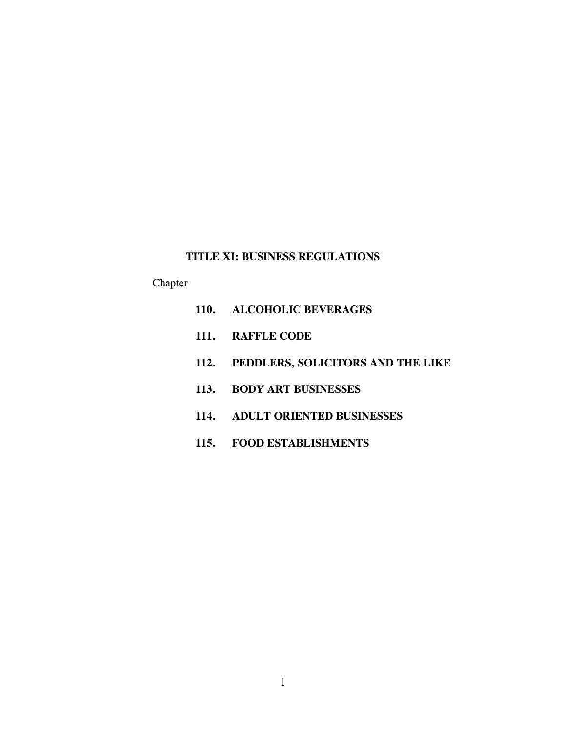# **TITLE XI: BUSINESS REGULATIONS**

# Chapter

| 110. ALCOHOLIC BEVERAGES               |
|----------------------------------------|
| 111. RAFFLE CODE                       |
| 112. PEDDLERS, SOLICITORS AND THE LIKE |
| 113. BODY ART BUSINESSES               |
| 114. ADULT ORIENTED BUSINESSES         |
| 115. FOOD ESTABLISHMENTS               |
|                                        |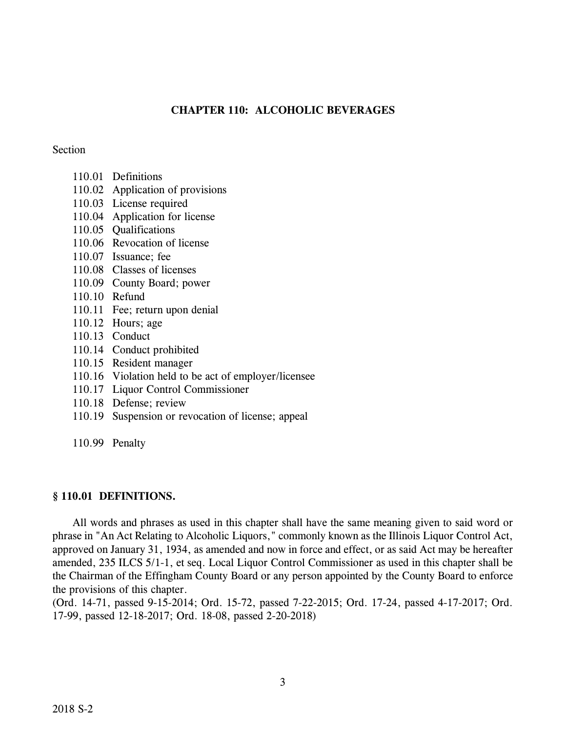# **CHAPTER 110: ALCOHOLIC BEVERAGES**

# **Section**

- 110.01 Definitions
- 110.02 Application of provisions
- 110.03 License required
- 110.04 Application for license
- 110.05 Qualifications
- 110.06 Revocation of license
- 110.07 Issuance; fee
- 110.08 Classes of licenses
- 110.09 County Board; power
- 110.10 Refund
- 110.11 Fee; return upon denial
- 110.12 Hours; age
- 110.13 Conduct
- 110.14 Conduct prohibited
- 110.15 Resident manager
- 110.16 Violation held to be act of employer/licensee
- 110.17 Liquor Control Commissioner
- 110.18 Defense; review
- 110.19 Suspension or revocation of license; appeal
- 110.99 Penalty

# **§ 110.01 DEFINITIONS.**

All words and phrases as used in this chapter shall have the same meaning given to said word or phrase in "An Act Relating to Alcoholic Liquors," commonly known as the Illinois Liquor Control Act, approved on January 31, 1934, as amended and now in force and effect, or as said Act may be hereafter amended, 235 ILCS 5/1-1, et seq. Local Liquor Control Commissioner as used in this chapter shall be the Chairman of the Effingham County Board or any person appointed by the County Board to enforce the provisions of this chapter.

(Ord. 14-71, passed 9-15-2014; Ord. 15-72, passed 7-22-2015; Ord. 17-24, passed 4-17-2017; Ord. 17-99, passed 12-18-2017; Ord. 18-08, passed 2-20-2018)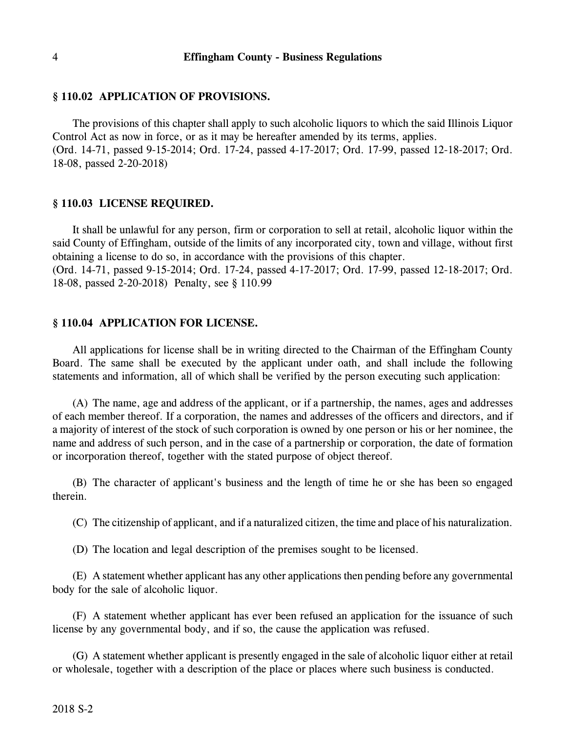### **§ 110.02 APPLICATION OF PROVISIONS.**

The provisions of this chapter shall apply to such alcoholic liquors to which the said Illinois Liquor Control Act as now in force, or as it may be hereafter amended by its terms, applies. (Ord. 14-71, passed 9-15-2014; Ord. 17-24, passed 4-17-2017; Ord. 17-99, passed 12-18-2017; Ord. 18-08, passed 2-20-2018)

### **§ 110.03 LICENSE REQUIRED.**

It shall be unlawful for any person, firm or corporation to sell at retail, alcoholic liquor within the said County of Effingham, outside of the limits of any incorporated city, town and village, without first obtaining a license to do so, in accordance with the provisions of this chapter. (Ord. 14-71, passed 9-15-2014; Ord. 17-24, passed 4-17-2017; Ord. 17-99, passed 12-18-2017; Ord. 18-08, passed 2-20-2018) Penalty, see § 110.99

#### **§ 110.04 APPLICATION FOR LICENSE.**

All applications for license shall be in writing directed to the Chairman of the Effingham County Board. The same shall be executed by the applicant under oath, and shall include the following statements and information, all of which shall be verified by the person executing such application:

(A) The name, age and address of the applicant, or if a partnership, the names, ages and addresses of each member thereof. If a corporation, the names and addresses of the officers and directors, and if a majority of interest of the stock of such corporation is owned by one person or his or her nominee, the name and address of such person, and in the case of a partnership or corporation, the date of formation or incorporation thereof, together with the stated purpose of object thereof.

(B) The character of applicant's business and the length of time he or she has been so engaged therein.

(C) The citizenship of applicant, and if a naturalized citizen, the time and place of his naturalization.

(D) The location and legal description of the premises sought to be licensed.

(E) A statement whether applicant has any other applications then pending before any governmental body for the sale of alcoholic liquor.

(F) A statement whether applicant has ever been refused an application for the issuance of such license by any governmental body, and if so, the cause the application was refused.

(G) A statement whether applicant is presently engaged in the sale of alcoholic liquor either at retail or wholesale, together with a description of the place or places where such business is conducted.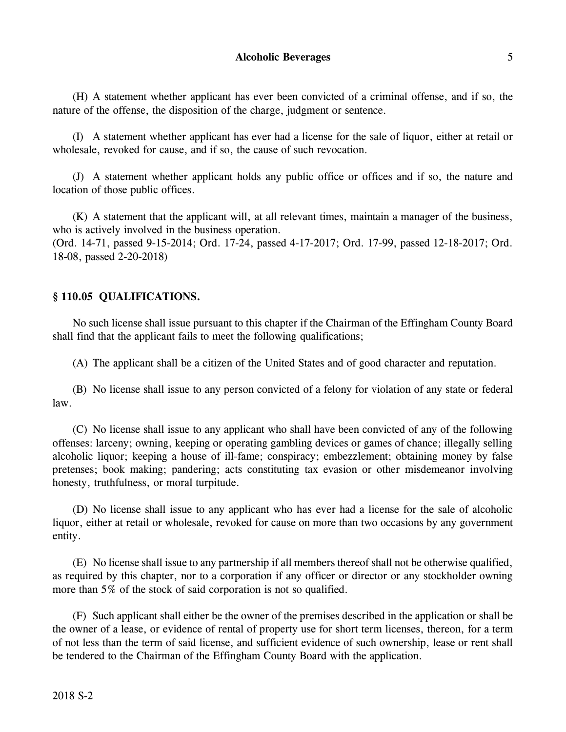(H) A statement whether applicant has ever been convicted of a criminal offense, and if so, the nature of the offense, the disposition of the charge, judgment or sentence.

(I) A statement whether applicant has ever had a license for the sale of liquor, either at retail or wholesale, revoked for cause, and if so, the cause of such revocation.

(J) A statement whether applicant holds any public office or offices and if so, the nature and location of those public offices.

(K) A statement that the applicant will, at all relevant times, maintain a manager of the business, who is actively involved in the business operation.

(Ord. 14-71, passed 9-15-2014; Ord. 17-24, passed 4-17-2017; Ord. 17-99, passed 12-18-2017; Ord. 18-08, passed 2-20-2018)

# **§ 110.05 QUALIFICATIONS.**

No such license shall issue pursuant to this chapter if the Chairman of the Effingham County Board shall find that the applicant fails to meet the following qualifications;

(A) The applicant shall be a citizen of the United States and of good character and reputation.

(B) No license shall issue to any person convicted of a felony for violation of any state or federal law.

(C) No license shall issue to any applicant who shall have been convicted of any of the following offenses: larceny; owning, keeping or operating gambling devices or games of chance; illegally selling alcoholic liquor; keeping a house of ill-fame; conspiracy; embezzlement; obtaining money by false pretenses; book making; pandering; acts constituting tax evasion or other misdemeanor involving honesty, truthfulness, or moral turpitude.

(D) No license shall issue to any applicant who has ever had a license for the sale of alcoholic liquor, either at retail or wholesale, revoked for cause on more than two occasions by any government entity.

(E) No license shall issue to any partnership if all members thereof shall not be otherwise qualified, as required by this chapter, nor to a corporation if any officer or director or any stockholder owning more than 5% of the stock of said corporation is not so qualified.

(F) Such applicant shall either be the owner of the premises described in the application or shall be the owner of a lease, or evidence of rental of property use for short term licenses, thereon, for a term of not less than the term of said license, and sufficient evidence of such ownership, lease or rent shall be tendered to the Chairman of the Effingham County Board with the application.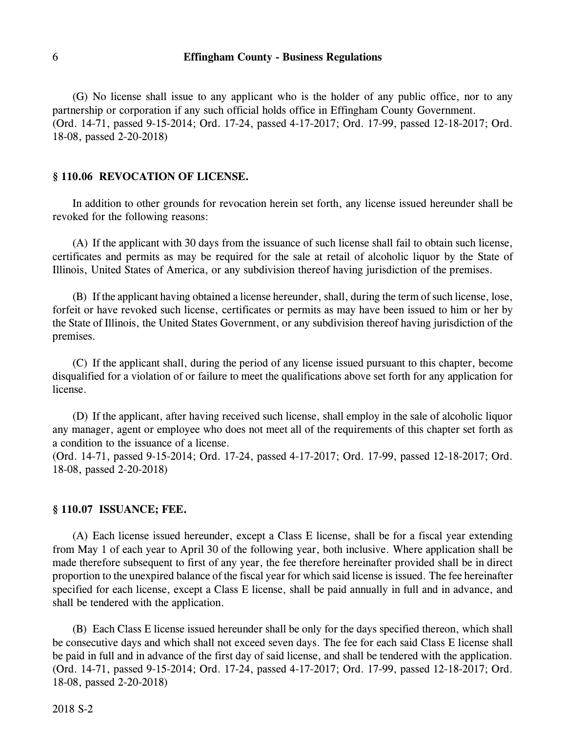(G) No license shall issue to any applicant who is the holder of any public office, nor to any partnership or corporation if any such official holds office in Effingham County Government. (Ord. 14-71, passed 9-15-2014; Ord. 17-24, passed 4-17-2017; Ord. 17-99, passed 12-18-2017; Ord. 18-08, passed 2-20-2018)

#### **§ 110.06 REVOCATION OF LICENSE.**

In addition to other grounds for revocation herein set forth, any license issued hereunder shall be revoked for the following reasons:

(A) If the applicant with 30 days from the issuance of such license shall fail to obtain such license, certificates and permits as may be required for the sale at retail of alcoholic liquor by the State of Illinois, United States of America, or any subdivision thereof having jurisdiction of the premises.

(B) If the applicant having obtained a license hereunder, shall, during the term of such license, lose, forfeit or have revoked such license, certificates or permits as may have been issued to him or her by the State of Illinois, the United States Government, or any subdivision thereof having jurisdiction of the premises.

(C) If the applicant shall, during the period of any license issued pursuant to this chapter, become disqualified for a violation of or failure to meet the qualifications above set forth for any application for license.

(D) If the applicant, after having received such license, shall employ in the sale of alcoholic liquor any manager, agent or employee who does not meet all of the requirements of this chapter set forth as a condition to the issuance of a license.

(Ord. 14-71, passed 9-15-2014; Ord. 17-24, passed 4-17-2017; Ord. 17-99, passed 12-18-2017; Ord. 18-08, passed 2-20-2018)

#### **§ 110.07 ISSUANCE; FEE.**

(A) Each license issued hereunder, except a Class E license, shall be for a fiscal year extending from May 1 of each year to April 30 of the following year, both inclusive. Where application shall be made therefore subsequent to first of any year, the fee therefore hereinafter provided shall be in direct proportion to the unexpired balance of the fiscal year for which said license is issued. The fee hereinafter specified for each license, except a Class E license, shall be paid annually in full and in advance, and shall be tendered with the application.

(B) Each Class E license issued hereunder shall be only for the days specified thereon, which shall be consecutive days and which shall not exceed seven days. The fee for each said Class E license shall be paid in full and in advance of the first day of said license, and shall be tendered with the application. (Ord. 14-71, passed 9-15-2014; Ord. 17-24, passed 4-17-2017; Ord. 17-99, passed 12-18-2017; Ord. 18-08, passed 2-20-2018)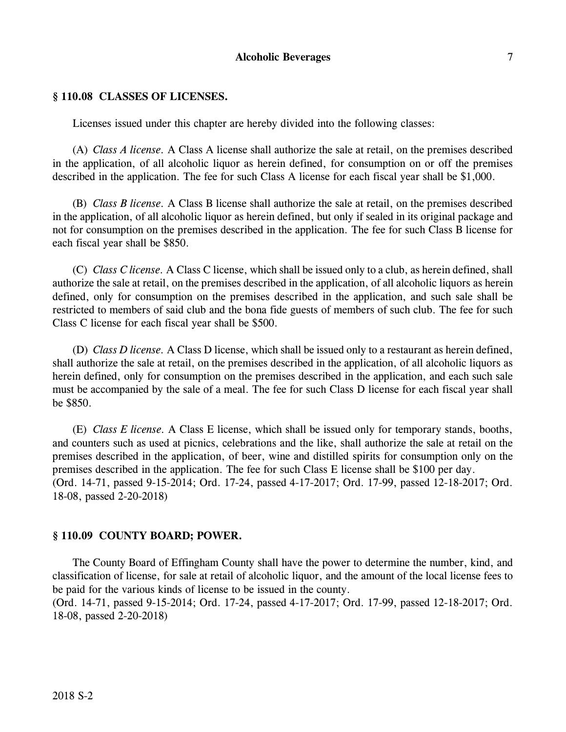### **Alcoholic Beverages** 7

#### **§ 110.08 CLASSES OF LICENSES.**

Licenses issued under this chapter are hereby divided into the following classes:

(A) *Class A license.* A Class A license shall authorize the sale at retail, on the premises described in the application, of all alcoholic liquor as herein defined, for consumption on or off the premises described in the application. The fee for such Class A license for each fiscal year shall be \$1,000.

(B) *Class B license.* A Class B license shall authorize the sale at retail, on the premises described in the application, of all alcoholic liquor as herein defined, but only if sealed in its original package and not for consumption on the premises described in the application. The fee for such Class B license for each fiscal year shall be \$850.

(C) *Class C license.* A Class C license, which shall be issued only to a club, as herein defined, shall authorize the sale at retail, on the premises described in the application, of all alcoholic liquors as herein defined, only for consumption on the premises described in the application, and such sale shall be restricted to members of said club and the bona fide guests of members of such club. The fee for such Class C license for each fiscal year shall be \$500.

(D) *Class D license.* A Class D license, which shall be issued only to a restaurant as herein defined, shall authorize the sale at retail, on the premises described in the application, of all alcoholic liquors as herein defined, only for consumption on the premises described in the application, and each such sale must be accompanied by the sale of a meal. The fee for such Class D license for each fiscal year shall be \$850.

(E) *Class E license.* A Class E license, which shall be issued only for temporary stands, booths, and counters such as used at picnics, celebrations and the like, shall authorize the sale at retail on the premises described in the application, of beer, wine and distilled spirits for consumption only on the premises described in the application. The fee for such Class E license shall be \$100 per day. (Ord. 14-71, passed 9-15-2014; Ord. 17-24, passed 4-17-2017; Ord. 17-99, passed 12-18-2017; Ord. 18-08, passed 2-20-2018)

#### **§ 110.09 COUNTY BOARD; POWER.**

The County Board of Effingham County shall have the power to determine the number, kind, and classification of license, for sale at retail of alcoholic liquor, and the amount of the local license fees to be paid for the various kinds of license to be issued in the county.

(Ord. 14-71, passed 9-15-2014; Ord. 17-24, passed 4-17-2017; Ord. 17-99, passed 12-18-2017; Ord. 18-08, passed 2-20-2018)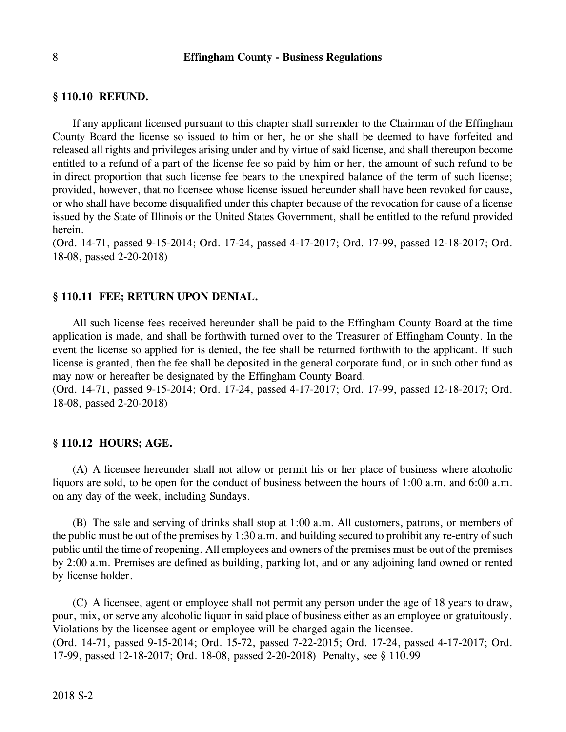#### **§ 110.10 REFUND.**

If any applicant licensed pursuant to this chapter shall surrender to the Chairman of the Effingham County Board the license so issued to him or her, he or she shall be deemed to have forfeited and released all rights and privileges arising under and by virtue of said license, and shall thereupon become entitled to a refund of a part of the license fee so paid by him or her, the amount of such refund to be in direct proportion that such license fee bears to the unexpired balance of the term of such license; provided, however, that no licensee whose license issued hereunder shall have been revoked for cause, or who shall have become disqualified under this chapter because of the revocation for cause of a license issued by the State of Illinois or the United States Government, shall be entitled to the refund provided herein.

(Ord. 14-71, passed 9-15-2014; Ord. 17-24, passed 4-17-2017; Ord. 17-99, passed 12-18-2017; Ord. 18-08, passed 2-20-2018)

#### **§ 110.11 FEE; RETURN UPON DENIAL.**

All such license fees received hereunder shall be paid to the Effingham County Board at the time application is made, and shall be forthwith turned over to the Treasurer of Effingham County. In the event the license so applied for is denied, the fee shall be returned forthwith to the applicant. If such license is granted, then the fee shall be deposited in the general corporate fund, or in such other fund as may now or hereafter be designated by the Effingham County Board.

(Ord. 14-71, passed 9-15-2014; Ord. 17-24, passed 4-17-2017; Ord. 17-99, passed 12-18-2017; Ord. 18-08, passed 2-20-2018)

#### **§ 110.12 HOURS; AGE.**

(A) A licensee hereunder shall not allow or permit his or her place of business where alcoholic liquors are sold, to be open for the conduct of business between the hours of 1:00 a.m. and 6:00 a.m. on any day of the week, including Sundays.

(B) The sale and serving of drinks shall stop at 1:00 a.m. All customers, patrons, or members of the public must be out of the premises by 1:30 a.m. and building secured to prohibit any re-entry of such public until the time of reopening. All employees and owners of the premises must be out of the premises by 2:00 a.m. Premises are defined as building, parking lot, and or any adjoining land owned or rented by license holder.

(C) A licensee, agent or employee shall not permit any person under the age of 18 years to draw, pour, mix, or serve any alcoholic liquor in said place of business either as an employee or gratuitously. Violations by the licensee agent or employee will be charged again the licensee. (Ord. 14-71, passed 9-15-2014; Ord. 15-72, passed 7-22-2015; Ord. 17-24, passed 4-17-2017; Ord. 17-99, passed 12-18-2017; Ord. 18-08, passed 2-20-2018) Penalty, see § 110.99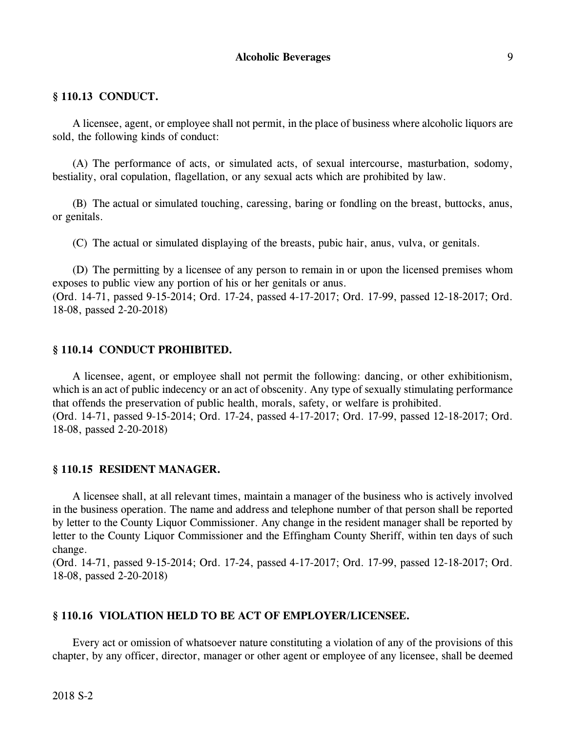# **§ 110.13 CONDUCT.**

A licensee, agent, or employee shall not permit, in the place of business where alcoholic liquors are sold, the following kinds of conduct:

(A) The performance of acts, or simulated acts, of sexual intercourse, masturbation, sodomy, bestiality, oral copulation, flagellation, or any sexual acts which are prohibited by law.

(B) The actual or simulated touching, caressing, baring or fondling on the breast, buttocks, anus, or genitals.

(C) The actual or simulated displaying of the breasts, pubic hair, anus, vulva, or genitals.

(D) The permitting by a licensee of any person to remain in or upon the licensed premises whom exposes to public view any portion of his or her genitals or anus. (Ord. 14-71, passed 9-15-2014; Ord. 17-24, passed 4-17-2017; Ord. 17-99, passed 12-18-2017; Ord. 18-08, passed 2-20-2018)

### **§ 110.14 CONDUCT PROHIBITED.**

A licensee, agent, or employee shall not permit the following: dancing, or other exhibitionism, which is an act of public indecency or an act of obscenity. Any type of sexually stimulating performance that offends the preservation of public health, morals, safety, or welfare is prohibited. (Ord. 14-71, passed 9-15-2014; Ord. 17-24, passed 4-17-2017; Ord. 17-99, passed 12-18-2017; Ord. 18-08, passed 2-20-2018)

#### **§ 110.15 RESIDENT MANAGER.**

A licensee shall, at all relevant times, maintain a manager of the business who is actively involved in the business operation. The name and address and telephone number of that person shall be reported by letter to the County Liquor Commissioner. Any change in the resident manager shall be reported by letter to the County Liquor Commissioner and the Effingham County Sheriff, within ten days of such change.

(Ord. 14-71, passed 9-15-2014; Ord. 17-24, passed 4-17-2017; Ord. 17-99, passed 12-18-2017; Ord. 18-08, passed 2-20-2018)

### **§ 110.16 VIOLATION HELD TO BE ACT OF EMPLOYER/LICENSEE.**

Every act or omission of whatsoever nature constituting a violation of any of the provisions of this chapter, by any officer, director, manager or other agent or employee of any licensee, shall be deemed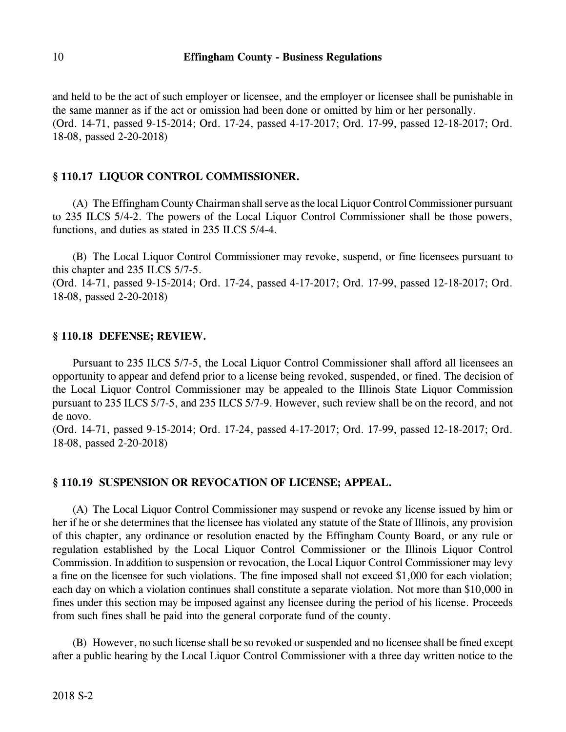and held to be the act of such employer or licensee, and the employer or licensee shall be punishable in the same manner as if the act or omission had been done or omitted by him or her personally. (Ord. 14-71, passed 9-15-2014; Ord. 17-24, passed 4-17-2017; Ord. 17-99, passed 12-18-2017; Ord. 18-08, passed 2-20-2018)

# **§ 110.17 LIQUOR CONTROL COMMISSIONER.**

(A) The Effingham County Chairman shall serve as the local Liquor ControlCommissioner pursuant to 235 ILCS 5/4-2. The powers of the Local Liquor Control Commissioner shall be those powers, functions, and duties as stated in 235 ILCS 5/4-4.

(B) The Local Liquor Control Commissioner may revoke, suspend, or fine licensees pursuant to this chapter and 235 ILCS 5/7-5.

(Ord. 14-71, passed 9-15-2014; Ord. 17-24, passed 4-17-2017; Ord. 17-99, passed 12-18-2017; Ord. 18-08, passed 2-20-2018)

### **§ 110.18 DEFENSE; REVIEW.**

Pursuant to 235 ILCS 5/7-5, the Local Liquor Control Commissioner shall afford all licensees an opportunity to appear and defend prior to a license being revoked, suspended, or fined. The decision of the Local Liquor Control Commissioner may be appealed to the Illinois State Liquor Commission pursuant to 235 ILCS 5/7-5, and 235 ILCS 5/7-9. However, such review shall be on the record, and not de novo.

(Ord. 14-71, passed 9-15-2014; Ord. 17-24, passed 4-17-2017; Ord. 17-99, passed 12-18-2017; Ord. 18-08, passed 2-20-2018)

# **§ 110.19 SUSPENSION OR REVOCATION OF LICENSE; APPEAL.**

(A) The Local Liquor Control Commissioner may suspend or revoke any license issued by him or her if he or she determines that the licensee has violated any statute of the State of Illinois, any provision of this chapter, any ordinance or resolution enacted by the Effingham County Board, or any rule or regulation established by the Local Liquor Control Commissioner or the Illinois Liquor Control Commission. In addition to suspension or revocation, the Local Liquor Control Commissioner may levy a fine on the licensee for such violations. The fine imposed shall not exceed \$1,000 for each violation; each day on which a violation continues shall constitute a separate violation. Not more than \$10,000 in fines under this section may be imposed against any licensee during the period of his license. Proceeds from such fines shall be paid into the general corporate fund of the county.

(B) However, no such license shall be so revoked or suspended and no licensee shall be fined except after a public hearing by the Local Liquor Control Commissioner with a three day written notice to the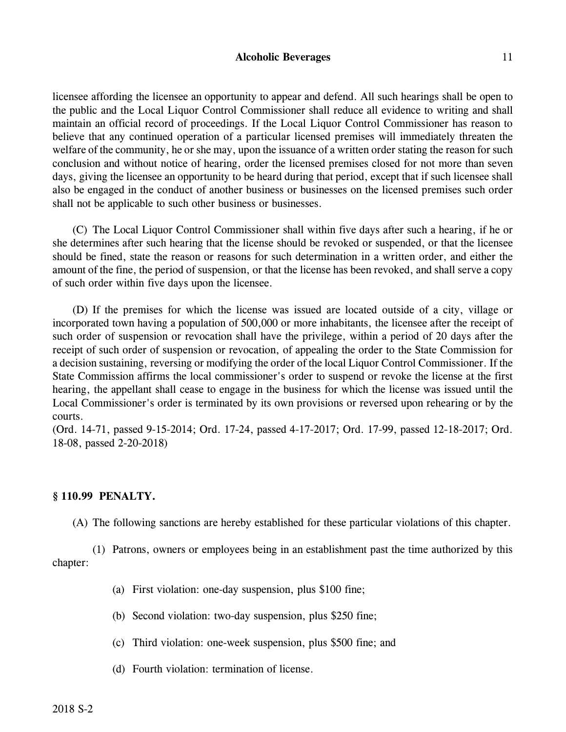### **Alcoholic Beverages** 11

licensee affording the licensee an opportunity to appear and defend. All such hearings shall be open to the public and the Local Liquor Control Commissioner shall reduce all evidence to writing and shall maintain an official record of proceedings. If the Local Liquor Control Commissioner has reason to believe that any continued operation of a particular licensed premises will immediately threaten the welfare of the community, he or she may, upon the issuance of a written order stating the reason for such conclusion and without notice of hearing, order the licensed premises closed for not more than seven days, giving the licensee an opportunity to be heard during that period, except that if such licensee shall also be engaged in the conduct of another business or businesses on the licensed premises such order shall not be applicable to such other business or businesses.

(C) The Local Liquor Control Commissioner shall within five days after such a hearing, if he or she determines after such hearing that the license should be revoked or suspended, or that the licensee should be fined, state the reason or reasons for such determination in a written order, and either the amount of the fine, the period of suspension, or that the license has been revoked, and shall serve a copy of such order within five days upon the licensee.

(D) If the premises for which the license was issued are located outside of a city, village or incorporated town having a population of 500,000 or more inhabitants, the licensee after the receipt of such order of suspension or revocation shall have the privilege, within a period of 20 days after the receipt of such order of suspension or revocation, of appealing the order to the State Commission for a decision sustaining, reversing or modifying the order of the local Liquor Control Commissioner. If the State Commission affirms the local commissioner's order to suspend or revoke the license at the first hearing, the appellant shall cease to engage in the business for which the license was issued until the Local Commissioner's order is terminated by its own provisions or reversed upon rehearing or by the courts.

(Ord. 14-71, passed 9-15-2014; Ord. 17-24, passed 4-17-2017; Ord. 17-99, passed 12-18-2017; Ord. 18-08, passed 2-20-2018)

# **§ 110.99 PENALTY.**

(A) The following sanctions are hereby established for these particular violations of this chapter.

(1) Patrons, owners or employees being in an establishment past the time authorized by this chapter:

- (a) First violation: one-day suspension, plus \$100 fine;
- (b) Second violation: two-day suspension, plus \$250 fine;
- (c) Third violation: one-week suspension, plus \$500 fine; and
- (d) Fourth violation: termination of license.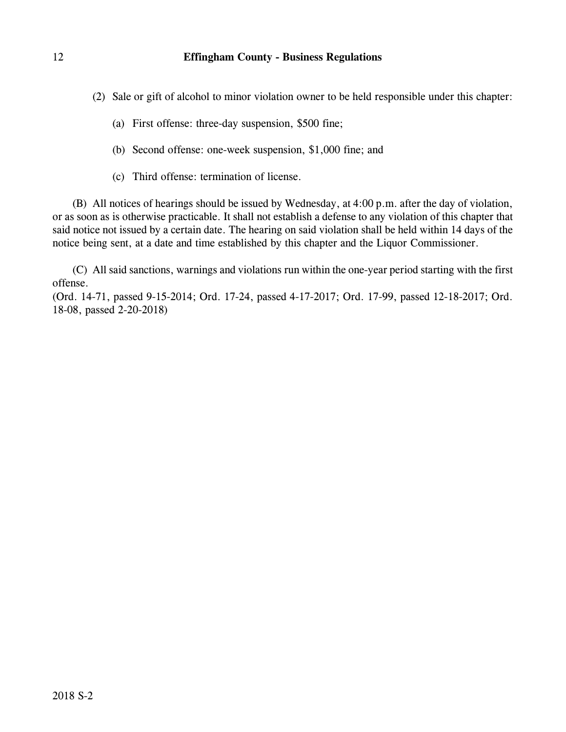(2) Sale or gift of alcohol to minor violation owner to be held responsible under this chapter:

- (a) First offense: three-day suspension, \$500 fine;
- (b) Second offense: one-week suspension, \$1,000 fine; and
- (c) Third offense: termination of license.

(B) All notices of hearings should be issued by Wednesday, at 4:00 p.m. after the day of violation, or as soon as is otherwise practicable. It shall not establish a defense to any violation of this chapter that said notice not issued by a certain date. The hearing on said violation shall be held within 14 days of the notice being sent, at a date and time established by this chapter and the Liquor Commissioner.

(C) All said sanctions, warnings and violations run within the one-year period starting with the first offense.

(Ord. 14-71, passed 9-15-2014; Ord. 17-24, passed 4-17-2017; Ord. 17-99, passed 12-18-2017; Ord. 18-08, passed 2-20-2018)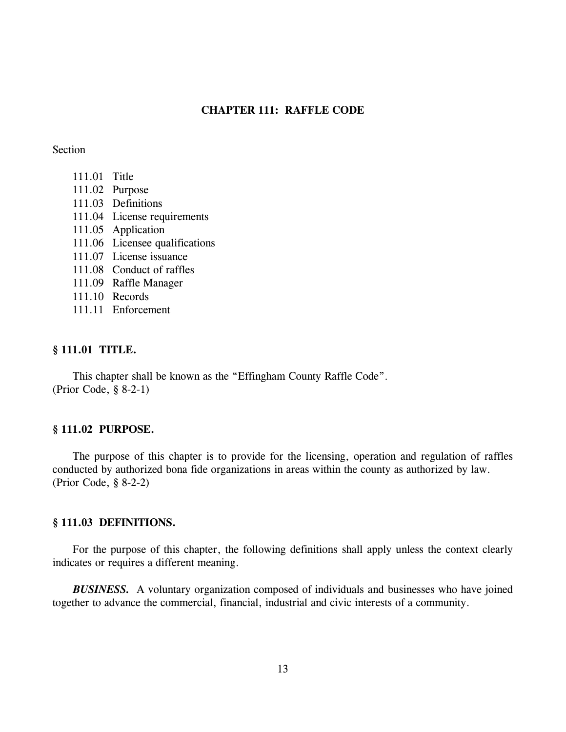#### **CHAPTER 111: RAFFLE CODE**

#### Section

- 111.01 Title
- 111.02 Purpose
- 111.03 Definitions
- 111.04 License requirements
- 111.05 Application
- 111.06 Licensee qualifications
- 111.07 License issuance
- 111.08 Conduct of raffles
- 111.09 Raffle Manager
- 111.10 Records
- 111.11 Enforcement

### **§ 111.01 TITLE.**

This chapter shall be known as the "Effingham County Raffle Code". (Prior Code, § 8-2-1)

#### **§ 111.02 PURPOSE.**

The purpose of this chapter is to provide for the licensing, operation and regulation of raffles conducted by authorized bona fide organizations in areas within the county as authorized by law. (Prior Code, § 8-2-2)

#### **§ 111.03 DEFINITIONS.**

For the purpose of this chapter, the following definitions shall apply unless the context clearly indicates or requires a different meaning.

*BUSINESS.* A voluntary organization composed of individuals and businesses who have joined together to advance the commercial, financial, industrial and civic interests of a community.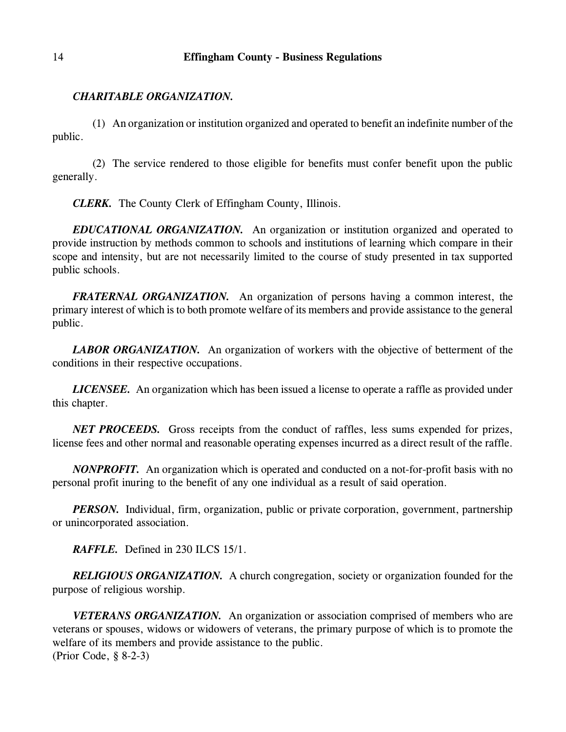# *CHARITABLE ORGANIZATION.*

(1) An organization or institution organized and operated to benefit an indefinite number of the public.

(2) The service rendered to those eligible for benefits must confer benefit upon the public generally.

*CLERK.* The County Clerk of Effingham County, Illinois.

*EDUCATIONAL ORGANIZATION.* An organization or institution organized and operated to provide instruction by methods common to schools and institutions of learning which compare in their scope and intensity, but are not necessarily limited to the course of study presented in tax supported public schools.

*FRATERNAL ORGANIZATION.* An organization of persons having a common interest, the primary interest of which is to both promote welfare of its members and provide assistance to the general public.

**LABOR ORGANIZATION.** An organization of workers with the objective of betterment of the conditions in their respective occupations.

*LICENSEE.* An organization which has been issued a license to operate a raffle as provided under this chapter.

*NET PROCEEDS.* Gross receipts from the conduct of raffles, less sums expended for prizes, license fees and other normal and reasonable operating expenses incurred as a direct result of the raffle.

*NONPROFIT.* An organization which is operated and conducted on a not-for-profit basis with no personal profit inuring to the benefit of any one individual as a result of said operation.

*PERSON.* Individual, firm, organization, public or private corporation, government, partnership or unincorporated association.

*RAFFLE.* Defined in 230 ILCS 15/1.

*RELIGIOUS ORGANIZATION.* A church congregation, society or organization founded for the purpose of religious worship.

*VETERANS ORGANIZATION.* An organization or association comprised of members who are veterans or spouses, widows or widowers of veterans, the primary purpose of which is to promote the welfare of its members and provide assistance to the public. (Prior Code, § 8-2-3)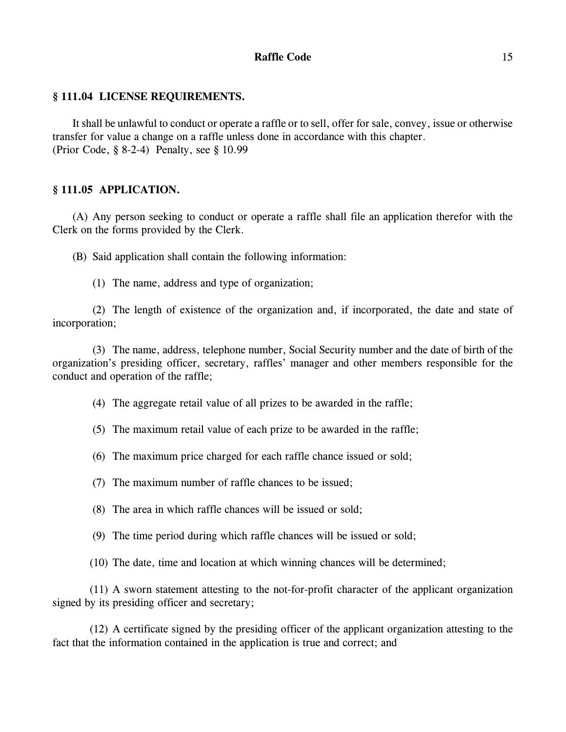# **Raffle Code** 15

# **§ 111.04 LICENSE REQUIREMENTS.**

It shall be unlawful to conduct or operate a raffle or to sell, offer for sale, convey, issue or otherwise transfer for value a change on a raffle unless done in accordance with this chapter. (Prior Code, § 8-2-4) Penalty, see § 10.99

# **§ 111.05 APPLICATION.**

(A) Any person seeking to conduct or operate a raffle shall file an application therefor with the Clerk on the forms provided by the Clerk.

(B) Said application shall contain the following information:

(1) The name, address and type of organization;

(2) The length of existence of the organization and, if incorporated, the date and state of incorporation;

(3) The name, address, telephone number, Social Security number and the date of birth of the organization's presiding officer, secretary, raffles' manager and other members responsible for the conduct and operation of the raffle;

(4) The aggregate retail value of all prizes to be awarded in the raffle;

(5) The maximum retail value of each prize to be awarded in the raffle;

(6) The maximum price charged for each raffle chance issued or sold;

(7) The maximum number of raffle chances to be issued;

(8) The area in which raffle chances will be issued or sold;

(9) The time period during which raffle chances will be issued or sold;

(10) The date, time and location at which winning chances will be determined;

(11) A sworn statement attesting to the not-for-profit character of the applicant organization signed by its presiding officer and secretary;

(12) A certificate signed by the presiding officer of the applicant organization attesting to the fact that the information contained in the application is true and correct; and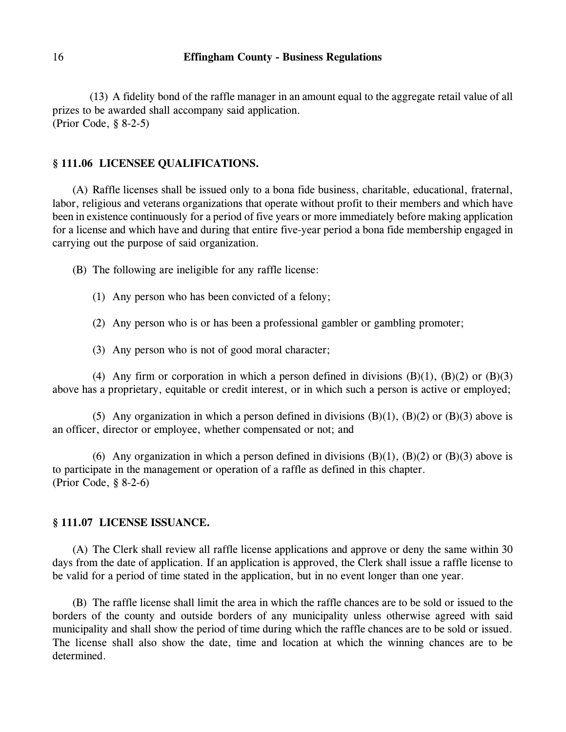(13) A fidelity bond of the raffle manager in an amount equal to the aggregate retail value of all prizes to be awarded shall accompany said application. (Prior Code, § 8-2-5)

### **§ 111.06 LICENSEE QUALIFICATIONS.**

(A) Raffle licenses shall be issued only to a bona fide business, charitable, educational, fraternal, labor, religious and veterans organizations that operate without profit to their members and which have been in existence continuously for a period of five years or more immediately before making application for a license and which have and during that entire five-year period a bona fide membership engaged in carrying out the purpose of said organization.

(B) The following are ineligible for any raffle license:

- (1) Any person who has been convicted of a felony;
- (2) Any person who is or has been a professional gambler or gambling promoter;
- (3) Any person who is not of good moral character;

(4) Any firm or corporation in which a person defined in divisions  $(B)(1)$ ,  $(B)(2)$  or  $(B)(3)$ above has a proprietary, equitable or credit interest, or in which such a person is active or employed;

(5) Any organization in which a person defined in divisions  $(B)(1)$ ,  $(B)(2)$  or  $(B)(3)$  above is an officer, director or employee, whether compensated or not; and

(6) Any organization in which a person defined in divisions  $(B)(1)$ ,  $(B)(2)$  or  $(B)(3)$  above is to participate in the management or operation of a raffle as defined in this chapter. (Prior Code, § 8-2-6)

### **§ 111.07 LICENSE ISSUANCE.**

(A) The Clerk shall review all raffle license applications and approve or deny the same within 30 days from the date of application. If an application is approved, the Clerk shall issue a raffle license to be valid for a period of time stated in the application, but in no event longer than one year.

(B) The raffle license shall limit the area in which the raffle chances are to be sold or issued to the borders of the county and outside borders of any municipality unless otherwise agreed with said municipality and shall show the period of time during which the raffle chances are to be sold or issued. The license shall also show the date, time and location at which the winning chances are to be determined.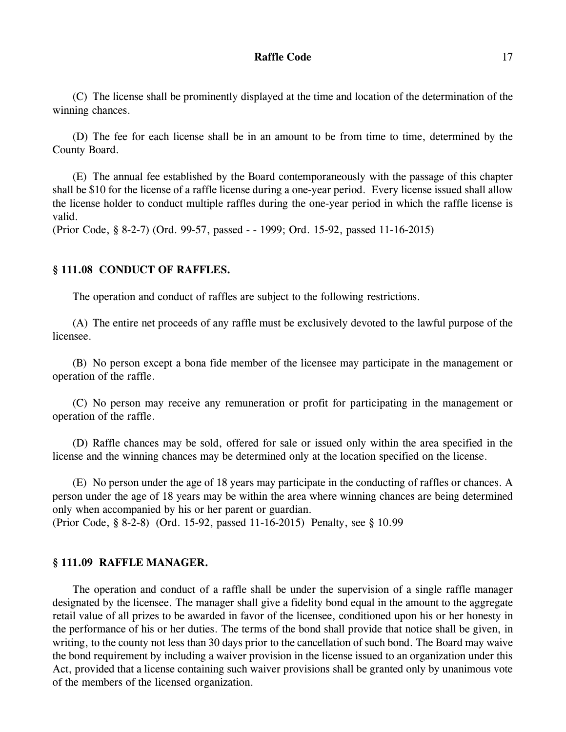#### **Raffle Code** 17

(C) The license shall be prominently displayed at the time and location of the determination of the winning chances.

(D) The fee for each license shall be in an amount to be from time to time, determined by the County Board.

(E) The annual fee established by the Board contemporaneously with the passage of this chapter shall be \$10 for the license of a raffle license during a one-year period. Every license issued shall allow the license holder to conduct multiple raffles during the one-year period in which the raffle license is valid.

(Prior Code, § 8-2-7) (Ord. 99-57, passed - - 1999; Ord. 15-92, passed 11-16-2015)

### **§ 111.08 CONDUCT OF RAFFLES.**

The operation and conduct of raffles are subject to the following restrictions.

(A) The entire net proceeds of any raffle must be exclusively devoted to the lawful purpose of the licensee.

(B) No person except a bona fide member of the licensee may participate in the management or operation of the raffle.

(C) No person may receive any remuneration or profit for participating in the management or operation of the raffle.

(D) Raffle chances may be sold, offered for sale or issued only within the area specified in the license and the winning chances may be determined only at the location specified on the license.

(E) No person under the age of 18 years may participate in the conducting of raffles or chances. A person under the age of 18 years may be within the area where winning chances are being determined only when accompanied by his or her parent or guardian.

(Prior Code, § 8-2-8) (Ord. 15-92, passed 11-16-2015) Penalty, see § 10.99

#### **§ 111.09 RAFFLE MANAGER.**

The operation and conduct of a raffle shall be under the supervision of a single raffle manager designated by the licensee. The manager shall give a fidelity bond equal in the amount to the aggregate retail value of all prizes to be awarded in favor of the licensee, conditioned upon his or her honesty in the performance of his or her duties. The terms of the bond shall provide that notice shall be given, in writing, to the county not less than 30 days prior to the cancellation of such bond. The Board may waive the bond requirement by including a waiver provision in the license issued to an organization under this Act, provided that a license containing such waiver provisions shall be granted only by unanimous vote of the members of the licensed organization.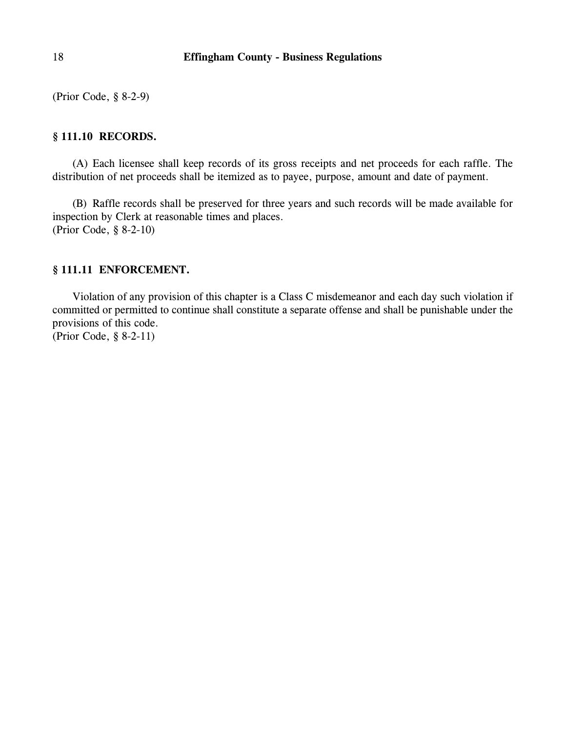(Prior Code, § 8-2-9)

# **§ 111.10 RECORDS.**

(A) Each licensee shall keep records of its gross receipts and net proceeds for each raffle. The distribution of net proceeds shall be itemized as to payee, purpose, amount and date of payment.

(B) Raffle records shall be preserved for three years and such records will be made available for inspection by Clerk at reasonable times and places. (Prior Code, § 8-2-10)

# **§ 111.11 ENFORCEMENT.**

Violation of any provision of this chapter is a Class C misdemeanor and each day such violation if committed or permitted to continue shall constitute a separate offense and shall be punishable under the provisions of this code.

(Prior Code, § 8-2-11)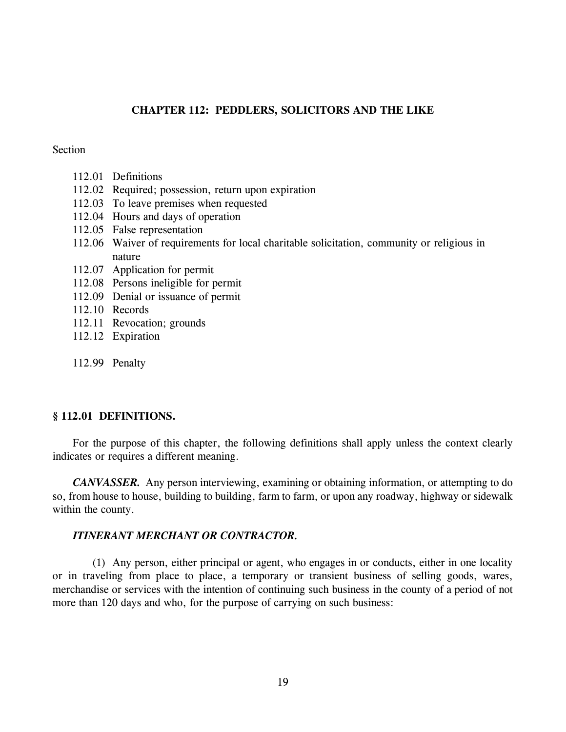# **CHAPTER 112: PEDDLERS, SOLICITORS AND THE LIKE**

### **Section**

- 112.01 Definitions
- 112.02 Required; possession, return upon expiration
- 112.03 To leave premises when requested
- 112.04 Hours and days of operation
- 112.05 False representation
- 112.06 Waiver of requirements for local charitable solicitation, community or religious in nature
- 112.07 Application for permit
- 112.08 Persons ineligible for permit
- 112.09 Denial or issuance of permit
- 112.10 Records
- 112.11 Revocation; grounds
- 112.12 Expiration
- 112.99 Penalty

# **§ 112.01 DEFINITIONS.**

For the purpose of this chapter, the following definitions shall apply unless the context clearly indicates or requires a different meaning.

*CANVASSER.* Any person interviewing, examining or obtaining information, or attempting to do so, from house to house, building to building, farm to farm, or upon any roadway, highway or sidewalk within the county.

# *ITINERANT MERCHANT OR CONTRACTOR.*

(1) Any person, either principal or agent, who engages in or conducts, either in one locality or in traveling from place to place, a temporary or transient business of selling goods, wares, merchandise or services with the intention of continuing such business in the county of a period of not more than 120 days and who, for the purpose of carrying on such business: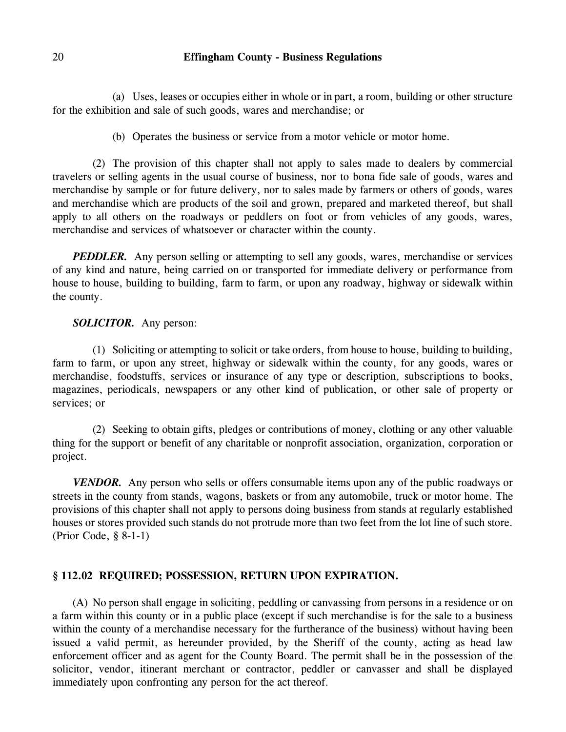(a) Uses, leases or occupies either in whole or in part, a room, building or other structure for the exhibition and sale of such goods, wares and merchandise; or

(b) Operates the business or service from a motor vehicle or motor home.

(2) The provision of this chapter shall not apply to sales made to dealers by commercial travelers or selling agents in the usual course of business, nor to bona fide sale of goods, wares and merchandise by sample or for future delivery, nor to sales made by farmers or others of goods, wares and merchandise which are products of the soil and grown, prepared and marketed thereof, but shall apply to all others on the roadways or peddlers on foot or from vehicles of any goods, wares, merchandise and services of whatsoever or character within the county.

*PEDDLER.* Any person selling or attempting to sell any goods, wares, merchandise or services of any kind and nature, being carried on or transported for immediate delivery or performance from house to house, building to building, farm to farm, or upon any roadway, highway or sidewalk within the county.

# *SOLICITOR.* Any person:

(1) Soliciting or attempting to solicit or take orders, from house to house, building to building, farm to farm, or upon any street, highway or sidewalk within the county, for any goods, wares or merchandise, foodstuffs, services or insurance of any type or description, subscriptions to books, magazines, periodicals, newspapers or any other kind of publication, or other sale of property or services; or

(2) Seeking to obtain gifts, pledges or contributions of money, clothing or any other valuable thing for the support or benefit of any charitable or nonprofit association, organization, corporation or project.

*VENDOR.* Any person who sells or offers consumable items upon any of the public roadways or streets in the county from stands, wagons, baskets or from any automobile, truck or motor home. The provisions of this chapter shall not apply to persons doing business from stands at regularly established houses or stores provided such stands do not protrude more than two feet from the lot line of such store. (Prior Code, § 8-1-1)

### **§ 112.02 REQUIRED; POSSESSION, RETURN UPON EXPIRATION.**

(A) No person shall engage in soliciting, peddling or canvassing from persons in a residence or on a farm within this county or in a public place (except if such merchandise is for the sale to a business within the county of a merchandise necessary for the furtherance of the business) without having been issued a valid permit, as hereunder provided, by the Sheriff of the county, acting as head law enforcement officer and as agent for the County Board. The permit shall be in the possession of the solicitor, vendor, itinerant merchant or contractor, peddler or canvasser and shall be displayed immediately upon confronting any person for the act thereof.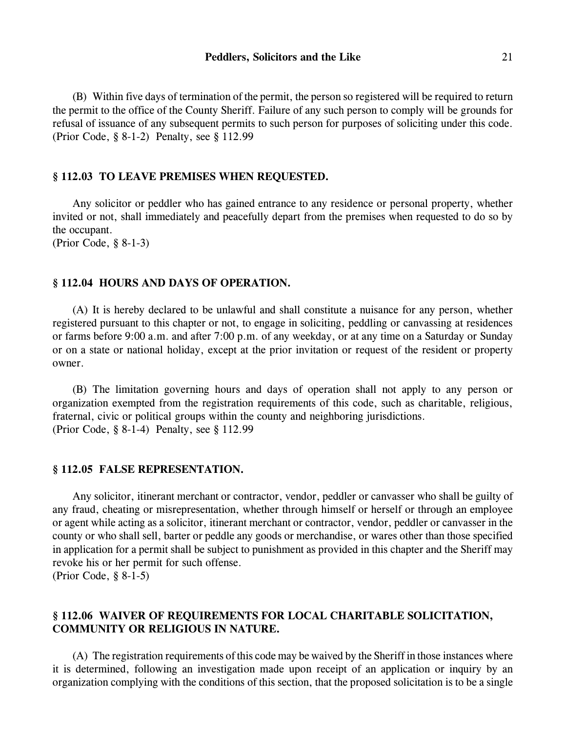(B) Within five days of termination of the permit, the person so registered will be required to return the permit to the office of the County Sheriff. Failure of any such person to comply will be grounds for refusal of issuance of any subsequent permits to such person for purposes of soliciting under this code. (Prior Code, § 8-1-2) Penalty, see § 112.99

#### **§ 112.03 TO LEAVE PREMISES WHEN REQUESTED.**

Any solicitor or peddler who has gained entrance to any residence or personal property, whether invited or not, shall immediately and peacefully depart from the premises when requested to do so by the occupant.

(Prior Code, § 8-1-3)

#### **§ 112.04 HOURS AND DAYS OF OPERATION.**

(A) It is hereby declared to be unlawful and shall constitute a nuisance for any person, whether registered pursuant to this chapter or not, to engage in soliciting, peddling or canvassing at residences or farms before 9:00 a.m. and after 7:00 p.m. of any weekday, or at any time on a Saturday or Sunday or on a state or national holiday, except at the prior invitation or request of the resident or property owner.

(B) The limitation governing hours and days of operation shall not apply to any person or organization exempted from the registration requirements of this code, such as charitable, religious, fraternal, civic or political groups within the county and neighboring jurisdictions. (Prior Code, § 8-1-4) Penalty, see § 112.99

#### **§ 112.05 FALSE REPRESENTATION.**

Any solicitor, itinerant merchant or contractor, vendor, peddler or canvasser who shall be guilty of any fraud, cheating or misrepresentation, whether through himself or herself or through an employee or agent while acting as a solicitor, itinerant merchant or contractor, vendor, peddler or canvasser in the county or who shall sell, barter or peddle any goods or merchandise, or wares other than those specified in application for a permit shall be subject to punishment as provided in this chapter and the Sheriff may revoke his or her permit for such offense.

(Prior Code, § 8-1-5)

# **§ 112.06 WAIVER OF REQUIREMENTS FOR LOCAL CHARITABLE SOLICITATION, COMMUNITY OR RELIGIOUS IN NATURE.**

(A) The registration requirements of this code may be waived by the Sheriff in those instances where it is determined, following an investigation made upon receipt of an application or inquiry by an organization complying with the conditions of this section, that the proposed solicitation is to be a single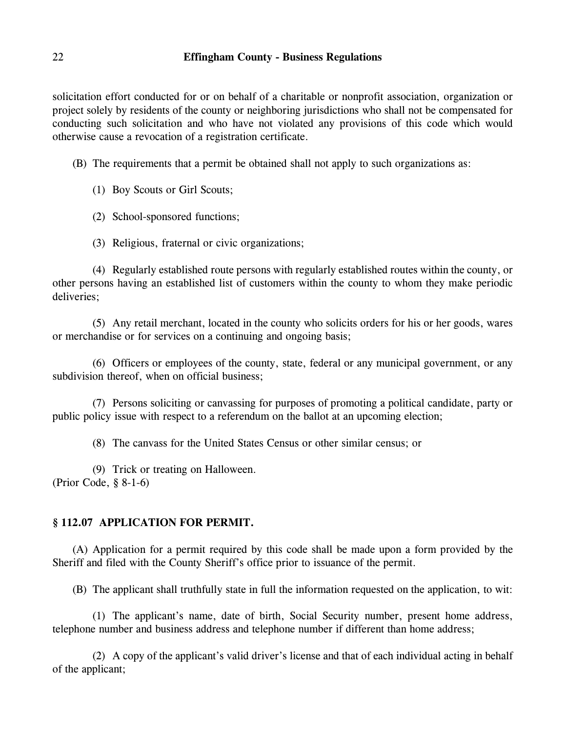solicitation effort conducted for or on behalf of a charitable or nonprofit association, organization or project solely by residents of the county or neighboring jurisdictions who shall not be compensated for conducting such solicitation and who have not violated any provisions of this code which would otherwise cause a revocation of a registration certificate.

(B) The requirements that a permit be obtained shall not apply to such organizations as:

(1) Boy Scouts or Girl Scouts;

(2) School-sponsored functions;

(3) Religious, fraternal or civic organizations;

(4) Regularly established route persons with regularly established routes within the county, or other persons having an established list of customers within the county to whom they make periodic deliveries;

(5) Any retail merchant, located in the county who solicits orders for his or her goods, wares or merchandise or for services on a continuing and ongoing basis;

(6) Officers or employees of the county, state, federal or any municipal government, or any subdivision thereof, when on official business;

(7) Persons soliciting or canvassing for purposes of promoting a political candidate, party or public policy issue with respect to a referendum on the ballot at an upcoming election;

(8) The canvass for the United States Census or other similar census; or

(9) Trick or treating on Halloween. (Prior Code, § 8-1-6)

# **§ 112.07 APPLICATION FOR PERMIT.**

(A) Application for a permit required by this code shall be made upon a form provided by the Sheriff and filed with the County Sheriff's office prior to issuance of the permit.

(B) The applicant shall truthfully state in full the information requested on the application, to wit:

(1) The applicant's name, date of birth, Social Security number, present home address, telephone number and business address and telephone number if different than home address;

(2) A copy of the applicant's valid driver's license and that of each individual acting in behalf of the applicant;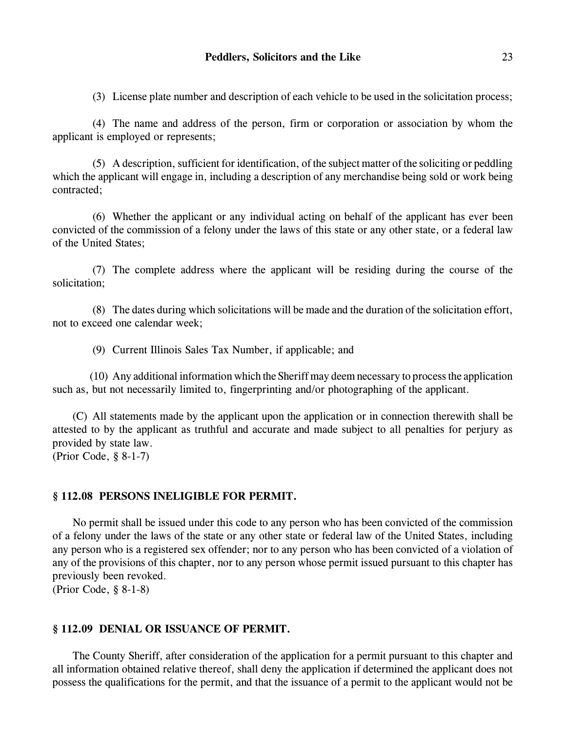(3) License plate number and description of each vehicle to be used in the solicitation process;

(4) The name and address of the person, firm or corporation or association by whom the applicant is employed or represents;

(5) A description, sufficient for identification, of the subject matter of the soliciting or peddling which the applicant will engage in, including a description of any merchandise being sold or work being contracted;

(6) Whether the applicant or any individual acting on behalf of the applicant has ever been convicted of the commission of a felony under the laws of this state or any other state, or a federal law of the United States;

(7) The complete address where the applicant will be residing during the course of the solicitation;

(8) The dates during which solicitations will be made and the duration of the solicitation effort, not to exceed one calendar week;

(9) Current Illinois Sales Tax Number, if applicable; and

(10) Any additional information which the Sheriff may deem necessary to process the application such as, but not necessarily limited to, fingerprinting and/or photographing of the applicant.

(C) All statements made by the applicant upon the application or in connection therewith shall be attested to by the applicant as truthful and accurate and made subject to all penalties for perjury as provided by state law. (Prior Code, § 8-1-7)

#### **§ 112.08 PERSONS INELIGIBLE FOR PERMIT.**

No permit shall be issued under this code to any person who has been convicted of the commission of a felony under the laws of the state or any other state or federal law of the United States, including any person who is a registered sex offender; nor to any person who has been convicted of a violation of any of the provisions of this chapter, nor to any person whose permit issued pursuant to this chapter has previously been revoked.

(Prior Code, § 8-1-8)

### **§ 112.09 DENIAL OR ISSUANCE OF PERMIT.**

The County Sheriff, after consideration of the application for a permit pursuant to this chapter and all information obtained relative thereof, shall deny the application if determined the applicant does not possess the qualifications for the permit, and that the issuance of a permit to the applicant would not be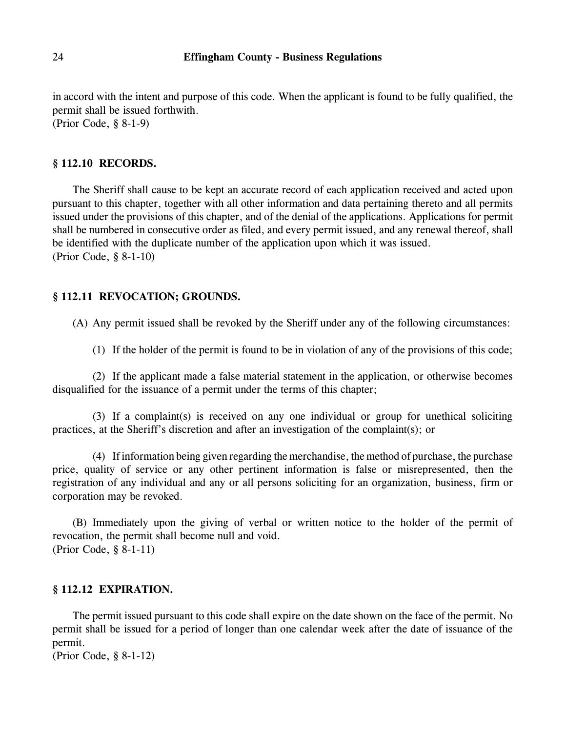in accord with the intent and purpose of this code. When the applicant is found to be fully qualified, the permit shall be issued forthwith. (Prior Code, § 8-1-9)

### **§ 112.10 RECORDS.**

The Sheriff shall cause to be kept an accurate record of each application received and acted upon pursuant to this chapter, together with all other information and data pertaining thereto and all permits issued under the provisions of this chapter, and of the denial of the applications. Applications for permit shall be numbered in consecutive order as filed, and every permit issued, and any renewal thereof, shall be identified with the duplicate number of the application upon which it was issued. (Prior Code, § 8-1-10)

#### **§ 112.11 REVOCATION; GROUNDS.**

(A) Any permit issued shall be revoked by the Sheriff under any of the following circumstances:

(1) If the holder of the permit is found to be in violation of any of the provisions of this code;

(2) If the applicant made a false material statement in the application, or otherwise becomes disqualified for the issuance of a permit under the terms of this chapter;

(3) If a complaint(s) is received on any one individual or group for unethical soliciting practices, at the Sheriff's discretion and after an investigation of the complaint(s); or

(4) If information being given regarding the merchandise, the method of purchase, the purchase price, quality of service or any other pertinent information is false or misrepresented, then the registration of any individual and any or all persons soliciting for an organization, business, firm or corporation may be revoked.

(B) Immediately upon the giving of verbal or written notice to the holder of the permit of revocation, the permit shall become null and void. (Prior Code, § 8-1-11)

#### **§ 112.12 EXPIRATION.**

The permit issued pursuant to this code shall expire on the date shown on the face of the permit. No permit shall be issued for a period of longer than one calendar week after the date of issuance of the permit.

(Prior Code, § 8-1-12)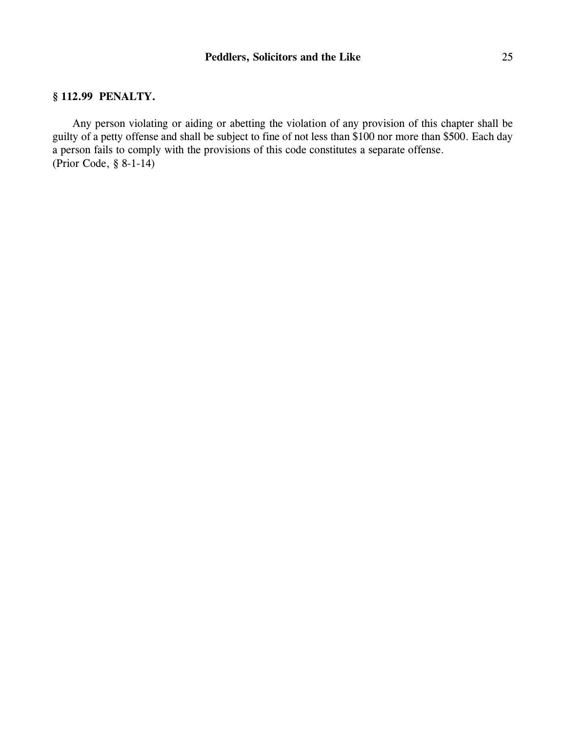# **§ 112.99 PENALTY.**

Any person violating or aiding or abetting the violation of any provision of this chapter shall be guilty of a petty offense and shall be subject to fine of not less than \$100 nor more than \$500. Each day a person fails to comply with the provisions of this code constitutes a separate offense. (Prior Code, § 8-1-14)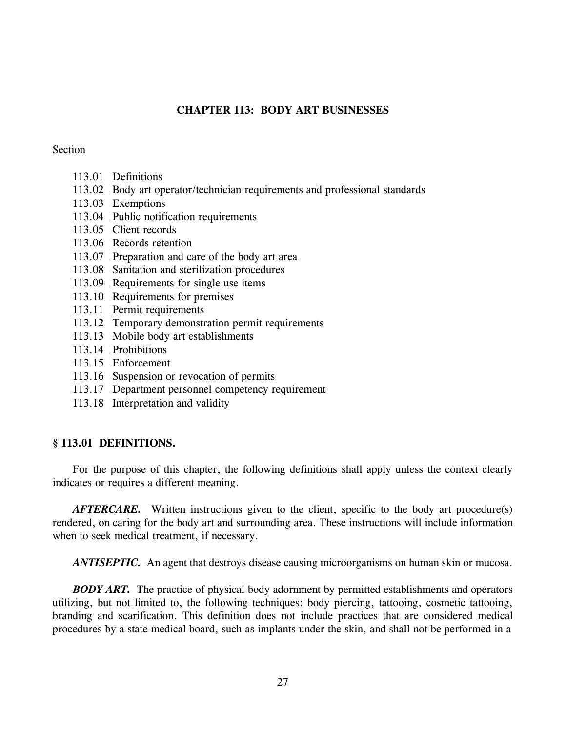# **CHAPTER 113: BODY ART BUSINESSES**

### **Section**

- 113.01 Definitions
- 113.02 Body art operator/technician requirements and professional standards
- 113.03 Exemptions
- 113.04 Public notification requirements
- 113.05 Client records
- 113.06 Records retention
- 113.07 Preparation and care of the body art area
- 113.08 Sanitation and sterilization procedures
- 113.09 Requirements for single use items
- 113.10 Requirements for premises
- 113.11 Permit requirements
- 113.12 Temporary demonstration permit requirements
- 113.13 Mobile body art establishments
- 113.14 Prohibitions
- 113.15 Enforcement
- 113.16 Suspension or revocation of permits
- 113.17 Department personnel competency requirement
- 113.18 Interpretation and validity

# **§ 113.01 DEFINITIONS.**

For the purpose of this chapter, the following definitions shall apply unless the context clearly indicates or requires a different meaning.

*AFTERCARE.* Written instructions given to the client, specific to the body art procedure(s) rendered, on caring for the body art and surrounding area. These instructions will include information when to seek medical treatment, if necessary.

*ANTISEPTIC.* An agent that destroys disease causing microorganisms on human skin or mucosa.

*BODY ART.* The practice of physical body adornment by permitted establishments and operators utilizing, but not limited to, the following techniques: body piercing, tattooing, cosmetic tattooing, branding and scarification. This definition does not include practices that are considered medical procedures by a state medical board, such as implants under the skin, and shall not be performed in a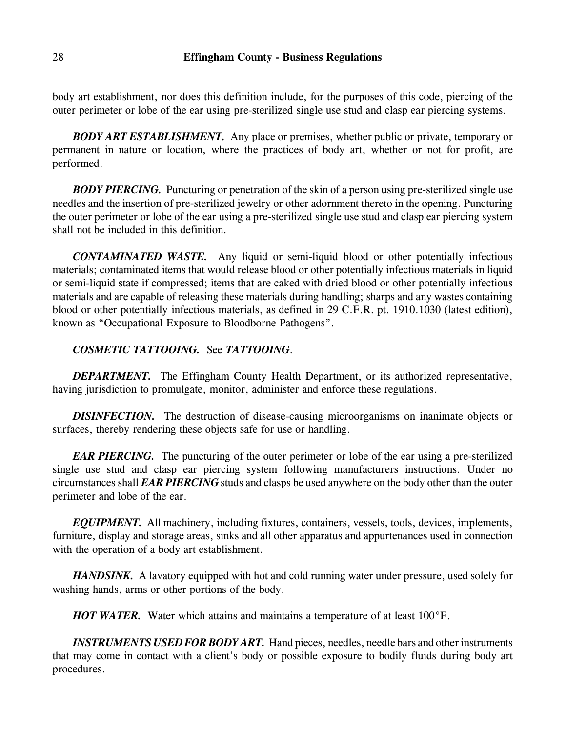body art establishment, nor does this definition include, for the purposes of this code, piercing of the outer perimeter or lobe of the ear using pre-sterilized single use stud and clasp ear piercing systems.

*BODY ART ESTABLISHMENT.* Any place or premises, whether public or private, temporary or permanent in nature or location, where the practices of body art, whether or not for profit, are performed.

*BODY PIERCING.* Puncturing or penetration of the skin of a person using pre-sterilized single use needles and the insertion of pre-sterilized jewelry or other adornment thereto in the opening. Puncturing the outer perimeter or lobe of the ear using a pre-sterilized single use stud and clasp ear piercing system shall not be included in this definition.

*CONTAMINATED WASTE.* Any liquid or semi-liquid blood or other potentially infectious materials; contaminated items that would release blood or other potentially infectious materials in liquid or semi-liquid state if compressed; items that are caked with dried blood or other potentially infectious materials and are capable of releasing these materials during handling; sharps and any wastes containing blood or other potentially infectious materials, as defined in 29 C.F.R. pt. 1910.1030 (latest edition), known as "Occupational Exposure to Bloodborne Pathogens".

# *COSMETIC TATTOOING.* See *TATTOOING*.

*DEPARTMENT.* The Effingham County Health Department, or its authorized representative, having jurisdiction to promulgate, monitor, administer and enforce these regulations.

*DISINFECTION*. The destruction of disease-causing microorganisms on inanimate objects or surfaces, thereby rendering these objects safe for use or handling.

*EAR PIERCING*. The puncturing of the outer perimeter or lobe of the ear using a pre-sterilized single use stud and clasp ear piercing system following manufacturers instructions. Under no circumstances shall *EAR PIERCING* studs and clasps be used anywhere on the body other than the outer perimeter and lobe of the ear.

*EQUIPMENT.* All machinery, including fixtures, containers, vessels, tools, devices, implements, furniture, display and storage areas, sinks and all other apparatus and appurtenances used in connection with the operation of a body art establishment.

*HANDSINK.* A lavatory equipped with hot and cold running water under pressure, used solely for washing hands, arms or other portions of the body.

*HOT WATER.* Water which attains and maintains a temperature of at least 100°F.

*INSTRUMENTS USED FOR BODY ART.* Hand pieces, needles, needle bars and other instruments that may come in contact with a client's body or possible exposure to bodily fluids during body art procedures.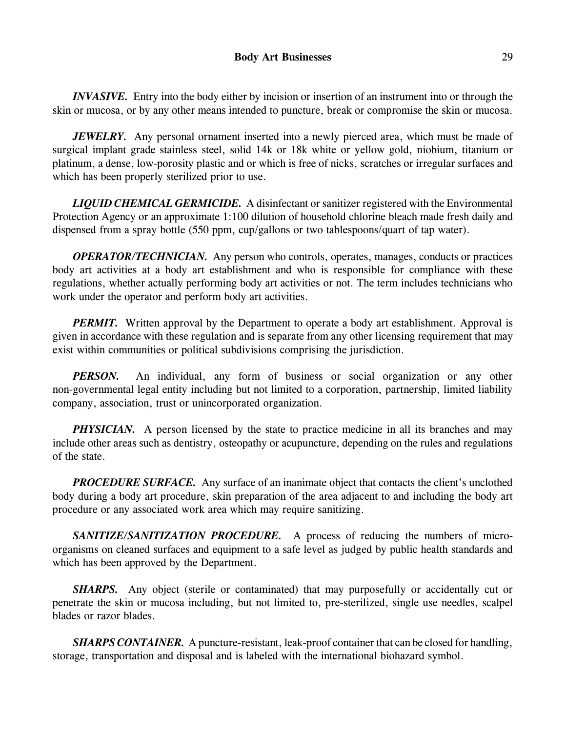*INVASIVE.* Entry into the body either by incision or insertion of an instrument into or through the skin or mucosa, or by any other means intended to puncture, break or compromise the skin or mucosa.

*JEWELRY.* Any personal ornament inserted into a newly pierced area, which must be made of surgical implant grade stainless steel, solid 14k or 18k white or yellow gold, niobium, titanium or platinum, a dense, low-porosity plastic and or which is free of nicks, scratches or irregular surfaces and which has been properly sterilized prior to use.

*LIQUID CHEMICAL GERMICIDE.* A disinfectant or sanitizer registered with the Environmental Protection Agency or an approximate 1:100 dilution of household chlorine bleach made fresh daily and dispensed from a spray bottle (550 ppm, cup/gallons or two tablespoons/quart of tap water).

*OPERATOR/TECHNICIAN.* Any person who controls, operates, manages, conducts or practices body art activities at a body art establishment and who is responsible for compliance with these regulations, whether actually performing body art activities or not. The term includes technicians who work under the operator and perform body art activities.

*PERMIT.* Written approval by the Department to operate a body art establishment. Approval is given in accordance with these regulation and is separate from any other licensing requirement that may exist within communities or political subdivisions comprising the jurisdiction.

*PERSON*. An individual, any form of business or social organization or any other non-governmental legal entity including but not limited to a corporation, partnership, limited liability company, association, trust or unincorporated organization.

*PHYSICIAN.* A person licensed by the state to practice medicine in all its branches and may include other areas such as dentistry, osteopathy or acupuncture, depending on the rules and regulations of the state.

**PROCEDURE SURFACE.** Any surface of an inanimate object that contacts the client's unclothed body during a body art procedure, skin preparation of the area adjacent to and including the body art procedure or any associated work area which may require sanitizing.

*SANITIZE/SANITIZATION PROCEDURE.* A process of reducing the numbers of microorganisms on cleaned surfaces and equipment to a safe level as judged by public health standards and which has been approved by the Department.

*SHARPS.* Any object (sterile or contaminated) that may purposefully or accidentally cut or penetrate the skin or mucosa including, but not limited to, pre-sterilized, single use needles, scalpel blades or razor blades.

*SHARPS CONTAINER.* A puncture-resistant, leak-proof container that can be closed for handling, storage, transportation and disposal and is labeled with the international biohazard symbol.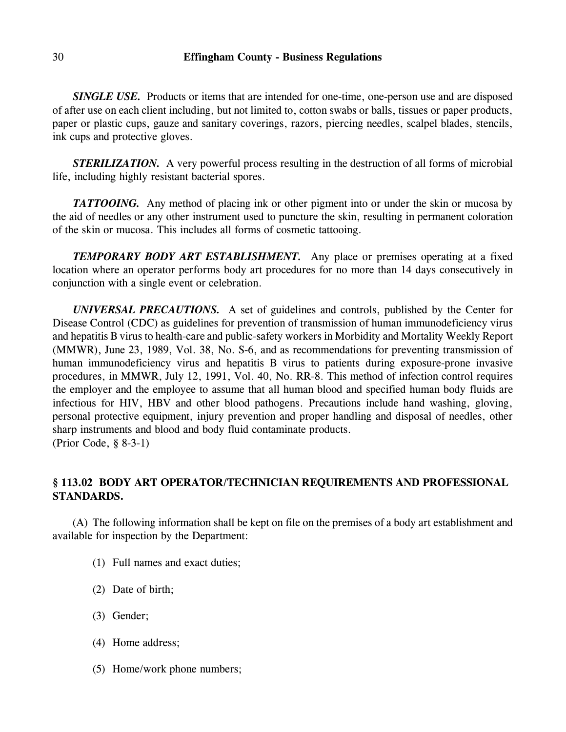*SINGLE USE.* Products or items that are intended for one-time, one-person use and are disposed of after use on each client including, but not limited to, cotton swabs or balls, tissues or paper products, paper or plastic cups, gauze and sanitary coverings, razors, piercing needles, scalpel blades, stencils, ink cups and protective gloves.

*STERILIZATION.* A very powerful process resulting in the destruction of all forms of microbial life, including highly resistant bacterial spores.

**TATTOOING.** Any method of placing ink or other pigment into or under the skin or mucosa by the aid of needles or any other instrument used to puncture the skin, resulting in permanent coloration of the skin or mucosa. This includes all forms of cosmetic tattooing.

*TEMPORARY BODY ART ESTABLISHMENT.* Any place or premises operating at a fixed location where an operator performs body art procedures for no more than 14 days consecutively in conjunction with a single event or celebration.

*UNIVERSAL PRECAUTIONS.* A set of guidelines and controls, published by the Center for Disease Control (CDC) as guidelines for prevention of transmission of human immunodeficiency virus and hepatitis B virus to health-care and public-safety workers in Morbidity and Mortality Weekly Report (MMWR), June 23, 1989, Vol. 38, No. S-6, and as recommendations for preventing transmission of human immunodeficiency virus and hepatitis B virus to patients during exposure-prone invasive procedures, in MMWR, July 12, 1991, Vol. 40, No. RR-8. This method of infection control requires the employer and the employee to assume that all human blood and specified human body fluids are infectious for HIV, HBV and other blood pathogens. Precautions include hand washing, gloving, personal protective equipment, injury prevention and proper handling and disposal of needles, other sharp instruments and blood and body fluid contaminate products. (Prior Code, § 8-3-1)

# **§ 113.02 BODY ART OPERATOR/TECHNICIAN REQUIREMENTS AND PROFESSIONAL STANDARDS.**

(A) The following information shall be kept on file on the premises of a body art establishment and available for inspection by the Department:

- (1) Full names and exact duties;
- (2) Date of birth;
- (3) Gender;
- (4) Home address;
- (5) Home/work phone numbers;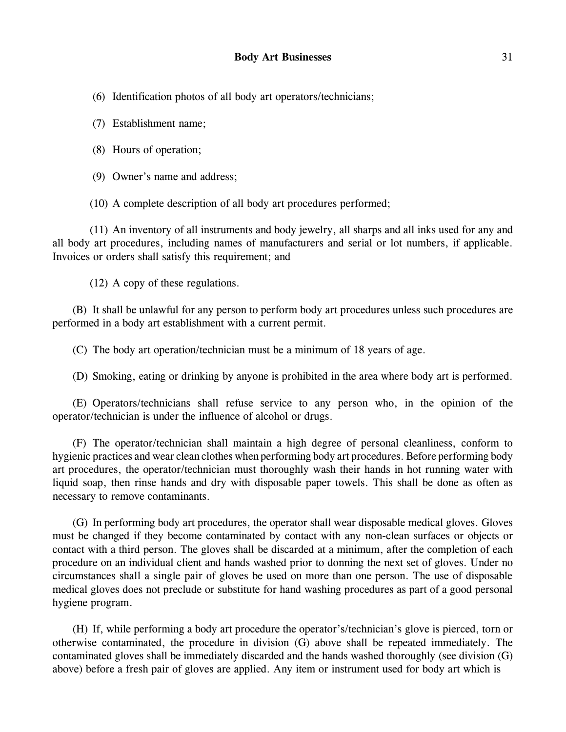(6) Identification photos of all body art operators/technicians;

(7) Establishment name;

(8) Hours of operation;

(9) Owner's name and address;

(10) A complete description of all body art procedures performed;

(11) An inventory of all instruments and body jewelry, all sharps and all inks used for any and all body art procedures, including names of manufacturers and serial or lot numbers, if applicable. Invoices or orders shall satisfy this requirement; and

(12) A copy of these regulations.

(B) It shall be unlawful for any person to perform body art procedures unless such procedures are performed in a body art establishment with a current permit.

(C) The body art operation/technician must be a minimum of 18 years of age.

(D) Smoking, eating or drinking by anyone is prohibited in the area where body art is performed.

(E) Operators/technicians shall refuse service to any person who, in the opinion of the operator/technician is under the influence of alcohol or drugs.

(F) The operator/technician shall maintain a high degree of personal cleanliness, conform to hygienic practices and wear clean clothes when performing body art procedures. Before performing body art procedures, the operator/technician must thoroughly wash their hands in hot running water with liquid soap, then rinse hands and dry with disposable paper towels. This shall be done as often as necessary to remove contaminants.

(G) In performing body art procedures, the operator shall wear disposable medical gloves. Gloves must be changed if they become contaminated by contact with any non-clean surfaces or objects or contact with a third person. The gloves shall be discarded at a minimum, after the completion of each procedure on an individual client and hands washed prior to donning the next set of gloves. Under no circumstances shall a single pair of gloves be used on more than one person. The use of disposable medical gloves does not preclude or substitute for hand washing procedures as part of a good personal hygiene program.

(H) If, while performing a body art procedure the operator's/technician's glove is pierced, torn or otherwise contaminated, the procedure in division (G) above shall be repeated immediately. The contaminated gloves shall be immediately discarded and the hands washed thoroughly (see division (G) above) before a fresh pair of gloves are applied. Any item or instrument used for body art which is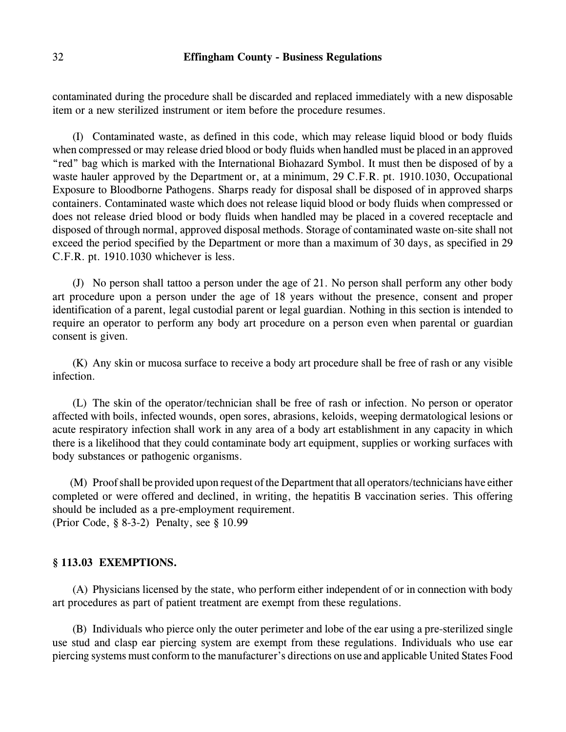contaminated during the procedure shall be discarded and replaced immediately with a new disposable item or a new sterilized instrument or item before the procedure resumes.

(I) Contaminated waste, as defined in this code, which may release liquid blood or body fluids when compressed or may release dried blood or body fluids when handled must be placed in an approved "red" bag which is marked with the International Biohazard Symbol. It must then be disposed of by a waste hauler approved by the Department or, at a minimum, 29 C.F.R. pt. 1910.1030, Occupational Exposure to Bloodborne Pathogens. Sharps ready for disposal shall be disposed of in approved sharps containers. Contaminated waste which does not release liquid blood or body fluids when compressed or does not release dried blood or body fluids when handled may be placed in a covered receptacle and disposed of through normal, approved disposal methods. Storage of contaminated waste on-site shall not exceed the period specified by the Department or more than a maximum of 30 days, as specified in 29 C.F.R. pt. 1910.1030 whichever is less.

(J) No person shall tattoo a person under the age of 21. No person shall perform any other body art procedure upon a person under the age of 18 years without the presence, consent and proper identification of a parent, legal custodial parent or legal guardian. Nothing in this section is intended to require an operator to perform any body art procedure on a person even when parental or guardian consent is given.

(K) Any skin or mucosa surface to receive a body art procedure shall be free of rash or any visible infection.

(L) The skin of the operator/technician shall be free of rash or infection. No person or operator affected with boils, infected wounds, open sores, abrasions, keloids, weeping dermatological lesions or acute respiratory infection shall work in any area of a body art establishment in any capacity in which there is a likelihood that they could contaminate body art equipment, supplies or working surfaces with body substances or pathogenic organisms.

(M) Proof shall be provided upon request of the Department that all operators/technicians have either completed or were offered and declined, in writing, the hepatitis B vaccination series. This offering should be included as a pre-employment requirement. (Prior Code, § 8-3-2) Penalty, see § 10.99

#### **§ 113.03 EXEMPTIONS.**

(A) Physicians licensed by the state, who perform either independent of or in connection with body art procedures as part of patient treatment are exempt from these regulations.

(B) Individuals who pierce only the outer perimeter and lobe of the ear using a pre-sterilized single use stud and clasp ear piercing system are exempt from these regulations. Individuals who use ear piercing systems must conform to the manufacturer's directions on use and applicable United States Food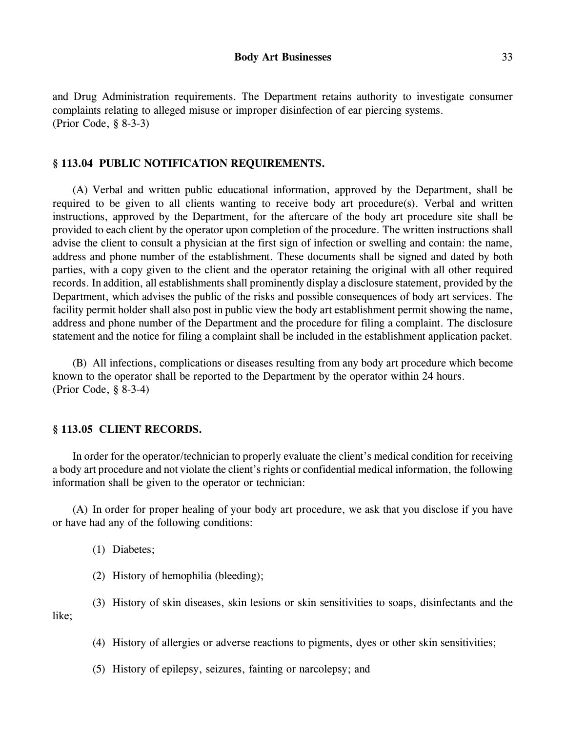and Drug Administration requirements. The Department retains authority to investigate consumer complaints relating to alleged misuse or improper disinfection of ear piercing systems. (Prior Code, § 8-3-3)

# **§ 113.04 PUBLIC NOTIFICATION REQUIREMENTS.**

(A) Verbal and written public educational information, approved by the Department, shall be required to be given to all clients wanting to receive body art procedure(s). Verbal and written instructions, approved by the Department, for the aftercare of the body art procedure site shall be provided to each client by the operator upon completion of the procedure. The written instructions shall advise the client to consult a physician at the first sign of infection or swelling and contain: the name, address and phone number of the establishment. These documents shall be signed and dated by both parties, with a copy given to the client and the operator retaining the original with all other required records. In addition, all establishments shall prominently display a disclosure statement, provided by the Department, which advises the public of the risks and possible consequences of body art services. The facility permit holder shall also post in public view the body art establishment permit showing the name, address and phone number of the Department and the procedure for filing a complaint. The disclosure statement and the notice for filing a complaint shall be included in the establishment application packet.

(B) All infections, complications or diseases resulting from any body art procedure which become known to the operator shall be reported to the Department by the operator within 24 hours. (Prior Code, § 8-3-4)

#### **§ 113.05 CLIENT RECORDS.**

In order for the operator/technician to properly evaluate the client's medical condition for receiving a body art procedure and not violate the client's rights or confidential medical information, the following information shall be given to the operator or technician:

(A) In order for proper healing of your body art procedure, we ask that you disclose if you have or have had any of the following conditions:

(1) Diabetes;

(2) History of hemophilia (bleeding);

(3) History of skin diseases, skin lesions or skin sensitivities to soaps, disinfectants and the like;

(4) History of allergies or adverse reactions to pigments, dyes or other skin sensitivities;

(5) History of epilepsy, seizures, fainting or narcolepsy; and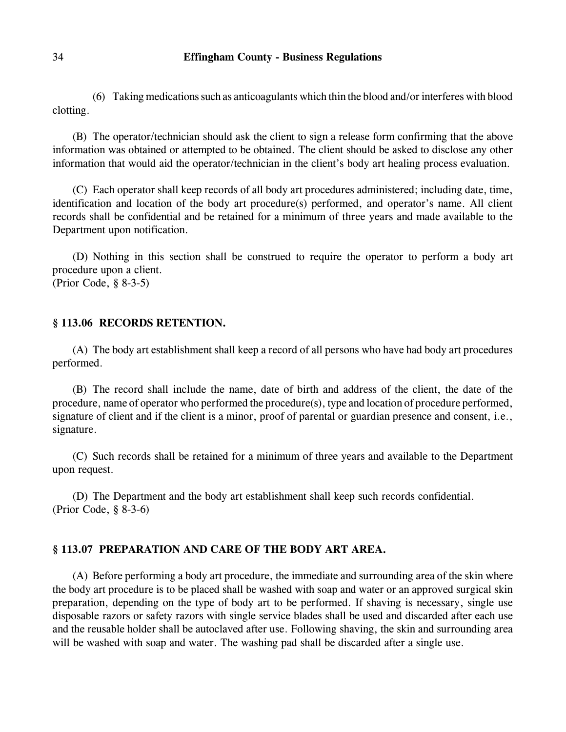$(6)$  Taking medications such as anticoagulants which thin the blood and/or interferes with blood clotting.

(B) The operator/technician should ask the client to sign a release form confirming that the above information was obtained or attempted to be obtained. The client should be asked to disclose any other information that would aid the operator/technician in the client's body art healing process evaluation.

(C) Each operator shall keep records of all body art procedures administered; including date, time, identification and location of the body art procedure(s) performed, and operator's name. All client records shall be confidential and be retained for a minimum of three years and made available to the Department upon notification.

(D) Nothing in this section shall be construed to require the operator to perform a body art procedure upon a client. (Prior Code, § 8-3-5)

# **§ 113.06 RECORDS RETENTION.**

(A) The body art establishment shall keep a record of all persons who have had body art procedures performed.

(B) The record shall include the name, date of birth and address of the client, the date of the procedure, name of operator who performed the procedure(s), type and location of procedure performed, signature of client and if the client is a minor, proof of parental or guardian presence and consent, i.e., signature.

(C) Such records shall be retained for a minimum of three years and available to the Department upon request.

(D) The Department and the body art establishment shall keep such records confidential. (Prior Code, § 8-3-6)

# **§ 113.07 PREPARATION AND CARE OF THE BODY ART AREA.**

(A) Before performing a body art procedure, the immediate and surrounding area of the skin where the body art procedure is to be placed shall be washed with soap and water or an approved surgical skin preparation, depending on the type of body art to be performed. If shaving is necessary, single use disposable razors or safety razors with single service blades shall be used and discarded after each use and the reusable holder shall be autoclaved after use. Following shaving, the skin and surrounding area will be washed with soap and water. The washing pad shall be discarded after a single use.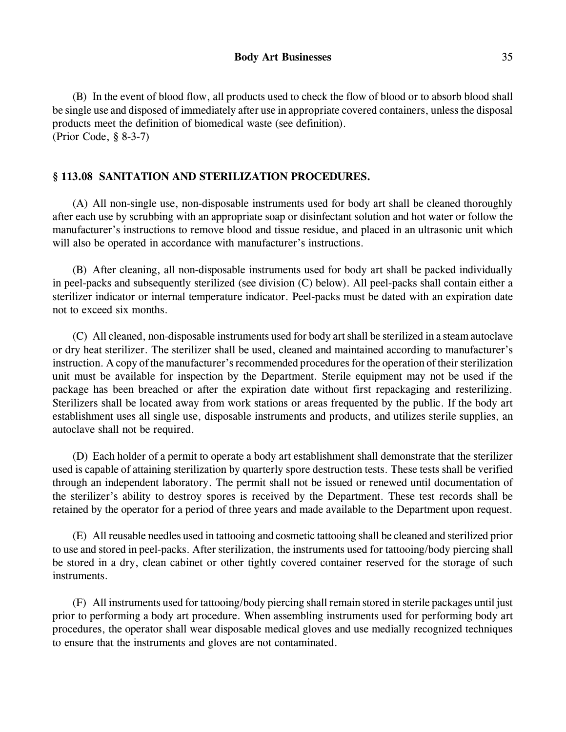(B) In the event of blood flow, all products used to check the flow of blood or to absorb blood shall be single use and disposed of immediately after use in appropriate covered containers, unless the disposal products meet the definition of biomedical waste (see definition). (Prior Code, § 8-3-7)

# **§ 113.08 SANITATION AND STERILIZATION PROCEDURES.**

(A) All non-single use, non-disposable instruments used for body art shall be cleaned thoroughly after each use by scrubbing with an appropriate soap or disinfectant solution and hot water or follow the manufacturer's instructions to remove blood and tissue residue, and placed in an ultrasonic unit which will also be operated in accordance with manufacturer's instructions.

(B) After cleaning, all non-disposable instruments used for body art shall be packed individually in peel-packs and subsequently sterilized (see division (C) below). All peel-packs shall contain either a sterilizer indicator or internal temperature indicator. Peel-packs must be dated with an expiration date not to exceed six months.

(C) All cleaned, non-disposable instruments used for body art shall be sterilized in a steam autoclave or dry heat sterilizer. The sterilizer shall be used, cleaned and maintained according to manufacturer's instruction. A copy of the manufacturer's recommended procedures for the operation of their sterilization unit must be available for inspection by the Department. Sterile equipment may not be used if the package has been breached or after the expiration date without first repackaging and resterilizing. Sterilizers shall be located away from work stations or areas frequented by the public. If the body art establishment uses all single use, disposable instruments and products, and utilizes sterile supplies, an autoclave shall not be required.

(D) Each holder of a permit to operate a body art establishment shall demonstrate that the sterilizer used is capable of attaining sterilization by quarterly spore destruction tests. These tests shall be verified through an independent laboratory. The permit shall not be issued or renewed until documentation of the sterilizer's ability to destroy spores is received by the Department. These test records shall be retained by the operator for a period of three years and made available to the Department upon request.

(E) All reusable needles used in tattooing and cosmetic tattooing shall be cleaned and sterilized prior to use and stored in peel-packs. After sterilization, the instruments used for tattooing/body piercing shall be stored in a dry, clean cabinet or other tightly covered container reserved for the storage of such instruments.

(F) All instruments used for tattooing/body piercing shall remain stored in sterile packages until just prior to performing a body art procedure. When assembling instruments used for performing body art procedures, the operator shall wear disposable medical gloves and use medially recognized techniques to ensure that the instruments and gloves are not contaminated.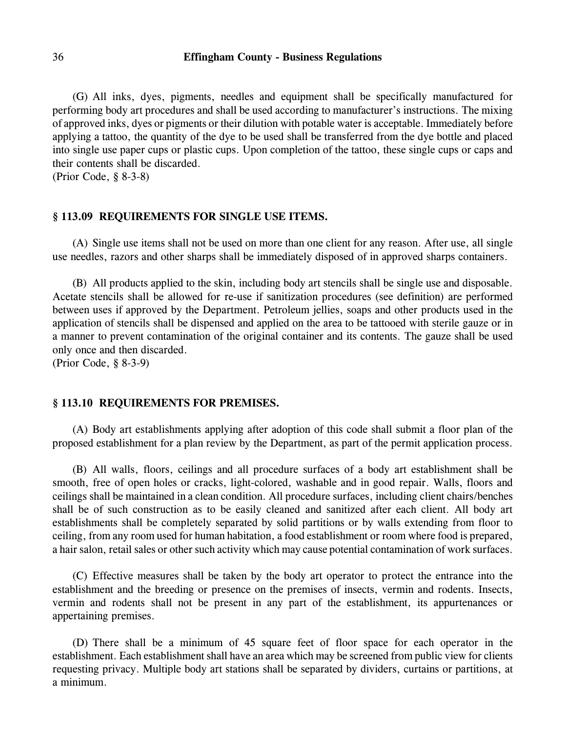(G) All inks, dyes, pigments, needles and equipment shall be specifically manufactured for performing body art procedures and shall be used according to manufacturer's instructions. The mixing of approved inks, dyes or pigments or their dilution with potable water is acceptable. Immediately before applying a tattoo, the quantity of the dye to be used shall be transferred from the dye bottle and placed into single use paper cups or plastic cups. Upon completion of the tattoo, these single cups or caps and their contents shall be discarded.

(Prior Code, § 8-3-8)

#### **§ 113.09 REQUIREMENTS FOR SINGLE USE ITEMS.**

(A) Single use items shall not be used on more than one client for any reason. After use, all single use needles, razors and other sharps shall be immediately disposed of in approved sharps containers.

(B) All products applied to the skin, including body art stencils shall be single use and disposable. Acetate stencils shall be allowed for re-use if sanitization procedures (see definition) are performed between uses if approved by the Department. Petroleum jellies, soaps and other products used in the application of stencils shall be dispensed and applied on the area to be tattooed with sterile gauze or in a manner to prevent contamination of the original container and its contents. The gauze shall be used only once and then discarded.

(Prior Code, § 8-3-9)

# **§ 113.10 REQUIREMENTS FOR PREMISES.**

(A) Body art establishments applying after adoption of this code shall submit a floor plan of the proposed establishment for a plan review by the Department, as part of the permit application process.

(B) All walls, floors, ceilings and all procedure surfaces of a body art establishment shall be smooth, free of open holes or cracks, light-colored, washable and in good repair. Walls, floors and ceilings shall be maintained in a clean condition. All procedure surfaces, including client chairs/benches shall be of such construction as to be easily cleaned and sanitized after each client. All body art establishments shall be completely separated by solid partitions or by walls extending from floor to ceiling, from any room used for human habitation, a food establishment or room where food is prepared, a hair salon, retail sales or other such activity which may cause potential contamination of work surfaces.

(C) Effective measures shall be taken by the body art operator to protect the entrance into the establishment and the breeding or presence on the premises of insects, vermin and rodents. Insects, vermin and rodents shall not be present in any part of the establishment, its appurtenances or appertaining premises.

(D) There shall be a minimum of 45 square feet of floor space for each operator in the establishment. Each establishment shall have an area which may be screened from public view for clients requesting privacy. Multiple body art stations shall be separated by dividers, curtains or partitions, at a minimum.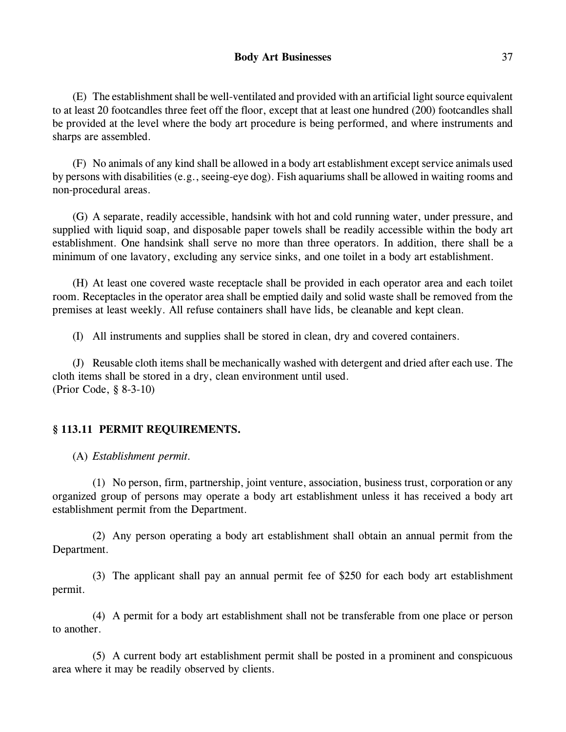(E) The establishment shall be well-ventilated and provided with an artificial light source equivalent to at least 20 footcandles three feet off the floor, except that at least one hundred (200) footcandles shall be provided at the level where the body art procedure is being performed, and where instruments and sharps are assembled.

(F) No animals of any kind shall be allowed in a body art establishment except service animals used by persons with disabilities (e.g., seeing-eye dog). Fish aquariums shall be allowed in waiting rooms and non-procedural areas.

(G) A separate, readily accessible, handsink with hot and cold running water, under pressure, and supplied with liquid soap, and disposable paper towels shall be readily accessible within the body art establishment. One handsink shall serve no more than three operators. In addition, there shall be a minimum of one lavatory, excluding any service sinks, and one toilet in a body art establishment.

(H) At least one covered waste receptacle shall be provided in each operator area and each toilet room. Receptacles in the operator area shall be emptied daily and solid waste shall be removed from the premises at least weekly. All refuse containers shall have lids, be cleanable and kept clean.

(I) All instruments and supplies shall be stored in clean, dry and covered containers.

(J) Reusable cloth items shall be mechanically washed with detergent and dried after each use. The cloth items shall be stored in a dry, clean environment until used. (Prior Code, § 8-3-10)

# **§ 113.11 PERMIT REQUIREMENTS.**

(A) *Establishment permit.*

(1) No person, firm, partnership, joint venture, association, business trust, corporation or any organized group of persons may operate a body art establishment unless it has received a body art establishment permit from the Department.

(2) Any person operating a body art establishment shall obtain an annual permit from the Department.

(3) The applicant shall pay an annual permit fee of \$250 for each body art establishment permit.

(4) A permit for a body art establishment shall not be transferable from one place or person to another.

(5) A current body art establishment permit shall be posted in a prominent and conspicuous area where it may be readily observed by clients.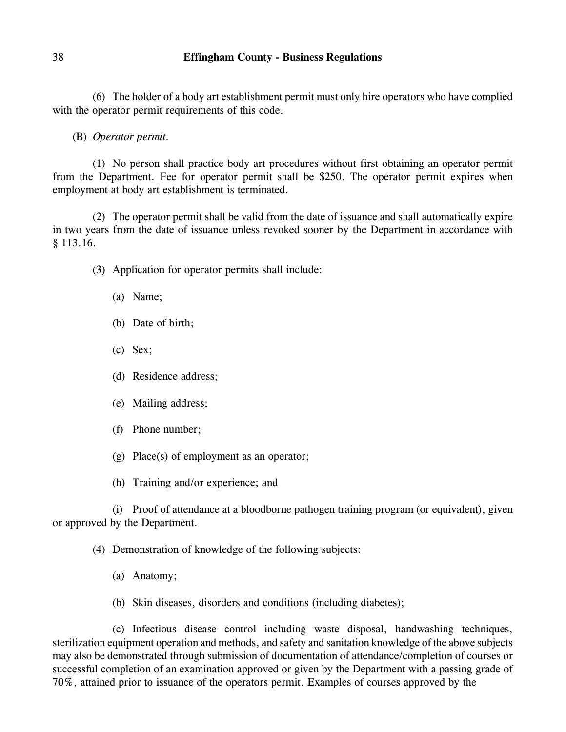(6) The holder of a body art establishment permit must only hire operators who have complied with the operator permit requirements of this code.

(B) *Operator permit.*

(1) No person shall practice body art procedures without first obtaining an operator permit from the Department. Fee for operator permit shall be \$250. The operator permit expires when employment at body art establishment is terminated.

(2) The operator permit shall be valid from the date of issuance and shall automatically expire in two years from the date of issuance unless revoked sooner by the Department in accordance with § 113.16.

- (3) Application for operator permits shall include:
	- (a) Name;
	- (b) Date of birth;
	- (c) Sex;
	- (d) Residence address;
	- (e) Mailing address;
	- (f) Phone number;
	- (g) Place(s) of employment as an operator;

(h) Training and/or experience; and

(i) Proof of attendance at a bloodborne pathogen training program (or equivalent), given or approved by the Department.

(4) Demonstration of knowledge of the following subjects:

- (a) Anatomy;
- (b) Skin diseases, disorders and conditions (including diabetes);

(c) Infectious disease control including waste disposal, handwashing techniques, sterilization equipment operation and methods, and safety and sanitation knowledge of the above subjects may also be demonstrated through submission of documentation of attendance/completion of courses or successful completion of an examination approved or given by the Department with a passing grade of 70%, attained prior to issuance of the operators permit. Examples of courses approved by the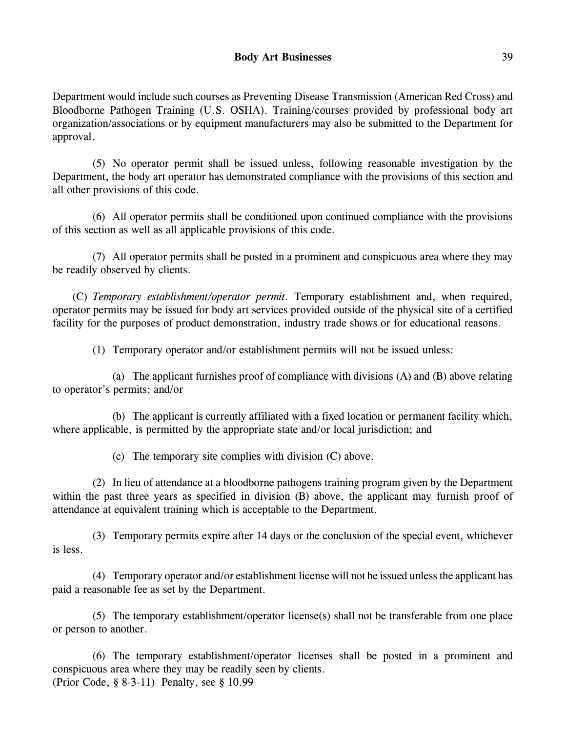Department would include such courses as Preventing Disease Transmission (American Red Cross) and Bloodborne Pathogen Training (U.S. OSHA). Training/courses provided by professional body art organization/associations or by equipment manufacturers may also be submitted to the Department for approval.

(5) No operator permit shall be issued unless, following reasonable investigation by the Department, the body art operator has demonstrated compliance with the provisions of this section and all other provisions of this code.

(6) All operator permits shall be conditioned upon continued compliance with the provisions of this section as well as all applicable provisions of this code.

(7) All operator permits shall be posted in a prominent and conspicuous area where they may be readily observed by clients.

(C) *Temporary establishment/operator permit.* Temporary establishment and, when required, operator permits may be issued for body art services provided outside of the physical site of a certified facility for the purposes of product demonstration, industry trade shows or for educational reasons.

(1) Temporary operator and/or establishment permits will not be issued unless:

(a) The applicant furnishes proof of compliance with divisions (A) and (B) above relating to operator's permits; and/or

(b) The applicant is currently affiliated with a fixed location or permanent facility which, where applicable, is permitted by the appropriate state and/or local jurisdiction; and

(c) The temporary site complies with division (C) above.

(2) In lieu of attendance at a bloodborne pathogens training program given by the Department within the past three years as specified in division (B) above, the applicant may furnish proof of attendance at equivalent training which is acceptable to the Department.

(3) Temporary permits expire after 14 days or the conclusion of the special event, whichever is less.

(4) Temporary operator and/or establishment license will not be issued unless the applicant has paid a reasonable fee as set by the Department.

(5) The temporary establishment/operator license(s) shall not be transferable from one place or person to another.

(6) The temporary establishment/operator licenses shall be posted in a prominent and conspicuous area where they may be readily seen by clients. (Prior Code, § 8-3-11) Penalty, see § 10.99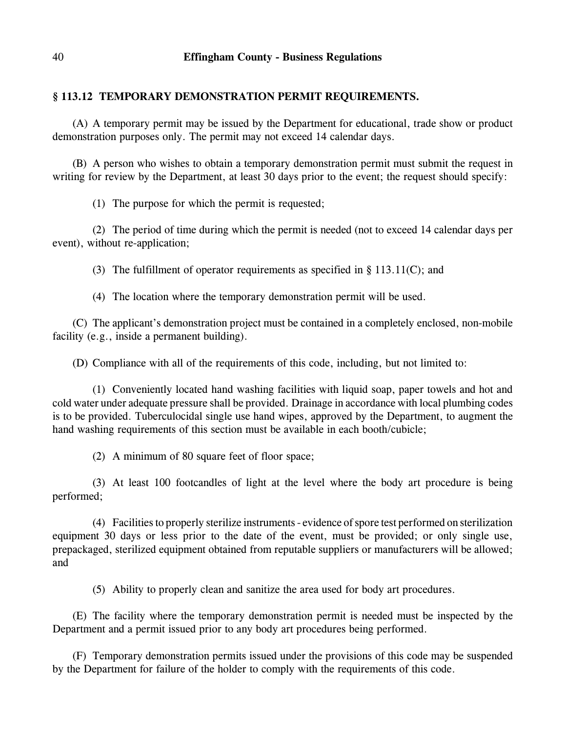# **§ 113.12 TEMPORARY DEMONSTRATION PERMIT REQUIREMENTS.**

(A) A temporary permit may be issued by the Department for educational, trade show or product demonstration purposes only. The permit may not exceed 14 calendar days.

(B) A person who wishes to obtain a temporary demonstration permit must submit the request in writing for review by the Department, at least 30 days prior to the event; the request should specify:

(1) The purpose for which the permit is requested;

(2) The period of time during which the permit is needed (not to exceed 14 calendar days per event), without re-application;

(3) The fulfillment of operator requirements as specified in § 113.11(C); and

(4) The location where the temporary demonstration permit will be used.

(C) The applicant's demonstration project must be contained in a completely enclosed, non-mobile facility (e.g., inside a permanent building).

(D) Compliance with all of the requirements of this code, including, but not limited to:

(1) Conveniently located hand washing facilities with liquid soap, paper towels and hot and cold water under adequate pressure shall be provided. Drainage in accordance with local plumbing codes is to be provided. Tuberculocidal single use hand wipes, approved by the Department, to augment the hand washing requirements of this section must be available in each booth/cubicle;

(2) A minimum of 80 square feet of floor space;

(3) At least 100 footcandles of light at the level where the body art procedure is being performed;

(4) Facilities to properly sterilize instruments - evidence of spore test performed on sterilization equipment 30 days or less prior to the date of the event, must be provided; or only single use, prepackaged, sterilized equipment obtained from reputable suppliers or manufacturers will be allowed; and

(5) Ability to properly clean and sanitize the area used for body art procedures.

(E) The facility where the temporary demonstration permit is needed must be inspected by the Department and a permit issued prior to any body art procedures being performed.

(F) Temporary demonstration permits issued under the provisions of this code may be suspended by the Department for failure of the holder to comply with the requirements of this code.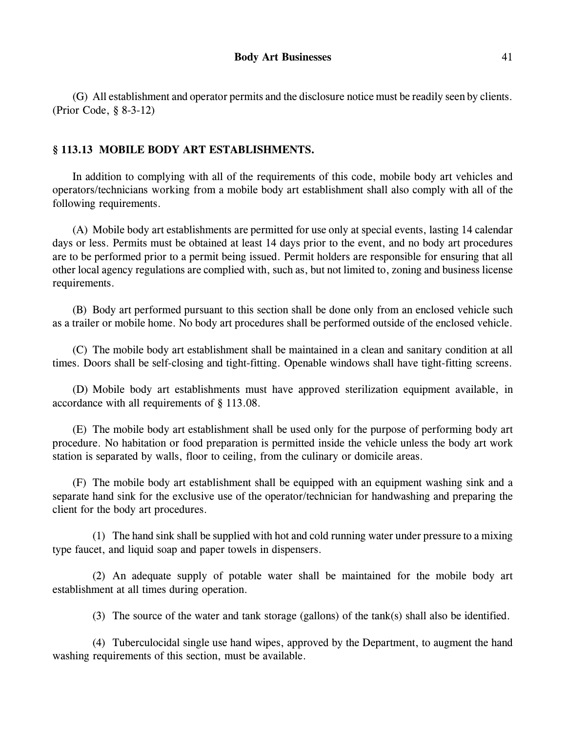(G) All establishment and operator permits and the disclosure notice must be readily seen by clients. (Prior Code, § 8-3-12)

# **§ 113.13 MOBILE BODY ART ESTABLISHMENTS.**

In addition to complying with all of the requirements of this code, mobile body art vehicles and operators/technicians working from a mobile body art establishment shall also comply with all of the following requirements.

(A) Mobile body art establishments are permitted for use only at special events, lasting 14 calendar days or less. Permits must be obtained at least 14 days prior to the event, and no body art procedures are to be performed prior to a permit being issued. Permit holders are responsible for ensuring that all other local agency regulations are complied with, such as, but not limited to, zoning and business license requirements.

(B) Body art performed pursuant to this section shall be done only from an enclosed vehicle such as a trailer or mobile home. No body art procedures shall be performed outside of the enclosed vehicle.

(C) The mobile body art establishment shall be maintained in a clean and sanitary condition at all times. Doors shall be self-closing and tight-fitting. Openable windows shall have tight-fitting screens.

(D) Mobile body art establishments must have approved sterilization equipment available, in accordance with all requirements of § 113.08.

(E) The mobile body art establishment shall be used only for the purpose of performing body art procedure. No habitation or food preparation is permitted inside the vehicle unless the body art work station is separated by walls, floor to ceiling, from the culinary or domicile areas.

(F) The mobile body art establishment shall be equipped with an equipment washing sink and a separate hand sink for the exclusive use of the operator/technician for handwashing and preparing the client for the body art procedures.

(1) The hand sink shall be supplied with hot and cold running water under pressure to a mixing type faucet, and liquid soap and paper towels in dispensers.

(2) An adequate supply of potable water shall be maintained for the mobile body art establishment at all times during operation.

(3) The source of the water and tank storage (gallons) of the tank(s) shall also be identified.

(4) Tuberculocidal single use hand wipes, approved by the Department, to augment the hand washing requirements of this section, must be available.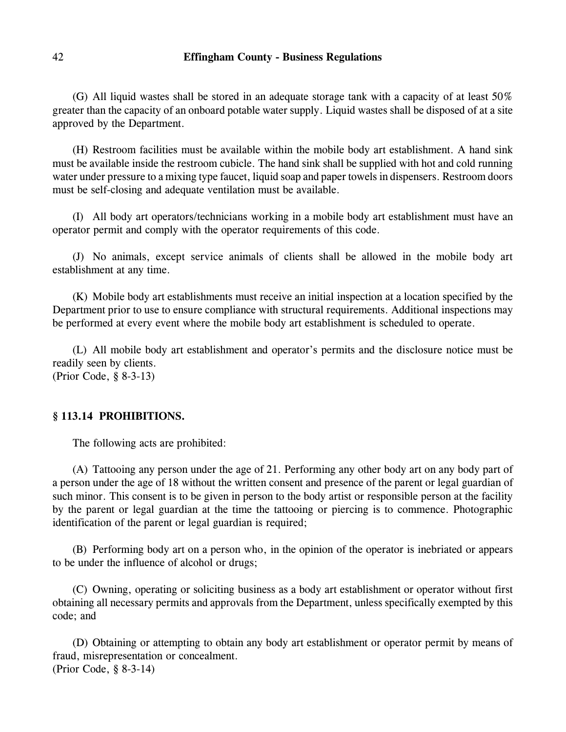(G) All liquid wastes shall be stored in an adequate storage tank with a capacity of at least 50% greater than the capacity of an onboard potable water supply. Liquid wastes shall be disposed of at a site approved by the Department.

(H) Restroom facilities must be available within the mobile body art establishment. A hand sink must be available inside the restroom cubicle. The hand sink shall be supplied with hot and cold running water under pressure to a mixing type faucet, liquid soap and paper towels in dispensers. Restroom doors must be self-closing and adequate ventilation must be available.

(I) All body art operators/technicians working in a mobile body art establishment must have an operator permit and comply with the operator requirements of this code.

(J) No animals, except service animals of clients shall be allowed in the mobile body art establishment at any time.

(K) Mobile body art establishments must receive an initial inspection at a location specified by the Department prior to use to ensure compliance with structural requirements. Additional inspections may be performed at every event where the mobile body art establishment is scheduled to operate.

(L) All mobile body art establishment and operator's permits and the disclosure notice must be readily seen by clients. (Prior Code, § 8-3-13)

# **§ 113.14 PROHIBITIONS.**

The following acts are prohibited:

(A) Tattooing any person under the age of 21. Performing any other body art on any body part of a person under the age of 18 without the written consent and presence of the parent or legal guardian of such minor. This consent is to be given in person to the body artist or responsible person at the facility by the parent or legal guardian at the time the tattooing or piercing is to commence. Photographic identification of the parent or legal guardian is required;

(B) Performing body art on a person who, in the opinion of the operator is inebriated or appears to be under the influence of alcohol or drugs;

(C) Owning, operating or soliciting business as a body art establishment or operator without first obtaining all necessary permits and approvals from the Department, unless specifically exempted by this code; and

(D) Obtaining or attempting to obtain any body art establishment or operator permit by means of fraud, misrepresentation or concealment. (Prior Code, § 8-3-14)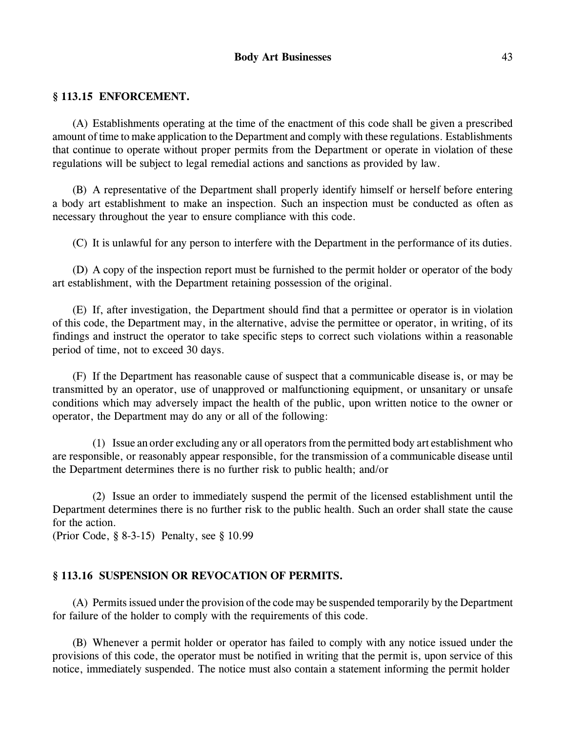# **Body Art Businesses** 43

#### **§ 113.15 ENFORCEMENT.**

(A) Establishments operating at the time of the enactment of this code shall be given a prescribed amount of time to make application to the Department and comply with these regulations. Establishments that continue to operate without proper permits from the Department or operate in violation of these regulations will be subject to legal remedial actions and sanctions as provided by law.

(B) A representative of the Department shall properly identify himself or herself before entering a body art establishment to make an inspection. Such an inspection must be conducted as often as necessary throughout the year to ensure compliance with this code.

(C) It is unlawful for any person to interfere with the Department in the performance of its duties.

(D) A copy of the inspection report must be furnished to the permit holder or operator of the body art establishment, with the Department retaining possession of the original.

(E) If, after investigation, the Department should find that a permittee or operator is in violation of this code, the Department may, in the alternative, advise the permittee or operator, in writing, of its findings and instruct the operator to take specific steps to correct such violations within a reasonable period of time, not to exceed 30 days.

(F) If the Department has reasonable cause of suspect that a communicable disease is, or may be transmitted by an operator, use of unapproved or malfunctioning equipment, or unsanitary or unsafe conditions which may adversely impact the health of the public, upon written notice to the owner or operator, the Department may do any or all of the following:

(1) Issue an order excluding any or all operators from the permitted body art establishment who are responsible, or reasonably appear responsible, for the transmission of a communicable disease until the Department determines there is no further risk to public health; and/or

(2) Issue an order to immediately suspend the permit of the licensed establishment until the Department determines there is no further risk to the public health. Such an order shall state the cause for the action.

(Prior Code, § 8-3-15) Penalty, see § 10.99

# **§ 113.16 SUSPENSION OR REVOCATION OF PERMITS.**

(A) Permits issued under the provision of the code may be suspended temporarily by the Department for failure of the holder to comply with the requirements of this code.

(B) Whenever a permit holder or operator has failed to comply with any notice issued under the provisions of this code, the operator must be notified in writing that the permit is, upon service of this notice, immediately suspended. The notice must also contain a statement informing the permit holder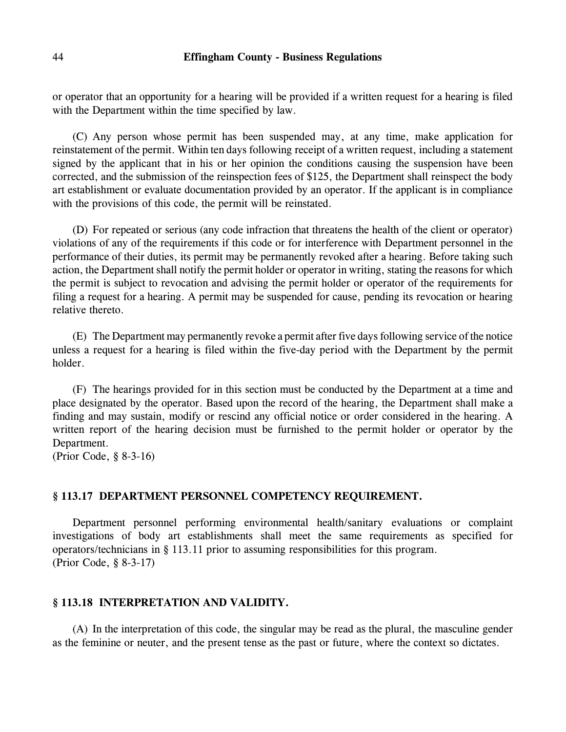or operator that an opportunity for a hearing will be provided if a written request for a hearing is filed with the Department within the time specified by law.

(C) Any person whose permit has been suspended may, at any time, make application for reinstatement of the permit. Within ten days following receipt of a written request, including a statement signed by the applicant that in his or her opinion the conditions causing the suspension have been corrected, and the submission of the reinspection fees of \$125, the Department shall reinspect the body art establishment or evaluate documentation provided by an operator. If the applicant is in compliance with the provisions of this code, the permit will be reinstated.

(D) For repeated or serious (any code infraction that threatens the health of the client or operator) violations of any of the requirements if this code or for interference with Department personnel in the performance of their duties, its permit may be permanently revoked after a hearing. Before taking such action, the Department shall notify the permit holder or operator in writing, stating the reasons for which the permit is subject to revocation and advising the permit holder or operator of the requirements for filing a request for a hearing. A permit may be suspended for cause, pending its revocation or hearing relative thereto.

(E) The Department may permanently revoke a permit after five days following service of the notice unless a request for a hearing is filed within the five-day period with the Department by the permit holder.

(F) The hearings provided for in this section must be conducted by the Department at a time and place designated by the operator. Based upon the record of the hearing, the Department shall make a finding and may sustain, modify or rescind any official notice or order considered in the hearing. A written report of the hearing decision must be furnished to the permit holder or operator by the Department.

(Prior Code, § 8-3-16)

#### **§ 113.17 DEPARTMENT PERSONNEL COMPETENCY REQUIREMENT.**

Department personnel performing environmental health/sanitary evaluations or complaint investigations of body art establishments shall meet the same requirements as specified for operators/technicians in § 113.11 prior to assuming responsibilities for this program. (Prior Code, § 8-3-17)

#### **§ 113.18 INTERPRETATION AND VALIDITY.**

(A) In the interpretation of this code, the singular may be read as the plural, the masculine gender as the feminine or neuter, and the present tense as the past or future, where the context so dictates.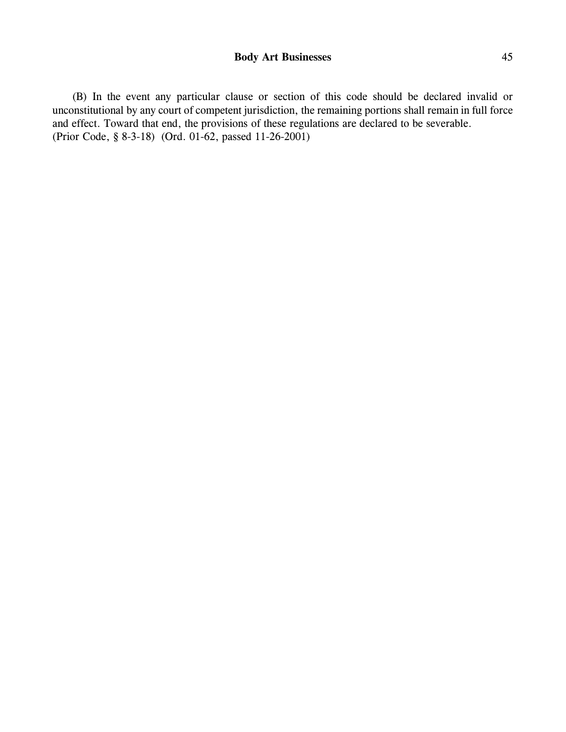(B) In the event any particular clause or section of this code should be declared invalid or unconstitutional by any court of competent jurisdiction, the remaining portions shall remain in full force and effect. Toward that end, the provisions of these regulations are declared to be severable. (Prior Code, § 8-3-18) (Ord. 01-62, passed 11-26-2001)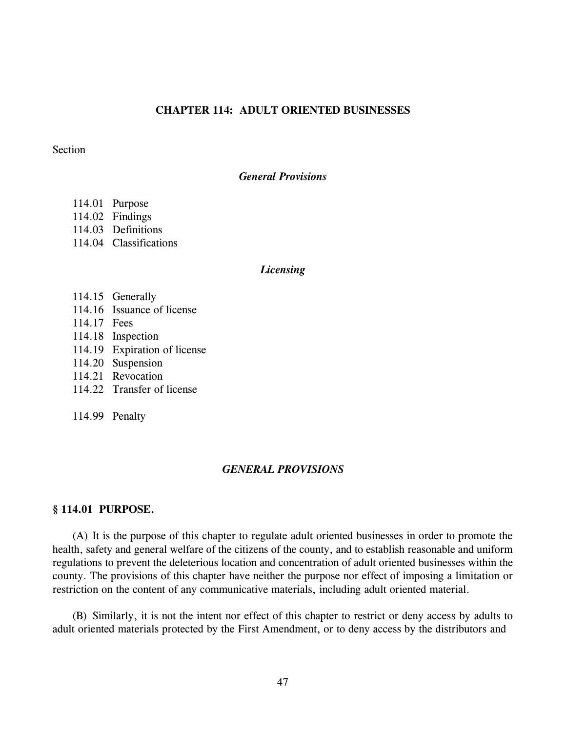# **CHAPTER 114: ADULT ORIENTED BUSINESSES**

#### **Section**

#### *General Provisions*

- 114.01 Purpose
- 114.02 Findings
- 114.03 Definitions
- 114.04 Classifications

#### *Licensing*

- 114.15 Generally
- 114.16 Issuance of license
- 114.17 Fees
- 114.18 Inspection
- 114.19 Expiration of license
- 114.20 Suspension
- 114.21 Revocation
- 114.22 Transfer of license

114.99 Penalty

## *GENERAL PROVISIONS*

## **§ 114.01 PURPOSE.**

(A) It is the purpose of this chapter to regulate adult oriented businesses in order to promote the health, safety and general welfare of the citizens of the county, and to establish reasonable and uniform regulations to prevent the deleterious location and concentration of adult oriented businesses within the county. The provisions of this chapter have neither the purpose nor effect of imposing a limitation or restriction on the content of any communicative materials, including adult oriented material.

(B) Similarly, it is not the intent nor effect of this chapter to restrict or deny access by adults to adult oriented materials protected by the First Amendment, or to deny access by the distributors and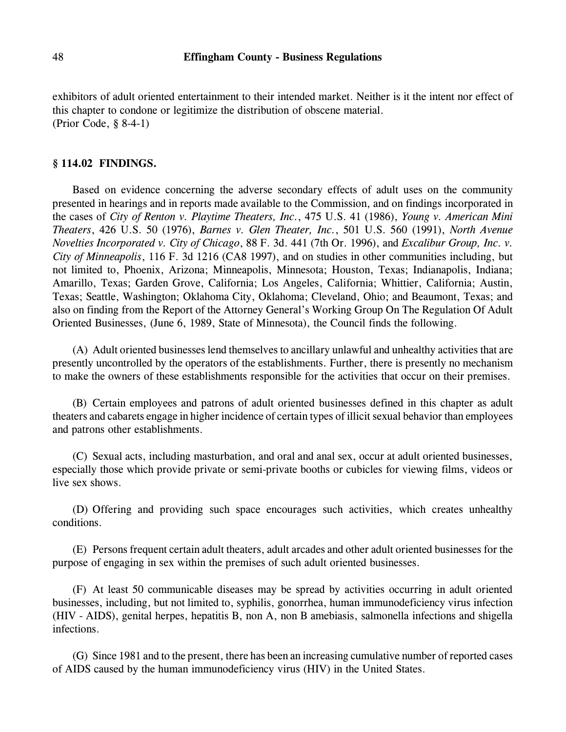exhibitors of adult oriented entertainment to their intended market. Neither is it the intent nor effect of this chapter to condone or legitimize the distribution of obscene material. (Prior Code, § 8-4-1)

#### **§ 114.02 FINDINGS.**

Based on evidence concerning the adverse secondary effects of adult uses on the community presented in hearings and in reports made available to the Commission, and on findings incorporated in the cases of *City of Renton v. Playtime Theaters, Inc.*, 475 U.S. 41 (1986), *Young v. American Mini Theaters*, 426 U.S. 50 (1976), *Barnes v. Glen Theater, Inc.*, 501 U.S. 560 (1991), *North Avenue Novelties Incorporated v. City of Chicago*, 88 F. 3d. 441 (7th Or. 1996), and *Excalibur Group, Inc. v. City of Minneapolis*, 116 F. 3d 1216 (CA8 1997), and on studies in other communities including, but not limited to, Phoenix, Arizona; Minneapolis, Minnesota; Houston, Texas; Indianapolis, Indiana; Amarillo, Texas; Garden Grove, California; Los Angeles, California; Whittier, California; Austin, Texas; Seattle, Washington; Oklahoma City, Oklahoma; Cleveland, Ohio; and Beaumont, Texas; and also on finding from the Report of the Attorney General's Working Group On The Regulation Of Adult Oriented Businesses, (June 6, 1989, State of Minnesota), the Council finds the following.

(A) Adult oriented businesses lend themselves to ancillary unlawful and unhealthy activities that are presently uncontrolled by the operators of the establishments. Further, there is presently no mechanism to make the owners of these establishments responsible for the activities that occur on their premises.

(B) Certain employees and patrons of adult oriented businesses defined in this chapter as adult theaters and cabarets engage in higher incidence of certain types of illicit sexual behavior than employees and patrons other establishments.

(C) Sexual acts, including masturbation, and oral and anal sex, occur at adult oriented businesses, especially those which provide private or semi-private booths or cubicles for viewing films, videos or live sex shows.

(D) Offering and providing such space encourages such activities, which creates unhealthy conditions.

(E) Persons frequent certain adult theaters, adult arcades and other adult oriented businesses for the purpose of engaging in sex within the premises of such adult oriented businesses.

(F) At least 50 communicable diseases may be spread by activities occurring in adult oriented businesses, including, but not limited to, syphilis, gonorrhea, human immunodeficiency virus infection (HIV - AIDS), genital herpes, hepatitis B, non A, non B amebiasis, salmonella infections and shigella infections.

(G) Since 1981 and to the present, there has been an increasing cumulative number of reported cases of AIDS caused by the human immunodeficiency virus (HIV) in the United States.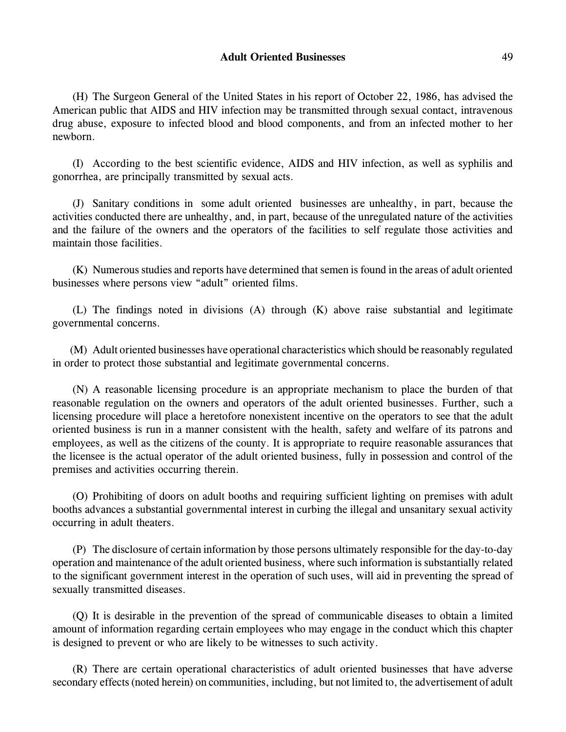(H) The Surgeon General of the United States in his report of October 22, 1986, has advised the American public that AIDS and HIV infection may be transmitted through sexual contact, intravenous drug abuse, exposure to infected blood and blood components, and from an infected mother to her newborn.

(I) According to the best scientific evidence, AIDS and HIV infection, as well as syphilis and gonorrhea, are principally transmitted by sexual acts.

(J) Sanitary conditions in some adult oriented businesses are unhealthy, in part, because the activities conducted there are unhealthy, and, in part, because of the unregulated nature of the activities and the failure of the owners and the operators of the facilities to self regulate those activities and maintain those facilities.

(K) Numerous studies and reports have determined that semen is found in the areas of adult oriented businesses where persons view "adult" oriented films.

(L) The findings noted in divisions (A) through (K) above raise substantial and legitimate governmental concerns.

(M) Adult oriented businesses have operational characteristics which should be reasonably regulated in order to protect those substantial and legitimate governmental concerns.

(N) A reasonable licensing procedure is an appropriate mechanism to place the burden of that reasonable regulation on the owners and operators of the adult oriented businesses. Further, such a licensing procedure will place a heretofore nonexistent incentive on the operators to see that the adult oriented business is run in a manner consistent with the health, safety and welfare of its patrons and employees, as well as the citizens of the county. It is appropriate to require reasonable assurances that the licensee is the actual operator of the adult oriented business, fully in possession and control of the premises and activities occurring therein.

(O) Prohibiting of doors on adult booths and requiring sufficient lighting on premises with adult booths advances a substantial governmental interest in curbing the illegal and unsanitary sexual activity occurring in adult theaters.

(P) The disclosure of certain information by those persons ultimately responsible for the day-to-day operation and maintenance of the adult oriented business, where such information is substantially related to the significant government interest in the operation of such uses, will aid in preventing the spread of sexually transmitted diseases.

(Q) It is desirable in the prevention of the spread of communicable diseases to obtain a limited amount of information regarding certain employees who may engage in the conduct which this chapter is designed to prevent or who are likely to be witnesses to such activity.

(R) There are certain operational characteristics of adult oriented businesses that have adverse secondary effects (noted herein) on communities, including, but not limited to, the advertisement of adult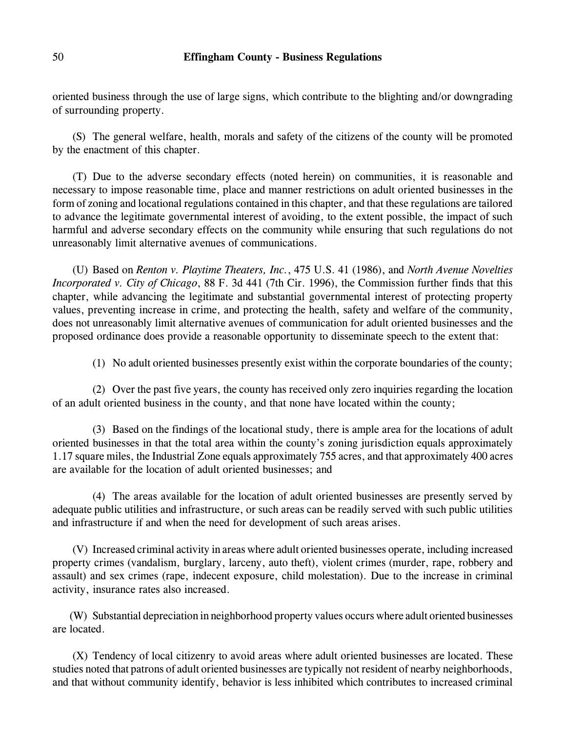oriented business through the use of large signs, which contribute to the blighting and/or downgrading of surrounding property.

(S) The general welfare, health, morals and safety of the citizens of the county will be promoted by the enactment of this chapter.

(T) Due to the adverse secondary effects (noted herein) on communities, it is reasonable and necessary to impose reasonable time, place and manner restrictions on adult oriented businesses in the form of zoning and locational regulations contained in this chapter, and that these regulations are tailored to advance the legitimate governmental interest of avoiding, to the extent possible, the impact of such harmful and adverse secondary effects on the community while ensuring that such regulations do not unreasonably limit alternative avenues of communications.

(U) Based on *Renton v. Playtime Theaters, Inc.*, 475 U.S. 41 (1986), and *North Avenue Novelties Incorporated v. City of Chicago*, 88 F. 3d 441 (7th Cir. 1996), the Commission further finds that this chapter, while advancing the legitimate and substantial governmental interest of protecting property values, preventing increase in crime, and protecting the health, safety and welfare of the community, does not unreasonably limit alternative avenues of communication for adult oriented businesses and the proposed ordinance does provide a reasonable opportunity to disseminate speech to the extent that:

(1) No adult oriented businesses presently exist within the corporate boundaries of the county;

(2) Over the past five years, the county has received only zero inquiries regarding the location of an adult oriented business in the county, and that none have located within the county;

(3) Based on the findings of the locational study, there is ample area for the locations of adult oriented businesses in that the total area within the county's zoning jurisdiction equals approximately 1.17 square miles, the Industrial Zone equals approximately 755 acres, and that approximately 400 acres are available for the location of adult oriented businesses; and

(4) The areas available for the location of adult oriented businesses are presently served by adequate public utilities and infrastructure, or such areas can be readily served with such public utilities and infrastructure if and when the need for development of such areas arises.

(V) Increased criminal activity in areas where adult oriented businesses operate, including increased property crimes (vandalism, burglary, larceny, auto theft), violent crimes (murder, rape, robbery and assault) and sex crimes (rape, indecent exposure, child molestation). Due to the increase in criminal activity, insurance rates also increased.

(W) Substantial depreciation in neighborhood property values occurs where adult oriented businesses are located.

(X) Tendency of local citizenry to avoid areas where adult oriented businesses are located. These studies noted that patrons of adult oriented businesses are typically not resident of nearby neighborhoods, and that without community identify, behavior is less inhibited which contributes to increased criminal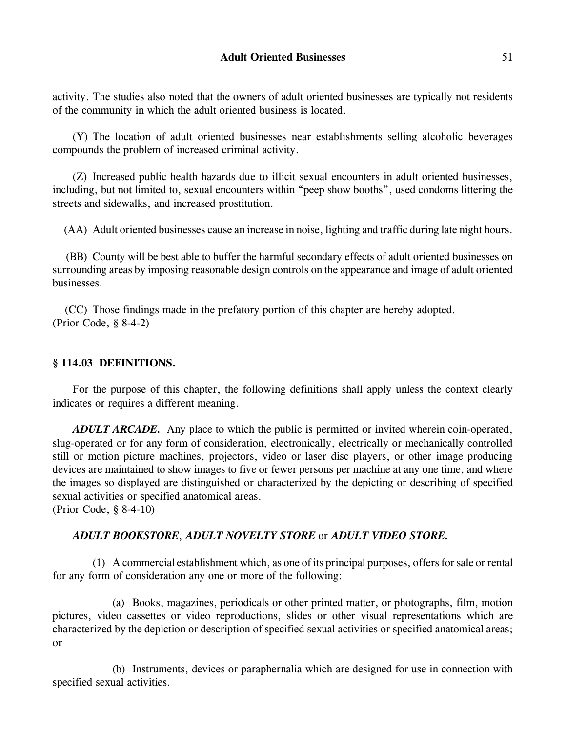activity. The studies also noted that the owners of adult oriented businesses are typically not residents of the community in which the adult oriented business is located.

(Y) The location of adult oriented businesses near establishments selling alcoholic beverages compounds the problem of increased criminal activity.

(Z) Increased public health hazards due to illicit sexual encounters in adult oriented businesses, including, but not limited to, sexual encounters within "peep show booths", used condoms littering the streets and sidewalks, and increased prostitution.

(AA) Adult oriented businesses cause an increase in noise, lighting and traffic during late night hours.

(BB) County will be best able to buffer the harmful secondary effects of adult oriented businesses on surrounding areas by imposing reasonable design controls on the appearance and image of adult oriented businesses.

(CC) Those findings made in the prefatory portion of this chapter are hereby adopted. (Prior Code, § 8-4-2)

# **§ 114.03 DEFINITIONS.**

For the purpose of this chapter, the following definitions shall apply unless the context clearly indicates or requires a different meaning.

*ADULT ARCADE.* Any place to which the public is permitted or invited wherein coin-operated, slug-operated or for any form of consideration, electronically, electrically or mechanically controlled still or motion picture machines, projectors, video or laser disc players, or other image producing devices are maintained to show images to five or fewer persons per machine at any one time, and where the images so displayed are distinguished or characterized by the depicting or describing of specified sexual activities or specified anatomical areas.

(Prior Code, § 8-4-10)

# *ADULT BOOKSTORE*, *ADULT NOVELTY STORE* or *ADULT VIDEO STORE.*

(1) A commercial establishment which, as one of its principal purposes, offers for sale or rental for any form of consideration any one or more of the following:

(a) Books, magazines, periodicals or other printed matter, or photographs, film, motion pictures, video cassettes or video reproductions, slides or other visual representations which are characterized by the depiction or description of specified sexual activities or specified anatomical areas; or

(b) Instruments, devices or paraphernalia which are designed for use in connection with specified sexual activities.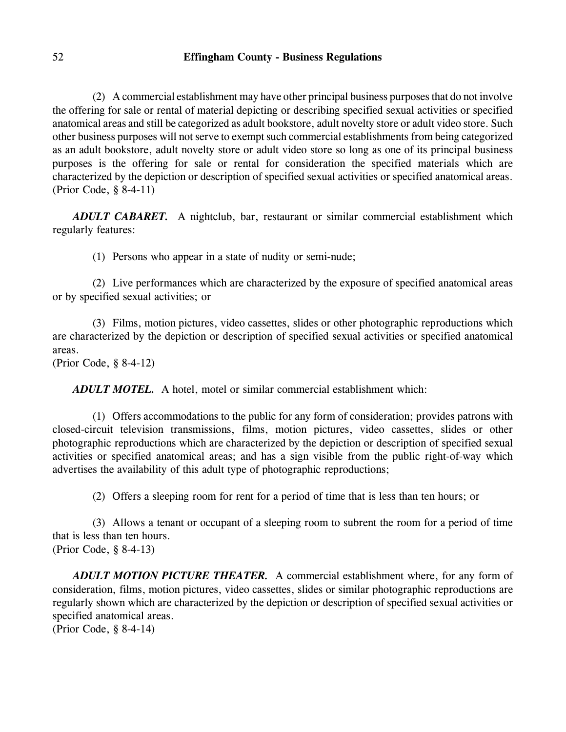(2) A commercial establishment may have other principal business purposes that do not involve the offering for sale or rental of material depicting or describing specified sexual activities or specified anatomical areas and still be categorized as adult bookstore, adult novelty store or adult video store. Such other business purposes will not serve to exempt such commercial establishments from being categorized as an adult bookstore, adult novelty store or adult video store so long as one of its principal business purposes is the offering for sale or rental for consideration the specified materials which are characterized by the depiction or description of specified sexual activities or specified anatomical areas. (Prior Code, § 8-4-11)

*ADULT CABARET.* A nightclub, bar, restaurant or similar commercial establishment which regularly features:

(1) Persons who appear in a state of nudity or semi-nude;

(2) Live performances which are characterized by the exposure of specified anatomical areas or by specified sexual activities; or

(3) Films, motion pictures, video cassettes, slides or other photographic reproductions which are characterized by the depiction or description of specified sexual activities or specified anatomical areas.

(Prior Code, § 8-4-12)

*ADULT MOTEL.* A hotel, motel or similar commercial establishment which:

(1) Offers accommodations to the public for any form of consideration; provides patrons with closed-circuit television transmissions, films, motion pictures, video cassettes, slides or other photographic reproductions which are characterized by the depiction or description of specified sexual activities or specified anatomical areas; and has a sign visible from the public right-of-way which advertises the availability of this adult type of photographic reproductions;

(2) Offers a sleeping room for rent for a period of time that is less than ten hours; or

(3) Allows a tenant or occupant of a sleeping room to subrent the room for a period of time that is less than ten hours. (Prior Code, § 8-4-13)

*ADULT MOTION PICTURE THEATER.* A commercial establishment where, for any form of consideration, films, motion pictures, video cassettes, slides or similar photographic reproductions are regularly shown which are characterized by the depiction or description of specified sexual activities or specified anatomical areas.

(Prior Code, § 8-4-14)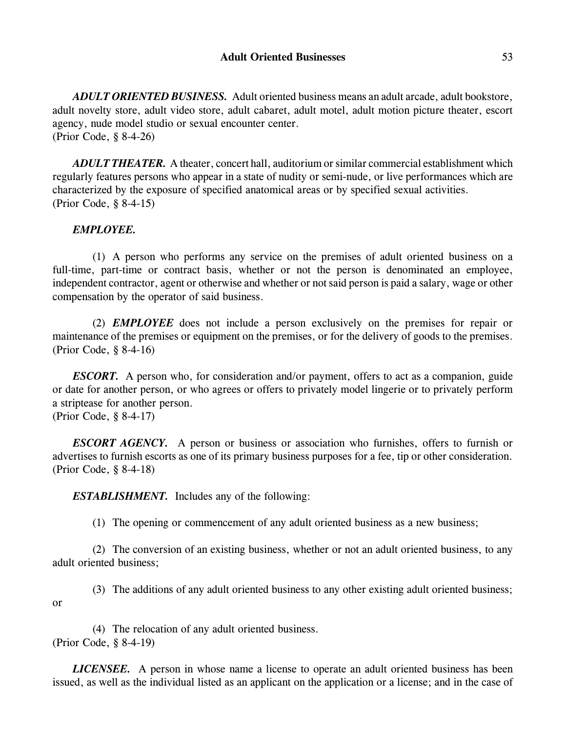*ADULT ORIENTED BUSINESS.* Adult oriented business means an adult arcade, adult bookstore, adult novelty store, adult video store, adult cabaret, adult motel, adult motion picture theater, escort agency, nude model studio or sexual encounter center. (Prior Code, § 8-4-26)

*ADULT THEATER.* A theater, concert hall, auditorium or similar commercial establishment which regularly features persons who appear in a state of nudity or semi-nude, or live performances which are characterized by the exposure of specified anatomical areas or by specified sexual activities. (Prior Code, § 8-4-15)

# *EMPLOYEE.*

(1) A person who performs any service on the premises of adult oriented business on a full-time, part-time or contract basis, whether or not the person is denominated an employee, independent contractor, agent or otherwise and whether or not said person is paid a salary, wage or other compensation by the operator of said business.

(2) *EMPLOYEE* does not include a person exclusively on the premises for repair or maintenance of the premises or equipment on the premises, or for the delivery of goods to the premises. (Prior Code, § 8-4-16)

*ESCORT.* A person who, for consideration and/or payment, offers to act as a companion, guide or date for another person, or who agrees or offers to privately model lingerie or to privately perform a striptease for another person. (Prior Code, § 8-4-17)

*ESCORT AGENCY.* A person or business or association who furnishes, offers to furnish or advertises to furnish escorts as one of its primary business purposes for a fee, tip or other consideration. (Prior Code, § 8-4-18)

*ESTABLISHMENT.* Includes any of the following:

(1) The opening or commencement of any adult oriented business as a new business;

(2) The conversion of an existing business, whether or not an adult oriented business, to any adult oriented business;

(3) The additions of any adult oriented business to any other existing adult oriented business; or

(4) The relocation of any adult oriented business. (Prior Code, § 8-4-19)

*LICENSEE.* A person in whose name a license to operate an adult oriented business has been issued, as well as the individual listed as an applicant on the application or a license; and in the case of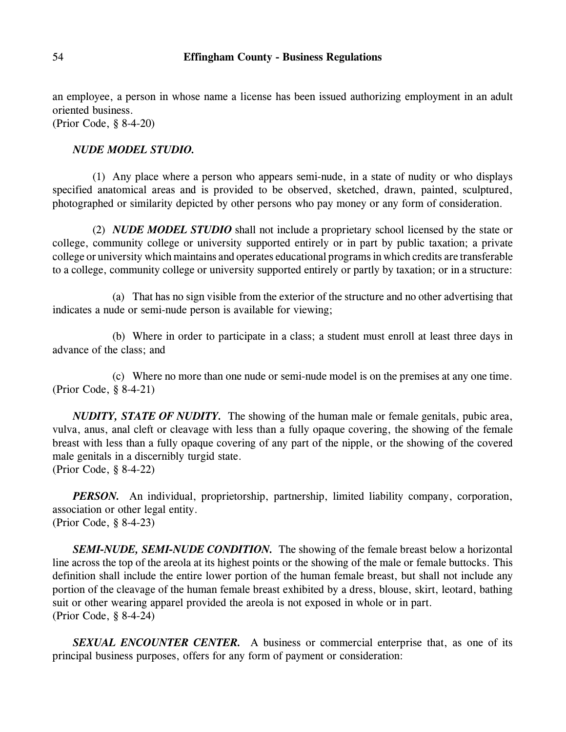an employee, a person in whose name a license has been issued authorizing employment in an adult oriented business.

(Prior Code, § 8-4-20)

#### *NUDE MODEL STUDIO.*

(1) Any place where a person who appears semi-nude, in a state of nudity or who displays specified anatomical areas and is provided to be observed, sketched, drawn, painted, sculptured, photographed or similarity depicted by other persons who pay money or any form of consideration.

(2) *NUDE MODEL STUDIO* shall not include a proprietary school licensed by the state or college, community college or university supported entirely or in part by public taxation; a private college or university which maintains and operates educational programs in which credits are transferable to a college, community college or university supported entirely or partly by taxation; or in a structure:

(a) That has no sign visible from the exterior of the structure and no other advertising that indicates a nude or semi-nude person is available for viewing;

(b) Where in order to participate in a class; a student must enroll at least three days in advance of the class; and

(c) Where no more than one nude or semi-nude model is on the premises at any one time. (Prior Code, § 8-4-21)

*NUDITY, STATE OF NUDITY.* The showing of the human male or female genitals, pubic area, vulva, anus, anal cleft or cleavage with less than a fully opaque covering, the showing of the female breast with less than a fully opaque covering of any part of the nipple, or the showing of the covered male genitals in a discernibly turgid state. (Prior Code, § 8-4-22)

*PERSON*. An individual, proprietorship, partnership, limited liability company, corporation, association or other legal entity. (Prior Code, § 8-4-23)

*SEMI-NUDE, SEMI-NUDE CONDITION.* The showing of the female breast below a horizontal line across the top of the areola at its highest points or the showing of the male or female buttocks. This definition shall include the entire lower portion of the human female breast, but shall not include any portion of the cleavage of the human female breast exhibited by a dress, blouse, skirt, leotard, bathing suit or other wearing apparel provided the areola is not exposed in whole or in part. (Prior Code, § 8-4-24)

*SEXUAL ENCOUNTER CENTER.* A business or commercial enterprise that, as one of its principal business purposes, offers for any form of payment or consideration: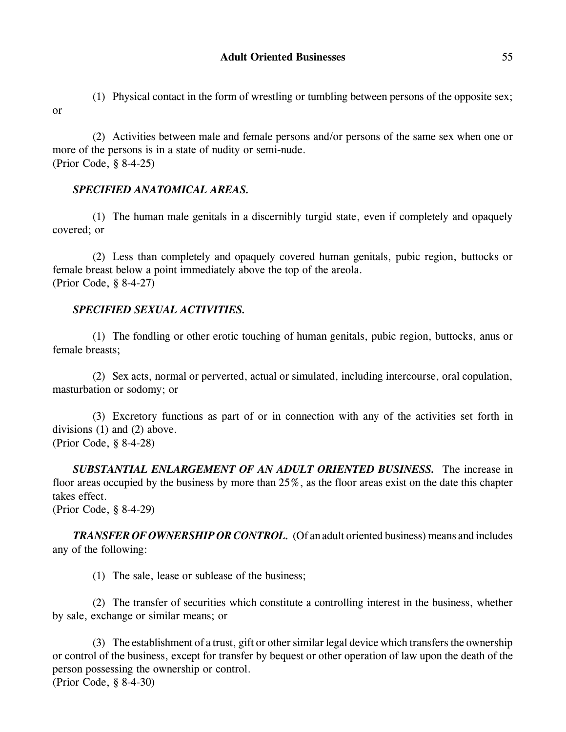(1) Physical contact in the form of wrestling or tumbling between persons of the opposite sex; or

(2) Activities between male and female persons and/or persons of the same sex when one or more of the persons is in a state of nudity or semi-nude. (Prior Code, § 8-4-25)

# *SPECIFIED ANATOMICAL AREAS.*

(1) The human male genitals in a discernibly turgid state, even if completely and opaquely covered; or

(2) Less than completely and opaquely covered human genitals, pubic region, buttocks or female breast below a point immediately above the top of the areola. (Prior Code, § 8-4-27)

# *SPECIFIED SEXUAL ACTIVITIES.*

(1) The fondling or other erotic touching of human genitals, pubic region, buttocks, anus or female breasts;

(2) Sex acts, normal or perverted, actual or simulated, including intercourse, oral copulation, masturbation or sodomy; or

(3) Excretory functions as part of or in connection with any of the activities set forth in divisions (1) and (2) above. (Prior Code, § 8-4-28)

*SUBSTANTIAL ENLARGEMENT OF AN ADULT ORIENTED BUSINESS.* The increase in floor areas occupied by the business by more than 25%, as the floor areas exist on the date this chapter takes effect. (Prior Code, § 8-4-29)

*TRANSFER OF OWNERSHIP OR CONTROL.* (Of an adult oriented business) means and includes any of the following:

(1) The sale, lease or sublease of the business;

(2) The transfer of securities which constitute a controlling interest in the business, whether by sale, exchange or similar means; or

(3) The establishment of a trust, gift or other similar legal device which transfers the ownership or control of the business, except for transfer by bequest or other operation of law upon the death of the person possessing the ownership or control. (Prior Code, § 8-4-30)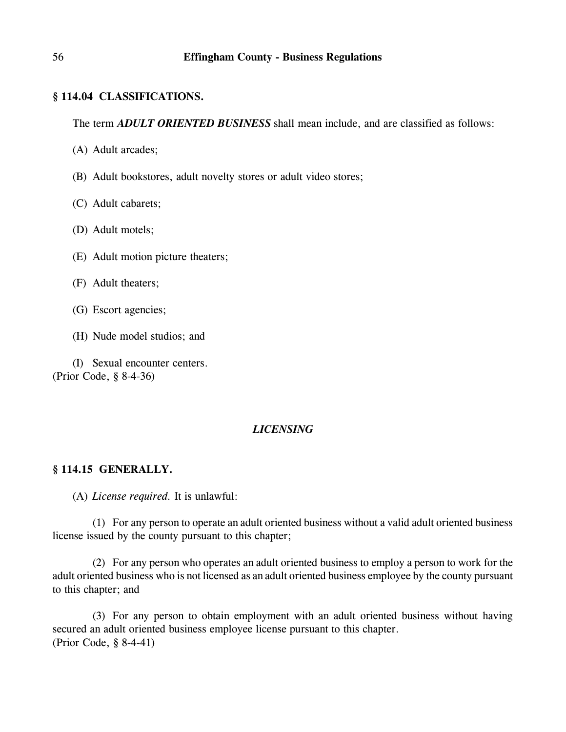## **§ 114.04 CLASSIFICATIONS.**

The term *ADULT ORIENTED BUSINESS* shall mean include, and are classified as follows:

- (A) Adult arcades;
- (B) Adult bookstores, adult novelty stores or adult video stores;
- (C) Adult cabarets;
- (D) Adult motels;
- (E) Adult motion picture theaters;
- (F) Adult theaters;
- (G) Escort agencies;
- (H) Nude model studios; and

(I) Sexual encounter centers. (Prior Code, § 8-4-36)

# *LICENSING*

## **§ 114.15 GENERALLY.**

(A) *License required.* It is unlawful:

(1) For any person to operate an adult oriented business without a valid adult oriented business license issued by the county pursuant to this chapter;

(2) For any person who operates an adult oriented business to employ a person to work for the adult oriented business who is not licensed as an adult oriented business employee by the county pursuant to this chapter; and

(3) For any person to obtain employment with an adult oriented business without having secured an adult oriented business employee license pursuant to this chapter. (Prior Code, § 8-4-41)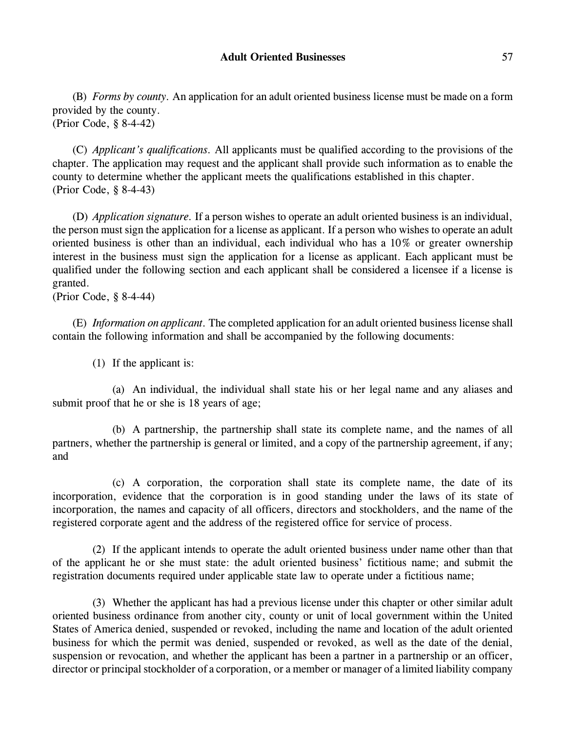(B) *Forms by county.* An application for an adult oriented business license must be made on a form provided by the county. (Prior Code, § 8-4-42)

(C) *Applicant's qualifications.* All applicants must be qualified according to the provisions of the chapter. The application may request and the applicant shall provide such information as to enable the county to determine whether the applicant meets the qualifications established in this chapter. (Prior Code, § 8-4-43)

(D) *Application signature.* If a person wishes to operate an adult oriented business is an individual, the person must sign the application for a license as applicant. If a person who wishes to operate an adult oriented business is other than an individual, each individual who has a 10% or greater ownership interest in the business must sign the application for a license as applicant. Each applicant must be qualified under the following section and each applicant shall be considered a licensee if a license is granted.

(Prior Code, § 8-4-44)

(E) *Information on applicant.* The completed application for an adult oriented business license shall contain the following information and shall be accompanied by the following documents:

(1) If the applicant is:

(a) An individual, the individual shall state his or her legal name and any aliases and submit proof that he or she is 18 years of age;

(b) A partnership, the partnership shall state its complete name, and the names of all partners, whether the partnership is general or limited, and a copy of the partnership agreement, if any; and

(c) A corporation, the corporation shall state its complete name, the date of its incorporation, evidence that the corporation is in good standing under the laws of its state of incorporation, the names and capacity of all officers, directors and stockholders, and the name of the registered corporate agent and the address of the registered office for service of process.

(2) If the applicant intends to operate the adult oriented business under name other than that of the applicant he or she must state: the adult oriented business' fictitious name; and submit the registration documents required under applicable state law to operate under a fictitious name;

(3) Whether the applicant has had a previous license under this chapter or other similar adult oriented business ordinance from another city, county or unit of local government within the United States of America denied, suspended or revoked, including the name and location of the adult oriented business for which the permit was denied, suspended or revoked, as well as the date of the denial, suspension or revocation, and whether the applicant has been a partner in a partnership or an officer, director or principal stockholder of a corporation, or a member or manager of a limited liability company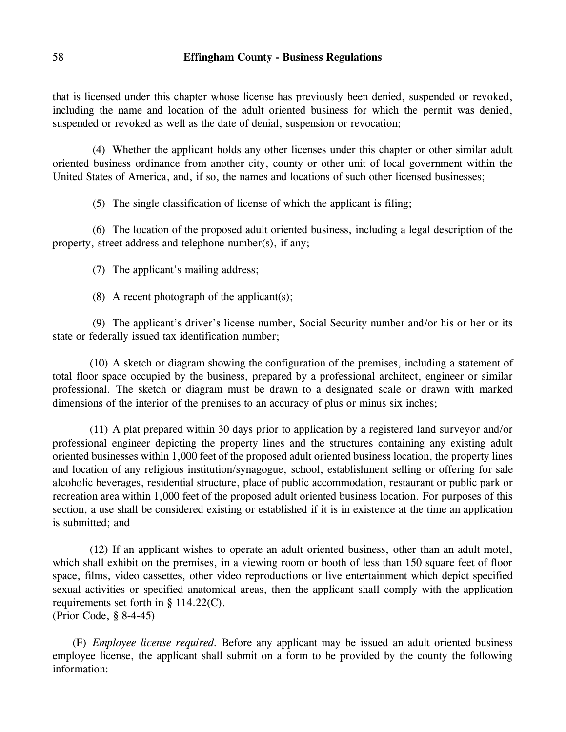that is licensed under this chapter whose license has previously been denied, suspended or revoked, including the name and location of the adult oriented business for which the permit was denied, suspended or revoked as well as the date of denial, suspension or revocation;

(4) Whether the applicant holds any other licenses under this chapter or other similar adult oriented business ordinance from another city, county or other unit of local government within the United States of America, and, if so, the names and locations of such other licensed businesses;

(5) The single classification of license of which the applicant is filing;

(6) The location of the proposed adult oriented business, including a legal description of the property, street address and telephone number(s), if any;

(7) The applicant's mailing address;

(8) A recent photograph of the applicant(s);

(9) The applicant's driver's license number, Social Security number and/or his or her or its state or federally issued tax identification number;

(10) A sketch or diagram showing the configuration of the premises, including a statement of total floor space occupied by the business, prepared by a professional architect, engineer or similar professional. The sketch or diagram must be drawn to a designated scale or drawn with marked dimensions of the interior of the premises to an accuracy of plus or minus six inches;

(11) A plat prepared within 30 days prior to application by a registered land surveyor and/or professional engineer depicting the property lines and the structures containing any existing adult oriented businesses within 1,000 feet of the proposed adult oriented business location, the property lines and location of any religious institution/synagogue, school, establishment selling or offering for sale alcoholic beverages, residential structure, place of public accommodation, restaurant or public park or recreation area within 1,000 feet of the proposed adult oriented business location. For purposes of this section, a use shall be considered existing or established if it is in existence at the time an application is submitted; and

(12) If an applicant wishes to operate an adult oriented business, other than an adult motel, which shall exhibit on the premises, in a viewing room or booth of less than 150 square feet of floor space, films, video cassettes, other video reproductions or live entertainment which depict specified sexual activities or specified anatomical areas, then the applicant shall comply with the application requirements set forth in § 114.22(C). (Prior Code, § 8-4-45)

(F) *Employee license required.* Before any applicant may be issued an adult oriented business employee license, the applicant shall submit on a form to be provided by the county the following information: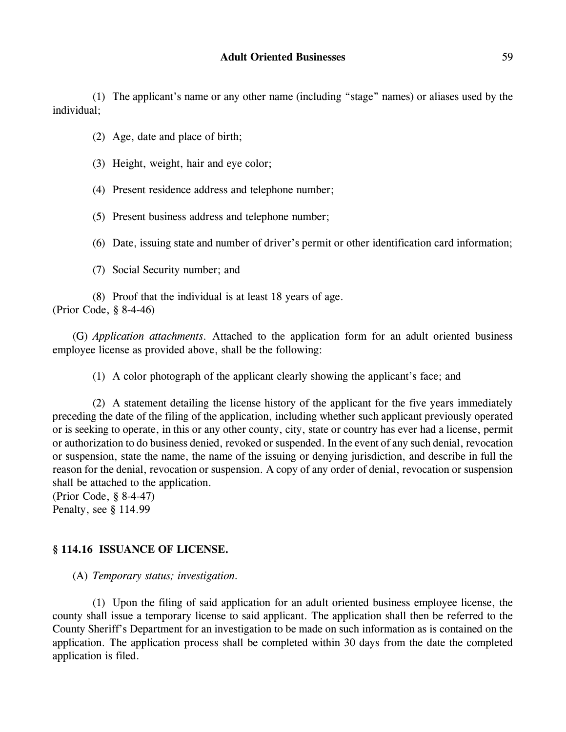(1) The applicant's name or any other name (including "stage" names) or aliases used by the individual;

- (2) Age, date and place of birth;
- (3) Height, weight, hair and eye color;
- (4) Present residence address and telephone number;
- (5) Present business address and telephone number;
- (6) Date, issuing state and number of driver's permit or other identification card information;
- (7) Social Security number; and

(8) Proof that the individual is at least 18 years of age. (Prior Code, § 8-4-46)

(G) *Application attachments.* Attached to the application form for an adult oriented business employee license as provided above, shall be the following:

(1) A color photograph of the applicant clearly showing the applicant's face; and

(2) A statement detailing the license history of the applicant for the five years immediately preceding the date of the filing of the application, including whether such applicant previously operated or is seeking to operate, in this or any other county, city, state or country has ever had a license, permit or authorization to do business denied, revoked or suspended. In the event of any such denial, revocation or suspension, state the name, the name of the issuing or denying jurisdiction, and describe in full the reason for the denial, revocation or suspension. A copy of any order of denial, revocation or suspension shall be attached to the application.

(Prior Code, § 8-4-47) Penalty, see § 114.99

# **§ 114.16 ISSUANCE OF LICENSE.**

(A) *Temporary status; investigation.*

(1) Upon the filing of said application for an adult oriented business employee license, the county shall issue a temporary license to said applicant. The application shall then be referred to the County Sheriff's Department for an investigation to be made on such information as is contained on the application. The application process shall be completed within 30 days from the date the completed application is filed.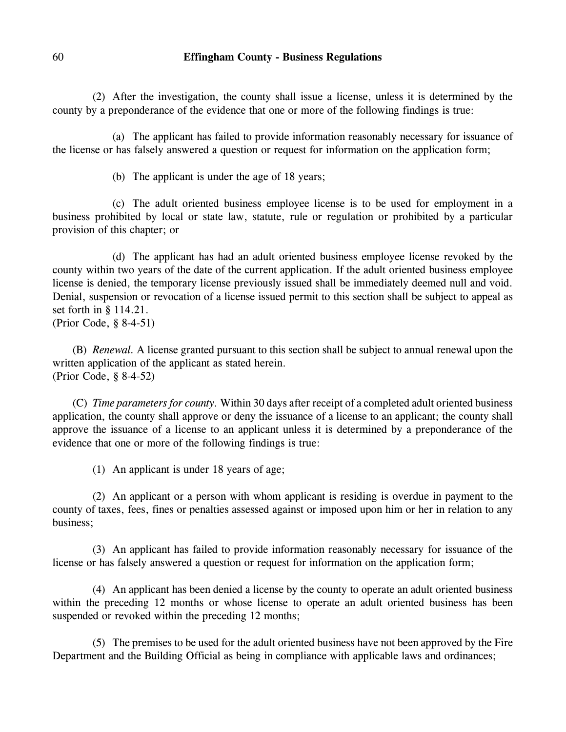(2) After the investigation, the county shall issue a license, unless it is determined by the county by a preponderance of the evidence that one or more of the following findings is true:

(a) The applicant has failed to provide information reasonably necessary for issuance of the license or has falsely answered a question or request for information on the application form;

(b) The applicant is under the age of 18 years;

(c) The adult oriented business employee license is to be used for employment in a business prohibited by local or state law, statute, rule or regulation or prohibited by a particular provision of this chapter; or

(d) The applicant has had an adult oriented business employee license revoked by the county within two years of the date of the current application. If the adult oriented business employee license is denied, the temporary license previously issued shall be immediately deemed null and void. Denial, suspension or revocation of a license issued permit to this section shall be subject to appeal as set forth in § 114.21. (Prior Code, § 8-4-51)

(B) *Renewal.* A license granted pursuant to this section shall be subject to annual renewal upon the written application of the applicant as stated herein. (Prior Code, § 8-4-52)

(C) *Time parameters for county.* Within 30 days after receipt of a completed adult oriented business application, the county shall approve or deny the issuance of a license to an applicant; the county shall approve the issuance of a license to an applicant unless it is determined by a preponderance of the evidence that one or more of the following findings is true:

(1) An applicant is under 18 years of age;

(2) An applicant or a person with whom applicant is residing is overdue in payment to the county of taxes, fees, fines or penalties assessed against or imposed upon him or her in relation to any business;

(3) An applicant has failed to provide information reasonably necessary for issuance of the license or has falsely answered a question or request for information on the application form;

(4) An applicant has been denied a license by the county to operate an adult oriented business within the preceding 12 months or whose license to operate an adult oriented business has been suspended or revoked within the preceding 12 months;

(5) The premises to be used for the adult oriented business have not been approved by the Fire Department and the Building Official as being in compliance with applicable laws and ordinances;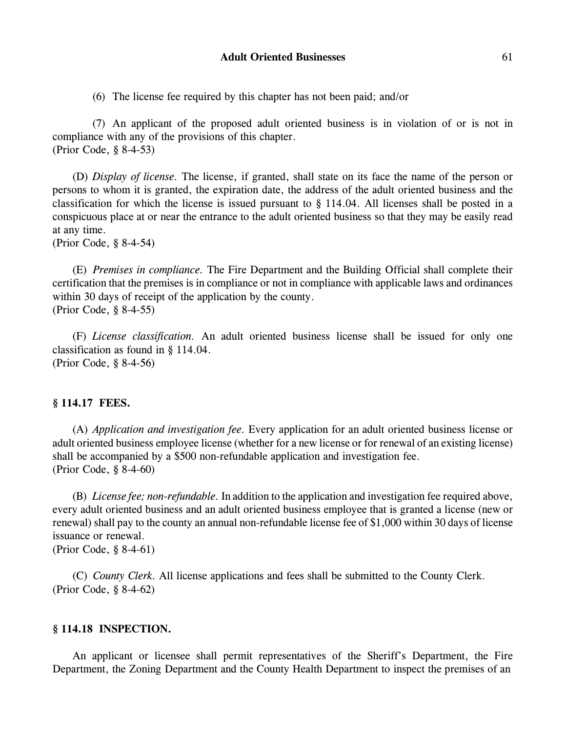#### Adult Oriented Businesses 61

(6) The license fee required by this chapter has not been paid; and/or

(7) An applicant of the proposed adult oriented business is in violation of or is not in compliance with any of the provisions of this chapter. (Prior Code, § 8-4-53)

(D) *Display of license.* The license, if granted, shall state on its face the name of the person or persons to whom it is granted, the expiration date, the address of the adult oriented business and the classification for which the license is issued pursuant to § 114.04. All licenses shall be posted in a conspicuous place at or near the entrance to the adult oriented business so that they may be easily read at any time.

(Prior Code, § 8-4-54)

(E) *Premises in compliance.* The Fire Department and the Building Official shall complete their certification that the premises is in compliance or not in compliance with applicable laws and ordinances within 30 days of receipt of the application by the county. (Prior Code, § 8-4-55)

(F) *License classification.* An adult oriented business license shall be issued for only one classification as found in § 114.04. (Prior Code, § 8-4-56)

#### **§ 114.17 FEES.**

(A) *Application and investigation fee.* Every application for an adult oriented business license or adult oriented business employee license (whether for a new license or for renewal of an existing license) shall be accompanied by a \$500 non-refundable application and investigation fee. (Prior Code, § 8-4-60)

(B) *License fee; non-refundable.* In addition to the application and investigation fee required above, every adult oriented business and an adult oriented business employee that is granted a license (new or renewal) shall pay to the county an annual non-refundable license fee of \$1,000 within 30 days of license issuance or renewal. (Prior Code, § 8-4-61)

(C) *County Clerk.* All license applications and fees shall be submitted to the County Clerk. (Prior Code, § 8-4-62)

#### **§ 114.18 INSPECTION.**

An applicant or licensee shall permit representatives of the Sheriff's Department, the Fire Department, the Zoning Department and the County Health Department to inspect the premises of an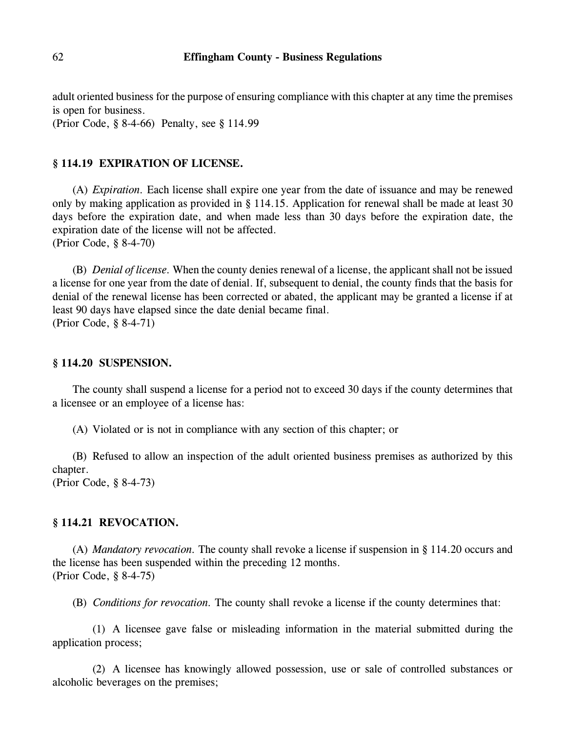adult oriented business for the purpose of ensuring compliance with this chapter at any time the premises is open for business.

(Prior Code, § 8-4-66) Penalty, see § 114.99

#### **§ 114.19 EXPIRATION OF LICENSE.**

(A) *Expiration.* Each license shall expire one year from the date of issuance and may be renewed only by making application as provided in § 114.15. Application for renewal shall be made at least 30 days before the expiration date, and when made less than 30 days before the expiration date, the expiration date of the license will not be affected. (Prior Code, § 8-4-70)

(B) *Denial of license.* When the county denies renewal of a license, the applicant shall not be issued a license for one year from the date of denial. If, subsequent to denial, the county finds that the basis for denial of the renewal license has been corrected or abated, the applicant may be granted a license if at least 90 days have elapsed since the date denial became final. (Prior Code, § 8-4-71)

#### **§ 114.20 SUSPENSION.**

The county shall suspend a license for a period not to exceed 30 days if the county determines that a licensee or an employee of a license has:

(A) Violated or is not in compliance with any section of this chapter; or

(B) Refused to allow an inspection of the adult oriented business premises as authorized by this chapter.

(Prior Code, § 8-4-73)

#### **§ 114.21 REVOCATION.**

(A) *Mandatory revocation.* The county shall revoke a license if suspension in § 114.20 occurs and the license has been suspended within the preceding 12 months. (Prior Code, § 8-4-75)

(B) *Conditions for revocation.* The county shall revoke a license if the county determines that:

(1) A licensee gave false or misleading information in the material submitted during the application process;

(2) A licensee has knowingly allowed possession, use or sale of controlled substances or alcoholic beverages on the premises;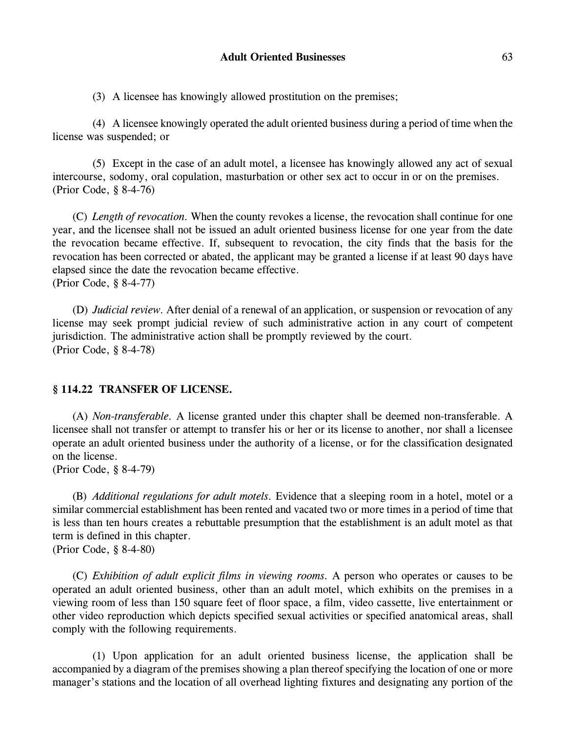(3) A licensee has knowingly allowed prostitution on the premises;

(4) A licensee knowingly operated the adult oriented business during a period of time when the license was suspended; or

(5) Except in the case of an adult motel, a licensee has knowingly allowed any act of sexual intercourse, sodomy, oral copulation, masturbation or other sex act to occur in or on the premises. (Prior Code, § 8-4-76)

(C) *Length of revocation.* When the county revokes a license, the revocation shall continue for one year, and the licensee shall not be issued an adult oriented business license for one year from the date the revocation became effective. If, subsequent to revocation, the city finds that the basis for the revocation has been corrected or abated, the applicant may be granted a license if at least 90 days have elapsed since the date the revocation became effective. (Prior Code, § 8-4-77)

(D) *Judicial review.* After denial of a renewal of an application, or suspension or revocation of any license may seek prompt judicial review of such administrative action in any court of competent jurisdiction. The administrative action shall be promptly reviewed by the court. (Prior Code, § 8-4-78)

#### **§ 114.22 TRANSFER OF LICENSE.**

(A) *Non-transferable.* A license granted under this chapter shall be deemed non-transferable. A licensee shall not transfer or attempt to transfer his or her or its license to another, nor shall a licensee operate an adult oriented business under the authority of a license, or for the classification designated on the license.

(Prior Code, § 8-4-79)

(B) *Additional regulations for adult motels.* Evidence that a sleeping room in a hotel, motel or a similar commercial establishment has been rented and vacated two or more times in a period of time that is less than ten hours creates a rebuttable presumption that the establishment is an adult motel as that term is defined in this chapter. (Prior Code, § 8-4-80)

(C) *Exhibition of adult explicit films in viewing rooms.* A person who operates or causes to be operated an adult oriented business, other than an adult motel, which exhibits on the premises in a viewing room of less than 150 square feet of floor space, a film, video cassette, live entertainment or other video reproduction which depicts specified sexual activities or specified anatomical areas, shall comply with the following requirements.

(1) Upon application for an adult oriented business license, the application shall be accompanied by a diagram of the premises showing a plan thereof specifying the location of one or more manager's stations and the location of all overhead lighting fixtures and designating any portion of the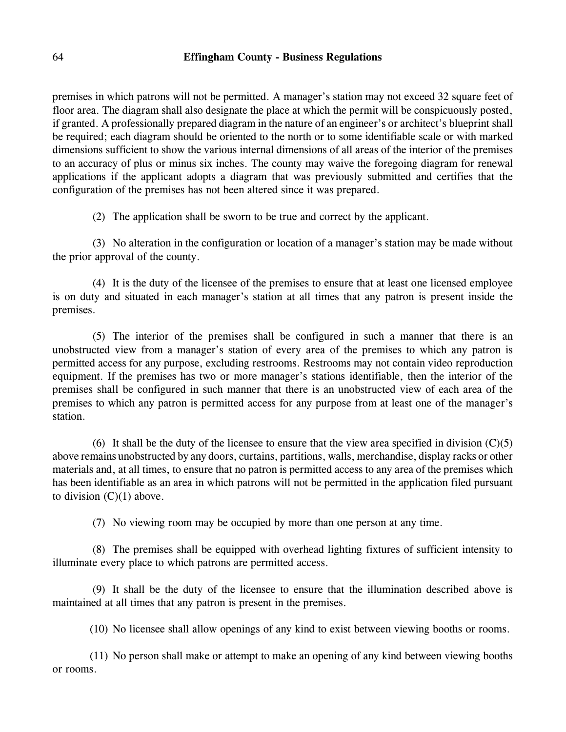premises in which patrons will not be permitted. A manager's station may not exceed 32 square feet of floor area. The diagram shall also designate the place at which the permit will be conspicuously posted, if granted. A professionally prepared diagram in the nature of an engineer's or architect's blueprint shall be required; each diagram should be oriented to the north or to some identifiable scale or with marked dimensions sufficient to show the various internal dimensions of all areas of the interior of the premises to an accuracy of plus or minus six inches. The county may waive the foregoing diagram for renewal applications if the applicant adopts a diagram that was previously submitted and certifies that the configuration of the premises has not been altered since it was prepared.

(2) The application shall be sworn to be true and correct by the applicant.

(3) No alteration in the configuration or location of a manager's station may be made without the prior approval of the county.

(4) It is the duty of the licensee of the premises to ensure that at least one licensed employee is on duty and situated in each manager's station at all times that any patron is present inside the premises.

(5) The interior of the premises shall be configured in such a manner that there is an unobstructed view from a manager's station of every area of the premises to which any patron is permitted access for any purpose, excluding restrooms. Restrooms may not contain video reproduction equipment. If the premises has two or more manager's stations identifiable, then the interior of the premises shall be configured in such manner that there is an unobstructed view of each area of the premises to which any patron is permitted access for any purpose from at least one of the manager's station.

(6) It shall be the duty of the licensee to ensure that the view area specified in division  $(C)(5)$ above remains unobstructed by any doors, curtains, partitions, walls, merchandise, display racks or other materials and, at all times, to ensure that no patron is permitted access to any area of the premises which has been identifiable as an area in which patrons will not be permitted in the application filed pursuant to division  $(C)(1)$  above.

(7) No viewing room may be occupied by more than one person at any time.

(8) The premises shall be equipped with overhead lighting fixtures of sufficient intensity to illuminate every place to which patrons are permitted access.

(9) It shall be the duty of the licensee to ensure that the illumination described above is maintained at all times that any patron is present in the premises.

(10) No licensee shall allow openings of any kind to exist between viewing booths or rooms.

(11) No person shall make or attempt to make an opening of any kind between viewing booths or rooms.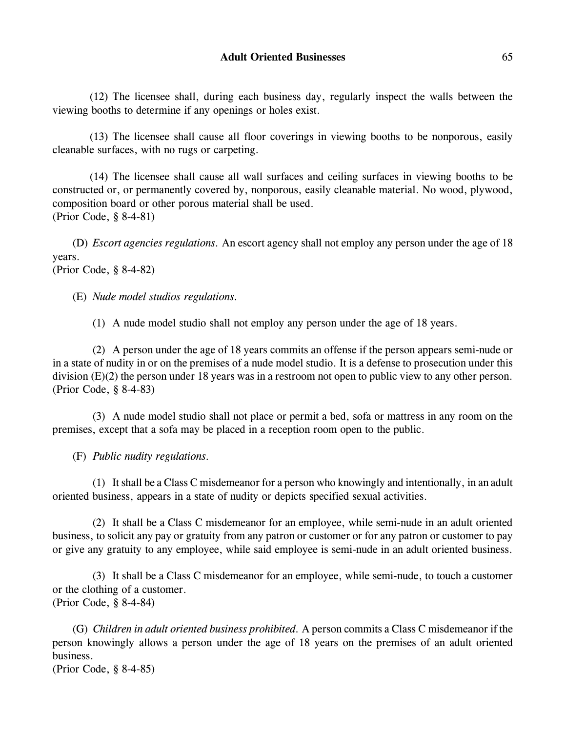(12) The licensee shall, during each business day, regularly inspect the walls between the viewing booths to determine if any openings or holes exist.

(13) The licensee shall cause all floor coverings in viewing booths to be nonporous, easily cleanable surfaces, with no rugs or carpeting.

(14) The licensee shall cause all wall surfaces and ceiling surfaces in viewing booths to be constructed or, or permanently covered by, nonporous, easily cleanable material. No wood, plywood, composition board or other porous material shall be used. (Prior Code, § 8-4-81)

(D) *Escort agencies regulations.* An escort agency shall not employ any person under the age of 18 years. (Prior Code, § 8-4-82)

(E) *Nude model studios regulations.*

(1) A nude model studio shall not employ any person under the age of 18 years.

(2) A person under the age of 18 years commits an offense if the person appears semi-nude or in a state of nudity in or on the premises of a nude model studio. It is a defense to prosecution under this division (E)(2) the person under 18 years was in a restroom not open to public view to any other person. (Prior Code, § 8-4-83)

(3) A nude model studio shall not place or permit a bed, sofa or mattress in any room on the premises, except that a sofa may be placed in a reception room open to the public.

(F) *Public nudity regulations.*

(1) It shall be a Class C misdemeanor for a person who knowingly and intentionally, in an adult oriented business, appears in a state of nudity or depicts specified sexual activities.

(2) It shall be a Class C misdemeanor for an employee, while semi-nude in an adult oriented business, to solicit any pay or gratuity from any patron or customer or for any patron or customer to pay or give any gratuity to any employee, while said employee is semi-nude in an adult oriented business.

(3) It shall be a Class C misdemeanor for an employee, while semi-nude, to touch a customer or the clothing of a customer. (Prior Code, § 8-4-84)

(G) *Children in adult oriented business prohibited.* A person commits a Class C misdemeanor if the person knowingly allows a person under the age of 18 years on the premises of an adult oriented business.

(Prior Code, § 8-4-85)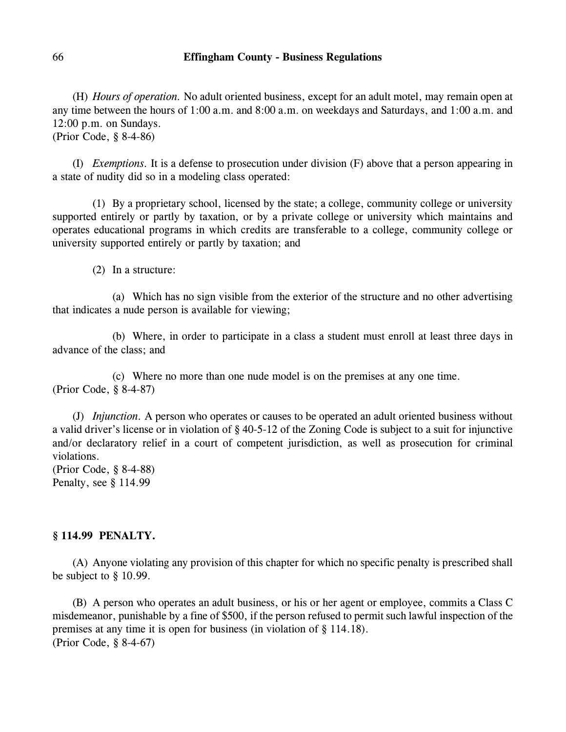(H) *Hours of operation.* No adult oriented business, except for an adult motel, may remain open at any time between the hours of 1:00 a.m. and 8:00 a.m. on weekdays and Saturdays, and 1:00 a.m. and 12:00 p.m. on Sundays.

(Prior Code, § 8-4-86)

(I) *Exemptions.* It is a defense to prosecution under division (F) above that a person appearing in a state of nudity did so in a modeling class operated:

(1) By a proprietary school, licensed by the state; a college, community college or university supported entirely or partly by taxation, or by a private college or university which maintains and operates educational programs in which credits are transferable to a college, community college or university supported entirely or partly by taxation; and

(2) In a structure:

(a) Which has no sign visible from the exterior of the structure and no other advertising that indicates a nude person is available for viewing;

(b) Where, in order to participate in a class a student must enroll at least three days in advance of the class; and

(c) Where no more than one nude model is on the premises at any one time. (Prior Code, § 8-4-87)

(J) *Injunction.* A person who operates or causes to be operated an adult oriented business without a valid driver's license or in violation of § 40-5-12 of the Zoning Code is subject to a suit for injunctive and/or declaratory relief in a court of competent jurisdiction, as well as prosecution for criminal violations.

(Prior Code, § 8-4-88) Penalty, see § 114.99

# **§ 114.99 PENALTY.**

(A) Anyone violating any provision of this chapter for which no specific penalty is prescribed shall be subject to § 10.99.

(B) A person who operates an adult business, or his or her agent or employee, commits a Class C misdemeanor, punishable by a fine of \$500, if the person refused to permit such lawful inspection of the premises at any time it is open for business (in violation of § 114.18). (Prior Code, § 8-4-67)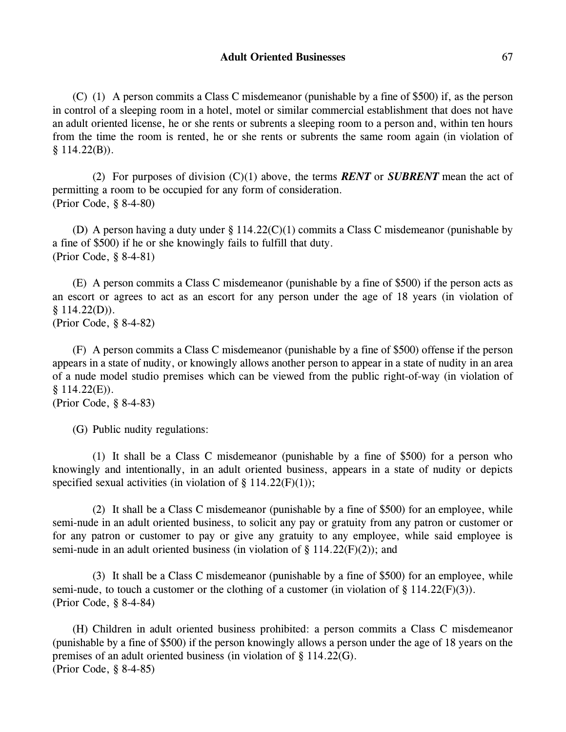(C) (1) A person commits a Class C misdemeanor (punishable by a fine of \$500) if, as the person in control of a sleeping room in a hotel, motel or similar commercial establishment that does not have an adult oriented license, he or she rents or subrents a sleeping room to a person and, within ten hours from the time the room is rented, he or she rents or subrents the same room again (in violation of  $§ 114.22(B)).$ 

(2) For purposes of division (C)(1) above, the terms *RENT* or *SUBRENT* mean the act of permitting a room to be occupied for any form of consideration. (Prior Code, § 8-4-80)

(D) A person having a duty under § 114.22(C)(1) commits a Class C misdemeanor (punishable by a fine of \$500) if he or she knowingly fails to fulfill that duty. (Prior Code, § 8-4-81)

(E) A person commits a Class C misdemeanor (punishable by a fine of \$500) if the person acts as an escort or agrees to act as an escort for any person under the age of 18 years (in violation of  $§ 114.22(D)$ .

(Prior Code, § 8-4-82)

(F) A person commits a Class C misdemeanor (punishable by a fine of \$500) offense if the person appears in a state of nudity, or knowingly allows another person to appear in a state of nudity in an area of a nude model studio premises which can be viewed from the public right-of-way (in violation of  $$114.22(E)$ .

(G) Public nudity regulations:

(1) It shall be a Class C misdemeanor (punishable by a fine of \$500) for a person who knowingly and intentionally, in an adult oriented business, appears in a state of nudity or depicts specified sexual activities (in violation of  $\S$  114.22(F)(1));

(2) It shall be a Class C misdemeanor (punishable by a fine of \$500) for an employee, while semi-nude in an adult oriented business, to solicit any pay or gratuity from any patron or customer or for any patron or customer to pay or give any gratuity to any employee, while said employee is semi-nude in an adult oriented business (in violation of  $\S$  114.22(F)(2)); and

(3) It shall be a Class C misdemeanor (punishable by a fine of \$500) for an employee, while semi-nude, to touch a customer or the clothing of a customer (in violation of  $\S$  114.22(F)(3)). (Prior Code, § 8-4-84)

(H) Children in adult oriented business prohibited: a person commits a Class C misdemeanor (punishable by a fine of \$500) if the person knowingly allows a person under the age of 18 years on the premises of an adult oriented business (in violation of § 114.22(G). (Prior Code, § 8-4-85)

<sup>(</sup>Prior Code, § 8-4-83)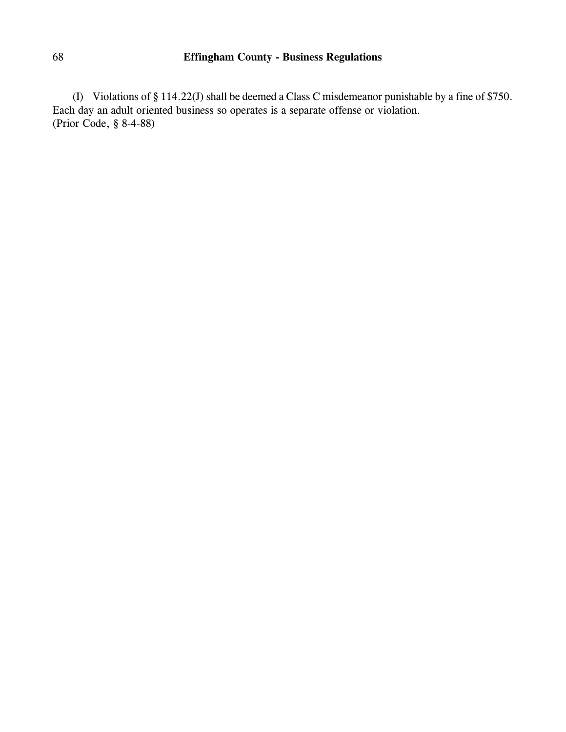(I) Violations of § 114.22(J) shall be deemed a Class C misdemeanor punishable by a fine of \$750. Each day an adult oriented business so operates is a separate offense or violation. (Prior Code, § 8-4-88)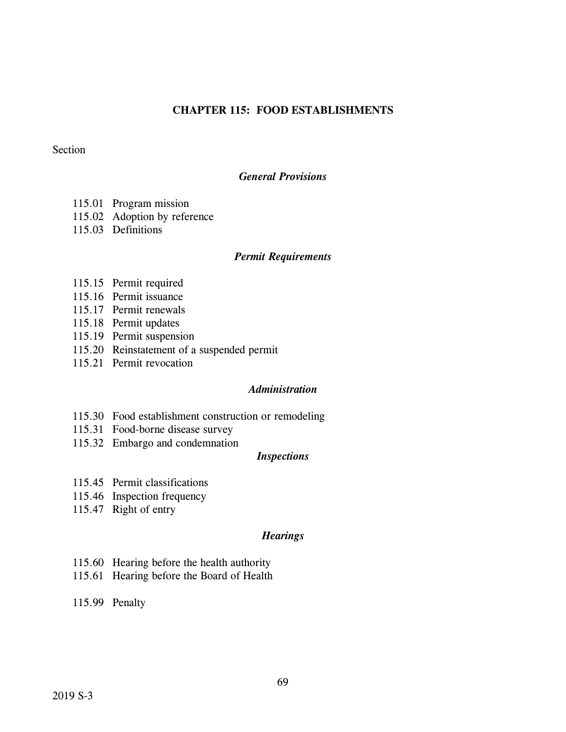# **CHAPTER 115: FOOD ESTABLISHMENTS**

## Section

# *General Provisions*

- 115.01 Program mission
- 115.02 Adoption by reference
- 115.03 Definitions

#### *Permit Requirements*

- 115.15 Permit required
- 115.16 Permit issuance
- 115.17 Permit renewals
- 115.18 Permit updates
- 115.19 Permit suspension
- 115.20 Reinstatement of a suspended permit
- 115.21 Permit revocation

# *Administration*

- 115.30 Food establishment construction or remodeling
- 115.31 Food-borne disease survey
- 115.32 Embargo and condemnation

### *Inspections*

- 115.45 Permit classifications
- 115.46 Inspection frequency
- 115.47 Right of entry

# *Hearings*

- 115.60 Hearing before the health authority
- 115.61 Hearing before the Board of Health
- 115.99 Penalty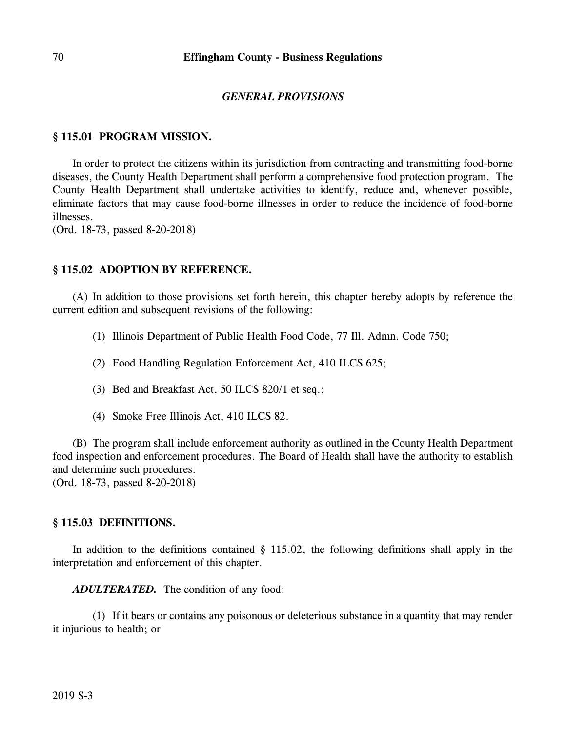### *GENERAL PROVISIONS*

#### **§ 115.01 PROGRAM MISSION.**

In order to protect the citizens within its jurisdiction from contracting and transmitting food-borne diseases, the County Health Department shall perform a comprehensive food protection program. The County Health Department shall undertake activities to identify, reduce and, whenever possible, eliminate factors that may cause food-borne illnesses in order to reduce the incidence of food-borne illnesses.

(Ord. 18-73, passed 8-20-2018)

## **§ 115.02 ADOPTION BY REFERENCE.**

(A) In addition to those provisions set forth herein, this chapter hereby adopts by reference the current edition and subsequent revisions of the following:

- (1) Illinois Department of Public Health Food Code, 77 Ill. Admn. Code 750;
- (2) Food Handling Regulation Enforcement Act, 410 ILCS 625;
- (3) Bed and Breakfast Act, 50 ILCS 820/1 et seq.;
- (4) Smoke Free Illinois Act, 410 ILCS 82.

(B) The program shall include enforcement authority as outlined in the County Health Department food inspection and enforcement procedures. The Board of Health shall have the authority to establish and determine such procedures.

(Ord. 18-73, passed 8-20-2018)

#### **§ 115.03 DEFINITIONS.**

In addition to the definitions contained  $\S$  115.02, the following definitions shall apply in the interpretation and enforcement of this chapter.

*ADULTERATED.* The condition of any food:

(1) If it bears or contains any poisonous or deleterious substance in a quantity that may render it injurious to health; or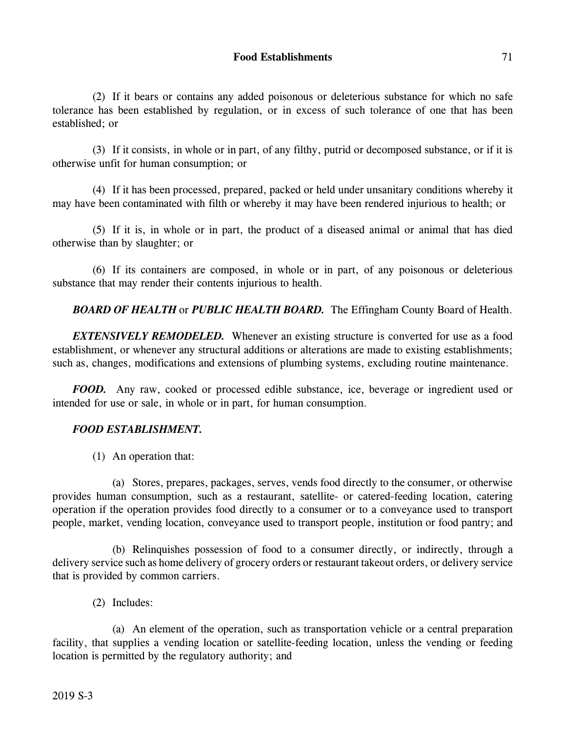(2) If it bears or contains any added poisonous or deleterious substance for which no safe tolerance has been established by regulation, or in excess of such tolerance of one that has been established; or

(3) If it consists, in whole or in part, of any filthy, putrid or decomposed substance, or if it is otherwise unfit for human consumption; or

(4) If it has been processed, prepared, packed or held under unsanitary conditions whereby it may have been contaminated with filth or whereby it may have been rendered injurious to health; or

(5) If it is, in whole or in part, the product of a diseased animal or animal that has died otherwise than by slaughter; or

(6) If its containers are composed, in whole or in part, of any poisonous or deleterious substance that may render their contents injurious to health.

*BOARD OF HEALTH* or *PUBLIC HEALTH BOARD.* The Effingham County Board of Health.

*EXTENSIVELY REMODELED.* Whenever an existing structure is converted for use as a food establishment, or whenever any structural additions or alterations are made to existing establishments; such as, changes, modifications and extensions of plumbing systems, excluding routine maintenance.

*FOOD.* Any raw, cooked or processed edible substance, ice, beverage or ingredient used or intended for use or sale, in whole or in part, for human consumption.

# *FOOD ESTABLISHMENT.*

(1) An operation that:

(a) Stores, prepares, packages, serves, vends food directly to the consumer, or otherwise provides human consumption, such as a restaurant, satellite- or catered-feeding location, catering operation if the operation provides food directly to a consumer or to a conveyance used to transport people, market, vending location, conveyance used to transport people, institution or food pantry; and

(b) Relinquishes possession of food to a consumer directly, or indirectly, through a delivery service such as home delivery of grocery orders or restaurant takeout orders, or delivery service that is provided by common carriers.

(2) Includes:

(a) An element of the operation, such as transportation vehicle or a central preparation facility, that supplies a vending location or satellite-feeding location, unless the vending or feeding location is permitted by the regulatory authority; and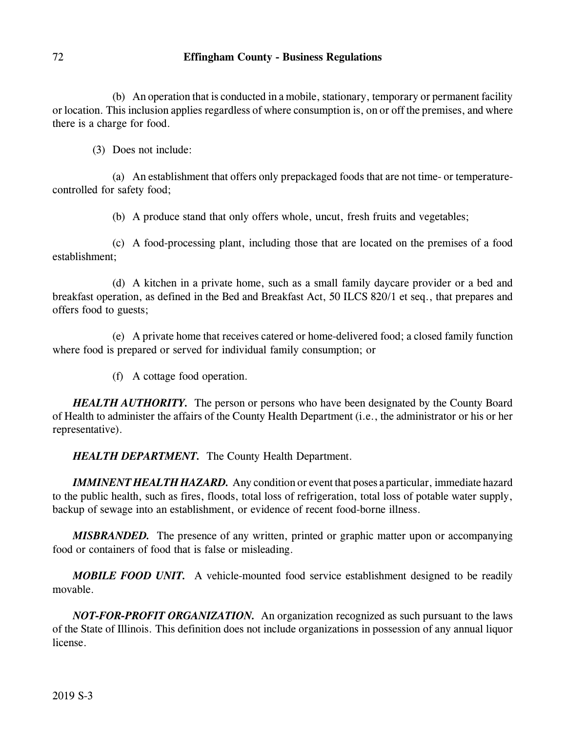(b) An operation that is conducted in a mobile, stationary, temporary or permanent facility or location. This inclusion applies regardless of where consumption is, on or off the premises, and where there is a charge for food.

(3) Does not include:

(a) An establishment that offers only prepackaged foods that are not time- or temperaturecontrolled for safety food;

(b) A produce stand that only offers whole, uncut, fresh fruits and vegetables;

(c) A food-processing plant, including those that are located on the premises of a food establishment;

(d) A kitchen in a private home, such as a small family daycare provider or a bed and breakfast operation, as defined in the Bed and Breakfast Act, 50 ILCS 820/1 et seq., that prepares and offers food to guests;

(e) A private home that receives catered or home-delivered food; a closed family function where food is prepared or served for individual family consumption; or

(f) A cottage food operation.

*HEALTH AUTHORITY.* The person or persons who have been designated by the County Board of Health to administer the affairs of the County Health Department (i.e., the administrator or his or her representative).

*HEALTH DEPARTMENT.* The County Health Department.

*IMMINENT HEALTH HAZARD.* Any condition or event that poses a particular, immediate hazard to the public health, such as fires, floods, total loss of refrigeration, total loss of potable water supply, backup of sewage into an establishment, or evidence of recent food-borne illness.

*MISBRANDED.* The presence of any written, printed or graphic matter upon or accompanying food or containers of food that is false or misleading.

*MOBILE FOOD UNIT.* A vehicle-mounted food service establishment designed to be readily movable.

*NOT-FOR-PROFIT ORGANIZATION.* An organization recognized as such pursuant to the laws of the State of Illinois. This definition does not include organizations in possession of any annual liquor license.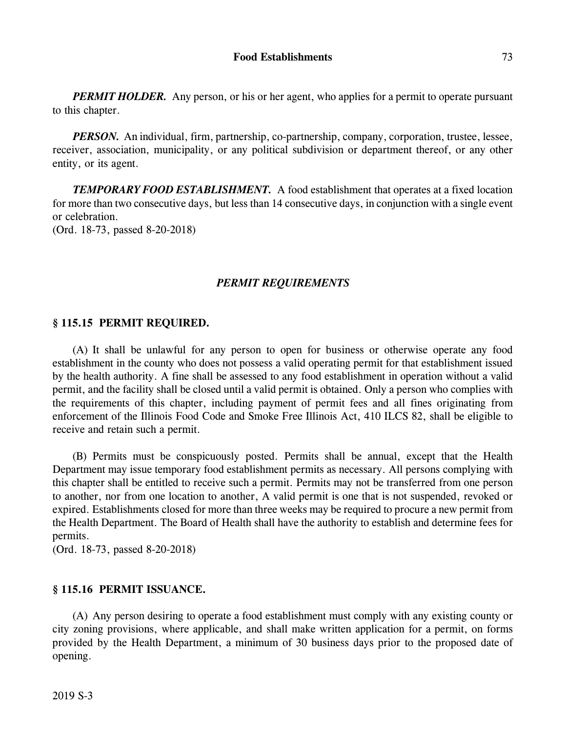*PERMIT HOLDER.* Any person, or his or her agent, who applies for a permit to operate pursuant to this chapter.

*PERSON.* An individual, firm, partnership, co-partnership, company, corporation, trustee, lessee, receiver, association, municipality, or any political subdivision or department thereof, or any other entity, or its agent.

*TEMPORARY FOOD ESTABLISHMENT.* A food establishment that operates at a fixed location for more than two consecutive days, but less than 14 consecutive days, in conjunction with a single event or celebration.

(Ord. 18-73, passed 8-20-2018)

# *PERMIT REQUIREMENTS*

### **§ 115.15 PERMIT REQUIRED.**

(A) It shall be unlawful for any person to open for business or otherwise operate any food establishment in the county who does not possess a valid operating permit for that establishment issued by the health authority. A fine shall be assessed to any food establishment in operation without a valid permit, and the facility shall be closed until a valid permit is obtained. Only a person who complies with the requirements of this chapter, including payment of permit fees and all fines originating from enforcement of the Illinois Food Code and Smoke Free Illinois Act, 410 ILCS 82, shall be eligible to receive and retain such a permit.

(B) Permits must be conspicuously posted. Permits shall be annual, except that the Health Department may issue temporary food establishment permits as necessary. All persons complying with this chapter shall be entitled to receive such a permit. Permits may not be transferred from one person to another, nor from one location to another, A valid permit is one that is not suspended, revoked or expired. Establishments closed for more than three weeks may be required to procure a new permit from the Health Department. The Board of Health shall have the authority to establish and determine fees for permits.

(Ord. 18-73, passed 8-20-2018)

### **§ 115.16 PERMIT ISSUANCE.**

(A) Any person desiring to operate a food establishment must comply with any existing county or city zoning provisions, where applicable, and shall make written application for a permit, on forms provided by the Health Department, a minimum of 30 business days prior to the proposed date of opening.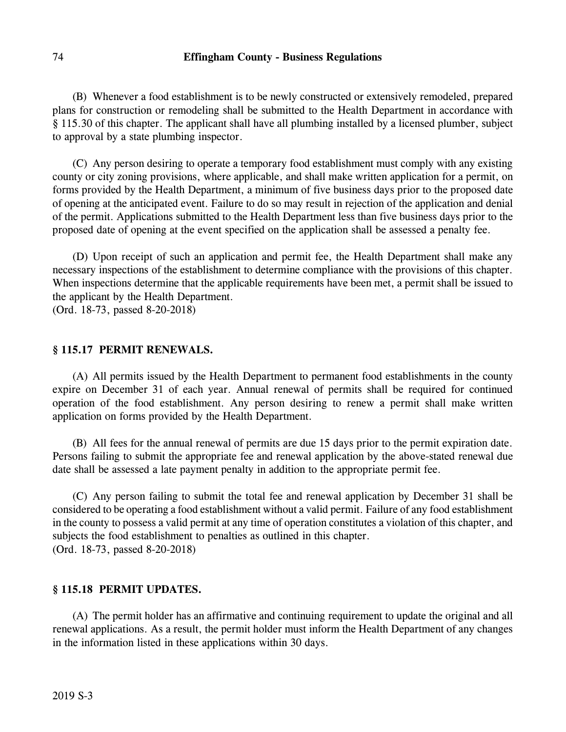(B) Whenever a food establishment is to be newly constructed or extensively remodeled, prepared plans for construction or remodeling shall be submitted to the Health Department in accordance with § 115.30 of this chapter. The applicant shall have all plumbing installed by a licensed plumber, subject to approval by a state plumbing inspector.

(C) Any person desiring to operate a temporary food establishment must comply with any existing county or city zoning provisions, where applicable, and shall make written application for a permit, on forms provided by the Health Department, a minimum of five business days prior to the proposed date of opening at the anticipated event. Failure to do so may result in rejection of the application and denial of the permit. Applications submitted to the Health Department less than five business days prior to the proposed date of opening at the event specified on the application shall be assessed a penalty fee.

(D) Upon receipt of such an application and permit fee, the Health Department shall make any necessary inspections of the establishment to determine compliance with the provisions of this chapter. When inspections determine that the applicable requirements have been met, a permit shall be issued to the applicant by the Health Department.

(Ord. 18-73, passed 8-20-2018)

# **§ 115.17 PERMIT RENEWALS.**

(A) All permits issued by the Health Department to permanent food establishments in the county expire on December 31 of each year. Annual renewal of permits shall be required for continued operation of the food establishment. Any person desiring to renew a permit shall make written application on forms provided by the Health Department.

(B) All fees for the annual renewal of permits are due 15 days prior to the permit expiration date. Persons failing to submit the appropriate fee and renewal application by the above-stated renewal due date shall be assessed a late payment penalty in addition to the appropriate permit fee.

(C) Any person failing to submit the total fee and renewal application by December 31 shall be considered to be operating a food establishment without a valid permit. Failure of any food establishment in the county to possess a valid permit at any time of operation constitutes a violation of this chapter, and subjects the food establishment to penalties as outlined in this chapter. (Ord. 18-73, passed 8-20-2018)

#### **§ 115.18 PERMIT UPDATES.**

(A) The permit holder has an affirmative and continuing requirement to update the original and all renewal applications. As a result, the permit holder must inform the Health Department of any changes in the information listed in these applications within 30 days.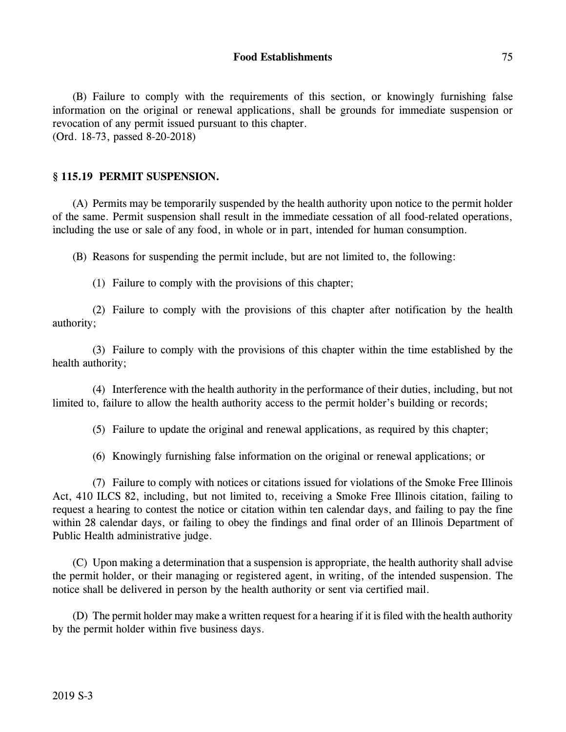(B) Failure to comply with the requirements of this section, or knowingly furnishing false information on the original or renewal applications, shall be grounds for immediate suspension or revocation of any permit issued pursuant to this chapter. (Ord. 18-73, passed 8-20-2018)

### **§ 115.19 PERMIT SUSPENSION.**

(A) Permits may be temporarily suspended by the health authority upon notice to the permit holder of the same. Permit suspension shall result in the immediate cessation of all food-related operations, including the use or sale of any food, in whole or in part, intended for human consumption.

(B) Reasons for suspending the permit include, but are not limited to, the following:

(1) Failure to comply with the provisions of this chapter;

(2) Failure to comply with the provisions of this chapter after notification by the health authority;

(3) Failure to comply with the provisions of this chapter within the time established by the health authority;

(4) Interference with the health authority in the performance of their duties, including, but not limited to, failure to allow the health authority access to the permit holder's building or records;

(5) Failure to update the original and renewal applications, as required by this chapter;

(6) Knowingly furnishing false information on the original or renewal applications; or

(7) Failure to comply with notices or citations issued for violations of the Smoke Free Illinois Act, 410 ILCS 82, including, but not limited to, receiving a Smoke Free Illinois citation, failing to request a hearing to contest the notice or citation within ten calendar days, and failing to pay the fine within 28 calendar days, or failing to obey the findings and final order of an Illinois Department of Public Health administrative judge.

(C) Upon making a determination that a suspension is appropriate, the health authority shall advise the permit holder, or their managing or registered agent, in writing, of the intended suspension. The notice shall be delivered in person by the health authority or sent via certified mail.

(D) The permit holder may make a written request for a hearing if it is filed with the health authority by the permit holder within five business days.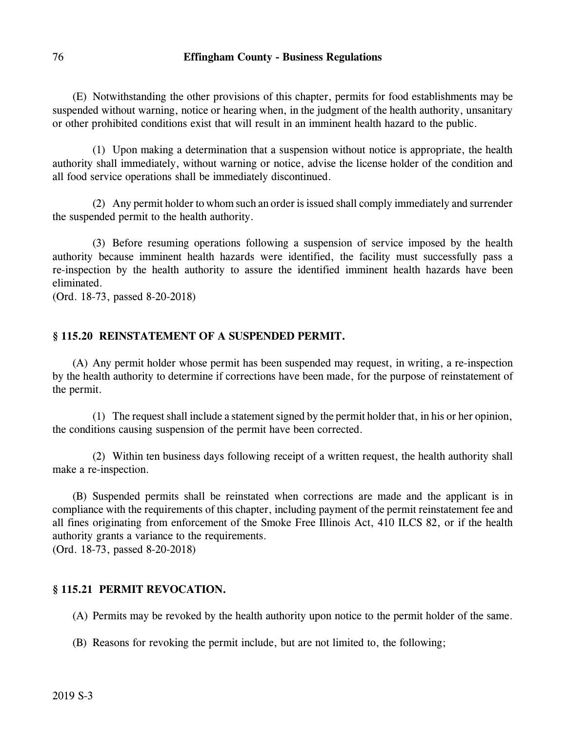(E) Notwithstanding the other provisions of this chapter, permits for food establishments may be suspended without warning, notice or hearing when, in the judgment of the health authority, unsanitary or other prohibited conditions exist that will result in an imminent health hazard to the public.

(1) Upon making a determination that a suspension without notice is appropriate, the health authority shall immediately, without warning or notice, advise the license holder of the condition and all food service operations shall be immediately discontinued.

(2) Any permit holder to whom such an order is issued shall comply immediately and surrender the suspended permit to the health authority.

(3) Before resuming operations following a suspension of service imposed by the health authority because imminent health hazards were identified, the facility must successfully pass a re-inspection by the health authority to assure the identified imminent health hazards have been eliminated.

(Ord. 18-73, passed 8-20-2018)

### **§ 115.20 REINSTATEMENT OF A SUSPENDED PERMIT.**

(A) Any permit holder whose permit has been suspended may request, in writing, a re-inspection by the health authority to determine if corrections have been made, for the purpose of reinstatement of the permit.

(1) The request shall include a statement signed by the permit holder that, in his or her opinion, the conditions causing suspension of the permit have been corrected.

(2) Within ten business days following receipt of a written request, the health authority shall make a re-inspection.

(B) Suspended permits shall be reinstated when corrections are made and the applicant is in compliance with the requirements of this chapter, including payment of the permit reinstatement fee and all fines originating from enforcement of the Smoke Free Illinois Act, 410 ILCS 82, or if the health authority grants a variance to the requirements.

(Ord. 18-73, passed 8-20-2018)

### **§ 115.21 PERMIT REVOCATION.**

(A) Permits may be revoked by the health authority upon notice to the permit holder of the same.

(B) Reasons for revoking the permit include, but are not limited to, the following;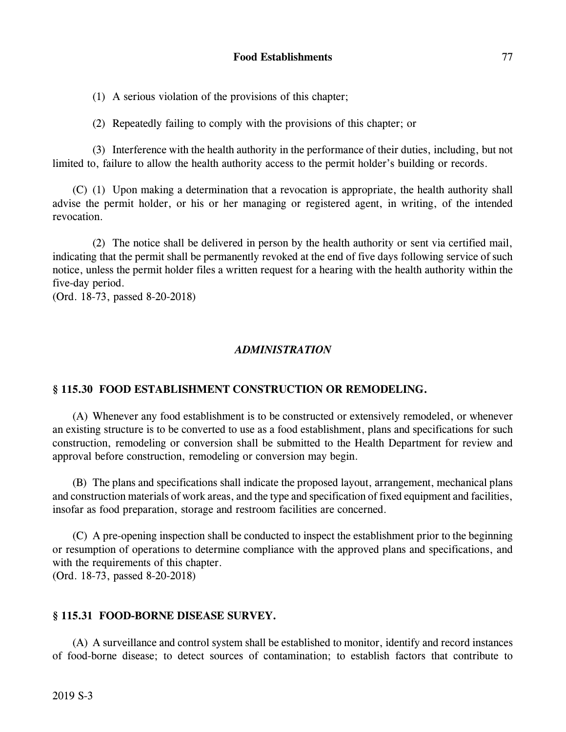(1) A serious violation of the provisions of this chapter;

(2) Repeatedly failing to comply with the provisions of this chapter; or

(3) Interference with the health authority in the performance of their duties, including, but not limited to, failure to allow the health authority access to the permit holder's building or records.

(C) (1) Upon making a determination that a revocation is appropriate, the health authority shall advise the permit holder, or his or her managing or registered agent, in writing, of the intended revocation.

(2) The notice shall be delivered in person by the health authority or sent via certified mail, indicating that the permit shall be permanently revoked at the end of five days following service of such notice, unless the permit holder files a written request for a hearing with the health authority within the five-day period.

(Ord. 18-73, passed 8-20-2018)

#### *ADMINISTRATION*

#### **§ 115.30 FOOD ESTABLISHMENT CONSTRUCTION OR REMODELING.**

(A) Whenever any food establishment is to be constructed or extensively remodeled, or whenever an existing structure is to be converted to use as a food establishment, plans and specifications for such construction, remodeling or conversion shall be submitted to the Health Department for review and approval before construction, remodeling or conversion may begin.

(B) The plans and specifications shall indicate the proposed layout, arrangement, mechanical plans and construction materials of work areas, and the type and specification of fixed equipment and facilities, insofar as food preparation, storage and restroom facilities are concerned.

(C) A pre-opening inspection shall be conducted to inspect the establishment prior to the beginning or resumption of operations to determine compliance with the approved plans and specifications, and with the requirements of this chapter. (Ord. 18-73, passed 8-20-2018)

#### **§ 115.31 FOOD-BORNE DISEASE SURVEY.**

(A) A surveillance and control system shall be established to monitor, identify and record instances of food-borne disease; to detect sources of contamination; to establish factors that contribute to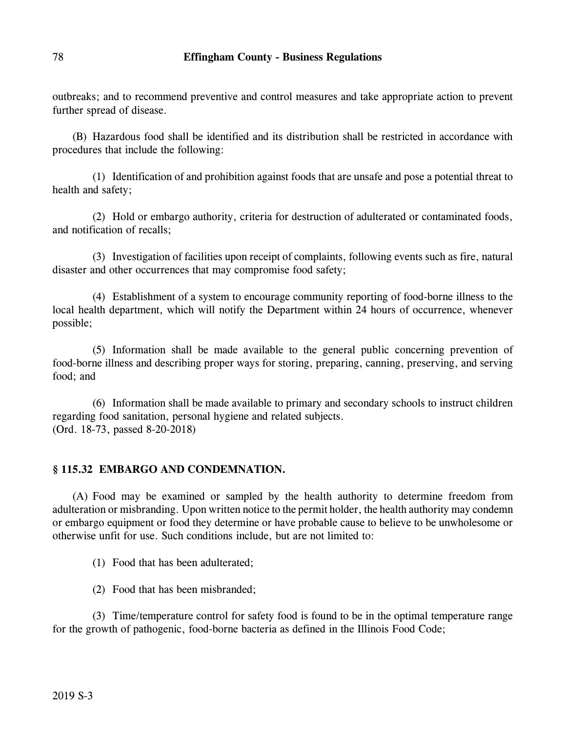outbreaks; and to recommend preventive and control measures and take appropriate action to prevent further spread of disease.

(B) Hazardous food shall be identified and its distribution shall be restricted in accordance with procedures that include the following:

(1) Identification of and prohibition against foods that are unsafe and pose a potential threat to health and safety;

(2) Hold or embargo authority, criteria for destruction of adulterated or contaminated foods, and notification of recalls;

(3) Investigation of facilities upon receipt of complaints, following events such as fire, natural disaster and other occurrences that may compromise food safety;

(4) Establishment of a system to encourage community reporting of food-borne illness to the local health department, which will notify the Department within 24 hours of occurrence, whenever possible;

(5) Information shall be made available to the general public concerning prevention of food-borne illness and describing proper ways for storing, preparing, canning, preserving, and serving food; and

(6) Information shall be made available to primary and secondary schools to instruct children regarding food sanitation, personal hygiene and related subjects. (Ord. 18-73, passed 8-20-2018)

# **§ 115.32 EMBARGO AND CONDEMNATION.**

(A) Food may be examined or sampled by the health authority to determine freedom from adulteration or misbranding. Upon written notice to the permit holder, the health authority may condemn or embargo equipment or food they determine or have probable cause to believe to be unwholesome or otherwise unfit for use. Such conditions include, but are not limited to:

(1) Food that has been adulterated;

(2) Food that has been misbranded;

(3) Time/temperature control for safety food is found to be in the optimal temperature range for the growth of pathogenic, food-borne bacteria as defined in the Illinois Food Code;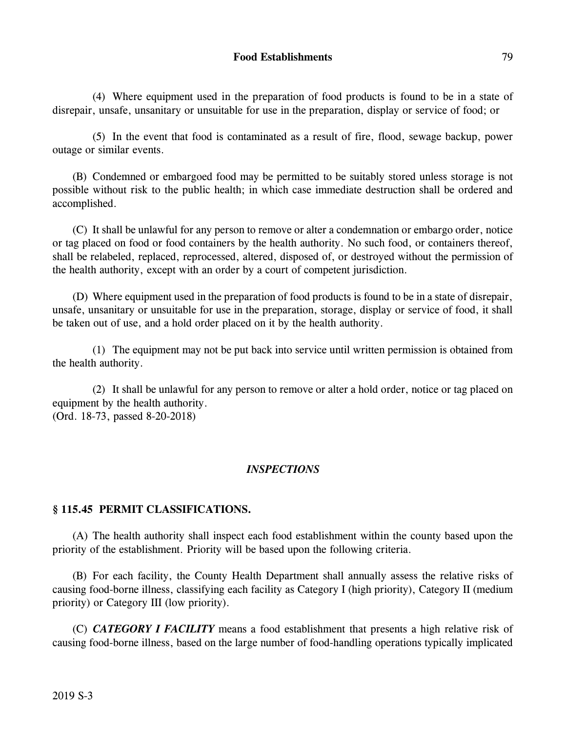(4) Where equipment used in the preparation of food products is found to be in a state of disrepair, unsafe, unsanitary or unsuitable for use in the preparation, display or service of food; or

(5) In the event that food is contaminated as a result of fire, flood, sewage backup, power outage or similar events.

(B) Condemned or embargoed food may be permitted to be suitably stored unless storage is not possible without risk to the public health; in which case immediate destruction shall be ordered and accomplished.

(C) It shall be unlawful for any person to remove or alter a condemnation or embargo order, notice or tag placed on food or food containers by the health authority. No such food, or containers thereof, shall be relabeled, replaced, reprocessed, altered, disposed of, or destroyed without the permission of the health authority, except with an order by a court of competent jurisdiction.

(D) Where equipment used in the preparation of food products is found to be in a state of disrepair, unsafe, unsanitary or unsuitable for use in the preparation, storage, display or service of food, it shall be taken out of use, and a hold order placed on it by the health authority.

(1) The equipment may not be put back into service until written permission is obtained from the health authority.

(2) It shall be unlawful for any person to remove or alter a hold order, notice or tag placed on equipment by the health authority. (Ord. 18-73, passed 8-20-2018)

### *INSPECTIONS*

### **§ 115.45 PERMIT CLASSIFICATIONS.**

(A) The health authority shall inspect each food establishment within the county based upon the priority of the establishment. Priority will be based upon the following criteria.

(B) For each facility, the County Health Department shall annually assess the relative risks of causing food-borne illness, classifying each facility as Category I (high priority), Category II (medium priority) or Category III (low priority).

(C) *CATEGORY I FACILITY* means a food establishment that presents a high relative risk of causing food-borne illness, based on the large number of food-handling operations typically implicated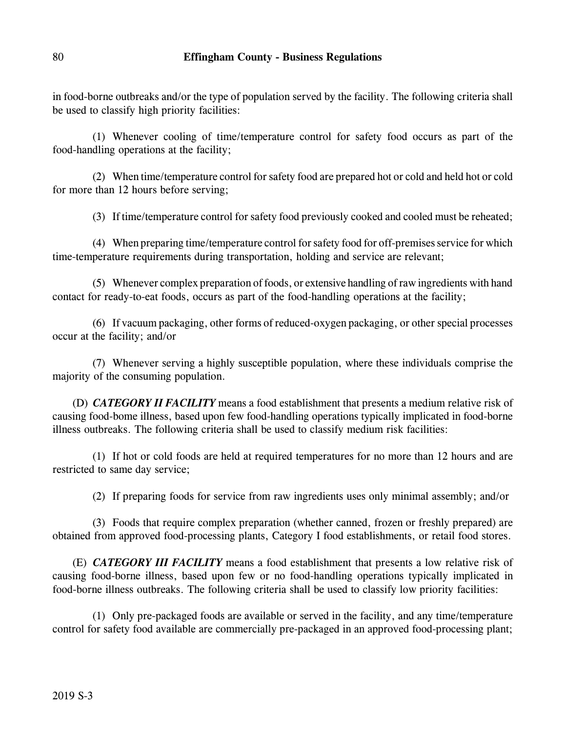in food-borne outbreaks and/or the type of population served by the facility. The following criteria shall be used to classify high priority facilities:

(1) Whenever cooling of time/temperature control for safety food occurs as part of the food-handling operations at the facility;

(2) When time/temperature control for safety food are prepared hot or cold and held hot or cold for more than 12 hours before serving;

(3) If time/temperature control for safety food previously cooked and cooled must be reheated;

(4) When preparing time/temperature control for safety food for off-premises service for which time-temperature requirements during transportation, holding and service are relevant;

(5) Whenever complex preparation of foods, or extensive handling of raw ingredients with hand contact for ready-to-eat foods, occurs as part of the food-handling operations at the facility;

(6) If vacuum packaging, other forms of reduced-oxygen packaging, or other special processes occur at the facility; and/or

(7) Whenever serving a highly susceptible population, where these individuals comprise the majority of the consuming population.

(D) *CATEGORY II FACILITY* means a food establishment that presents a medium relative risk of causing food-bome illness, based upon few food-handling operations typically implicated in food-borne illness outbreaks. The following criteria shall be used to classify medium risk facilities:

(1) If hot or cold foods are held at required temperatures for no more than 12 hours and are restricted to same day service;

(2) If preparing foods for service from raw ingredients uses only minimal assembly; and/or

(3) Foods that require complex preparation (whether canned, frozen or freshly prepared) are obtained from approved food-processing plants, Category I food establishments, or retail food stores.

(E) *CATEGORY III FACILITY* means a food establishment that presents a low relative risk of causing food-borne illness, based upon few or no food-handling operations typically implicated in food-borne illness outbreaks. The following criteria shall be used to classify low priority facilities:

(1) Only pre-packaged foods are available or served in the facility, and any time/temperature control for safety food available are commercially pre-packaged in an approved food-processing plant;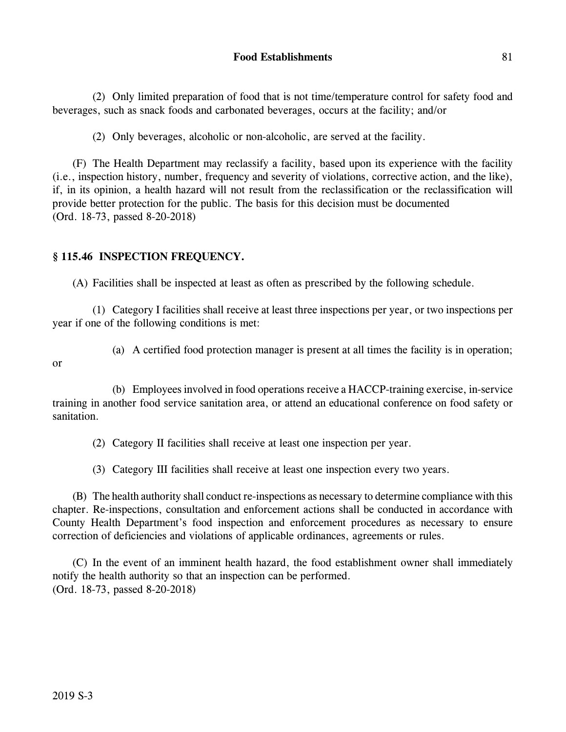(2) Only limited preparation of food that is not time/temperature control for safety food and beverages, such as snack foods and carbonated beverages, occurs at the facility; and/or

(2) Only beverages, alcoholic or non-alcoholic, are served at the facility.

(F) The Health Department may reclassify a facility, based upon its experience with the facility (i.e., inspection history, number, frequency and severity of violations, corrective action, and the like), if, in its opinion, a health hazard will not result from the reclassification or the reclassification will provide better protection for the public. The basis for this decision must be documented (Ord. 18-73, passed 8-20-2018)

# **§ 115.46 INSPECTION FREQUENCY.**

(A) Facilities shall be inspected at least as often as prescribed by the following schedule.

(1) Category I facilities shall receive at least three inspections per year, or two inspections per year if one of the following conditions is met:

or

(a) A certified food protection manager is present at all times the facility is in operation;

(b) Employees involved in food operations receive a HACCP-training exercise, in-service training in another food service sanitation area, or attend an educational conference on food safety or sanitation.

(2) Category II facilities shall receive at least one inspection per year.

(3) Category III facilities shall receive at least one inspection every two years.

(B) The health authority shall conduct re-inspections as necessary to determine compliance with this chapter. Re-inspections, consultation and enforcement actions shall be conducted in accordance with County Health Department's food inspection and enforcement procedures as necessary to ensure correction of deficiencies and violations of applicable ordinances, agreements or rules.

(C) In the event of an imminent health hazard, the food establishment owner shall immediately notify the health authority so that an inspection can be performed. (Ord. 18-73, passed 8-20-2018)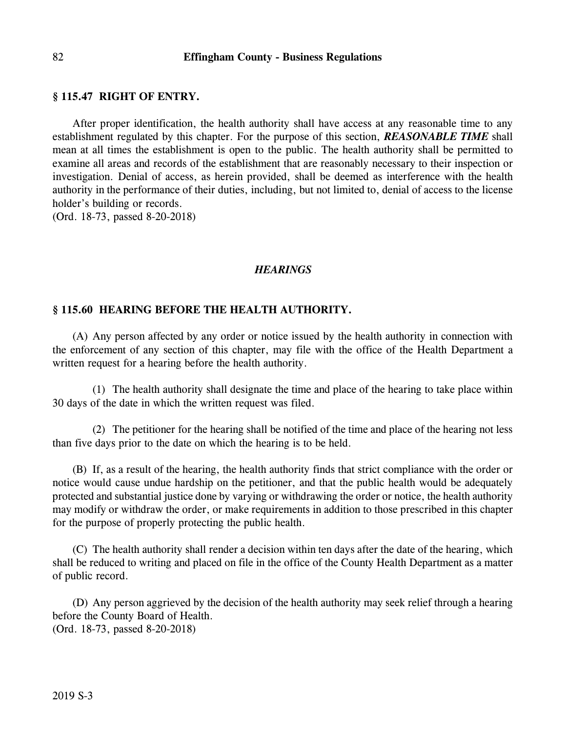#### **§ 115.47 RIGHT OF ENTRY.**

After proper identification, the health authority shall have access at any reasonable time to any establishment regulated by this chapter. For the purpose of this section, *REASONABLE TIME* shall mean at all times the establishment is open to the public. The health authority shall be permitted to examine all areas and records of the establishment that are reasonably necessary to their inspection or investigation. Denial of access, as herein provided, shall be deemed as interference with the health authority in the performance of their duties, including, but not limited to, denial of access to the license holder's building or records.

(Ord. 18-73, passed 8-20-2018)

### *HEARINGS*

#### **§ 115.60 HEARING BEFORE THE HEALTH AUTHORITY.**

(A) Any person affected by any order or notice issued by the health authority in connection with the enforcement of any section of this chapter, may file with the office of the Health Department a written request for a hearing before the health authority.

(1) The health authority shall designate the time and place of the hearing to take place within 30 days of the date in which the written request was filed.

(2) The petitioner for the hearing shall be notified of the time and place of the hearing not less than five days prior to the date on which the hearing is to be held.

(B) If, as a result of the hearing, the health authority finds that strict compliance with the order or notice would cause undue hardship on the petitioner, and that the public health would be adequately protected and substantial justice done by varying or withdrawing the order or notice, the health authority may modify or withdraw the order, or make requirements in addition to those prescribed in this chapter for the purpose of properly protecting the public health.

(C) The health authority shall render a decision within ten days after the date of the hearing, which shall be reduced to writing and placed on file in the office of the County Health Department as a matter of public record.

(D) Any person aggrieved by the decision of the health authority may seek relief through a hearing before the County Board of Health.

(Ord. 18-73, passed 8-20-2018)